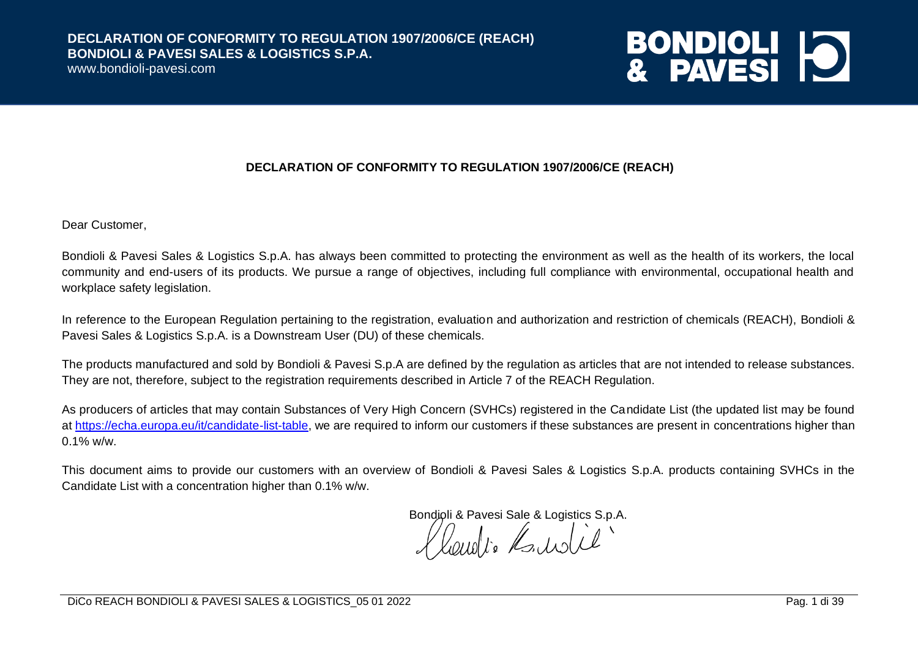www.bondioli-pavesi.com

# **BONDIOLI 10**

#### **DECLARATION OF CONFORMITY TO REGULATION 1907/2006/CE (REACH)**

Dear Customer,

Bondioli & Pavesi Sales & Logistics S.p.A. has always been committed to protecting the environment as well as the health of its workers, the local community and end-users of its products. We pursue a range of objectives, including full compliance with environmental, occupational health and workplace safety legislation.

In reference to the European Regulation pertaining to the registration, evaluation and authorization and restriction of chemicals (REACH), Bondioli & Pavesi Sales & Logistics S.p.A. is a Downstream User (DU) of these chemicals.

The products manufactured and sold by Bondioli & Pavesi S.p.A are defined by the regulation as articles that are not intended to release substances. They are not, therefore, subject to the registration requirements described in Article 7 of the REACH Regulation.

As producers of articles that may contain Substances of Very High Concern (SVHCs) registered in the Candidate List (the updated list may be found at [https://echa.europa.eu/it/candidate-list-table,](https://echa.europa.eu/it/candidate-list-table) we are required to inform our customers if these substances are present in concentrations higher than  $0.1\%$  w/w.

This document aims to provide our customers with an overview of Bondioli & Pavesi Sales & Logistics S.p.A. products containing SVHCs in the Candidate List with a concentration higher than 0.1% w/w.

Bondioli & Pavesi Sale & Logistics S.p.A.<br>
A AQUO I e A ANIC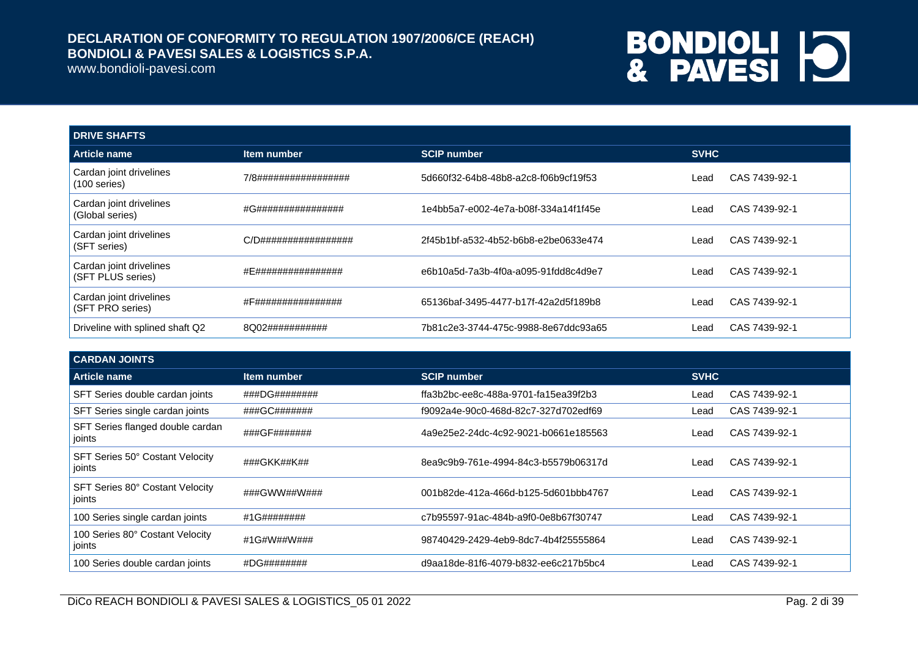www.bondioli-pavesi.com

| <b>DRIVE SHAFTS</b>                          |                      |                                      |             |               |
|----------------------------------------------|----------------------|--------------------------------------|-------------|---------------|
| Article name                                 | Item number          | <b>SCIP number</b>                   | <b>SVHC</b> |               |
| Cardan joint drivelines<br>$(100$ series)    | 7/8################# | 5d660f32-64b8-48b8-a2c8-f06b9cf19f53 | Lead        | CAS 7439-92-1 |
| Cardan joint drivelines<br>(Global series)   | #G################   | 1e4bb5a7-e002-4e7a-b08f-334a14f1f45e | Lead        | CAS 7439-92-1 |
| Cardan joint drivelines<br>(SFT series)      | C/D################# | 2f45b1bf-a532-4b52-b6b8-e2be0633e474 | Lead        | CAS 7439-92-1 |
| Cardan joint drivelines<br>(SFT PLUS series) | #E################   | e6b10a5d-7a3b-4f0a-a095-91fdd8c4d9e7 | Lead        | CAS 7439-92-1 |
| Cardan joint drivelines<br>(SFT PRO series)  | #F################   | 65136baf-3495-4477-b17f-42a2d5f189b8 | Lead        | CAS 7439-92-1 |
| Driveline with splined shaft Q2              | 8Q02###########      | 7b81c2e3-3744-475c-9988-8e67ddc93a65 | Lead        | CAS 7439-92-1 |

| <b>CARDAN JOINTS</b>                       |               |                                      |                       |
|--------------------------------------------|---------------|--------------------------------------|-----------------------|
| <b>Article name</b>                        | ltem number   | <b>SCIP number</b>                   | <b>SVHC</b>           |
| SFT Series double cardan joints            | ###DG######## | ffa3b2bc-ee8c-488a-9701-fa15ea39f2b3 | CAS 7439-92-1<br>Lead |
| SFT Series single cardan joints            | ###GC#######  | f9092a4e-90c0-468d-82c7-327d702edf69 | CAS 7439-92-1<br>Lead |
| SFT Series flanged double cardan<br>joints | ###GF#######  | 4a9e25e2-24dc-4c92-9021-b0661e185563 | CAS 7439-92-1<br>Lead |
| SFT Series 50° Costant Velocity<br>joints  | ###GKK##K##   | 8ea9c9b9-761e-4994-84c3-b5579b06317d | CAS 7439-92-1<br>Lead |
| SFT Series 80° Costant Velocity<br>joints  | ###GWW##W###  | 001b82de-412a-466d-b125-5d601bbb4767 | CAS 7439-92-1<br>Lead |
| 100 Series single cardan joints            | #1G########   | c7b95597-91ac-484b-a9f0-0e8b67f30747 | CAS 7439-92-1<br>Lead |
| 100 Series 80° Costant Velocity<br>joints  | #1G#W##W###   | 98740429-2429-4eb9-8dc7-4b4f25555864 | CAS 7439-92-1<br>Lead |
| 100 Series double cardan joints            | #DG########   | d9aa18de-81f6-4079-b832-ee6c217b5bc4 | CAS 7439-92-1<br>Lead |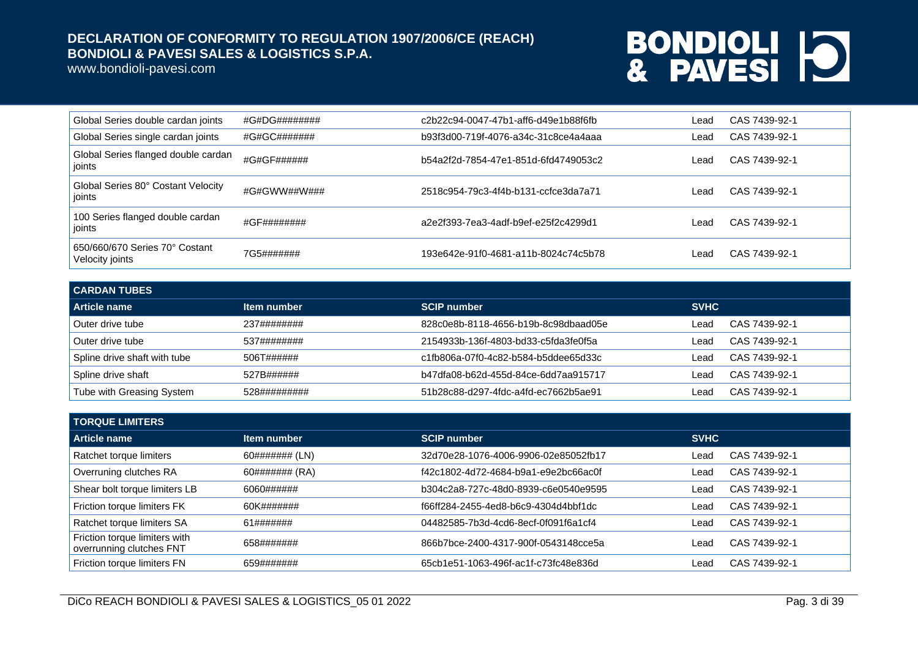www.bondioli-pavesi.com

| Global Series double cardan joints                | #G#DG######## | c2b22c94-0047-47b1-aff6-d49e1b88f6fb | Lead  | CAS 7439-92-1 |
|---------------------------------------------------|---------------|--------------------------------------|-------|---------------|
| Global Series single cardan joints                | #G#GC#######  | b93f3d00-719f-4076-a34c-31c8ce4a4aaa | ∟ead  | CAS 7439-92-1 |
| Global Series flanged double cardan<br>  joints   | #G#GF######   | b54a2f2d-7854-47e1-851d-6fd4749053c2 | Lead. | CAS 7439-92-1 |
| Global Series 80° Costant Velocity<br>ioints      | #G#GWW##W###  | 2518c954-79c3-4f4b-b131-ccfce3da7a71 | Lead. | CAS 7439-92-1 |
| 100 Series flanged double cardan<br>joints        | #GF########   | a2e2f393-7ea3-4adf-b9ef-e25f2c4299d1 | Lead. | CAS 7439-92-1 |
| 650/660/670 Series 70° Costant<br>Velocity joints | 7G5#######    | 193e642e-91f0-4681-a11b-8024c74c5b78 | _ead  | CAS 7439-92-1 |

| <b>CARDAN TUBES</b>          |              |                                      |             |               |
|------------------------------|--------------|--------------------------------------|-------------|---------------|
| Article name                 | Item number  | <b>SCIP number</b>                   | <b>SVHC</b> |               |
| Outer drive tube             | 237########  | 828c0e8b-8118-4656-b19b-8c98dbaad05e | Lead        | CAS 7439-92-1 |
| Outer drive tube             | 537########  | 2154933b-136f-4803-bd33-c5fda3fe0f5a | Lead        | CAS 7439-92-1 |
| Spline drive shaft with tube | 506T######   | c1fb806a-07f0-4c82-b584-b5ddee65d33c | Lead        | CAS 7439-92-1 |
| Spline drive shaft           | 527B######   | b47dfa08-b62d-455d-84ce-6dd7aa915717 | Lead        | CAS 7439-92-1 |
| Tube with Greasing System    | 528######### | 51b28c88-d297-4fdc-a4fd-ec7662b5ae91 | Lead        | CAS 7439-92-1 |

| <b>TORQUE LIMITERS</b>                                    |                |                                      |             |               |
|-----------------------------------------------------------|----------------|--------------------------------------|-------------|---------------|
| Article name                                              | Item number    | <b>SCIP number</b>                   | <b>SVHC</b> |               |
| Ratchet torque limiters                                   | 60####### (LN) | 32d70e28-1076-4006-9906-02e85052fb17 | Lead        | CAS 7439-92-1 |
| Overruning clutches RA                                    | 60####### (RA) | f42c1802-4d72-4684-b9a1-e9e2bc66ac0f | Lead        | CAS 7439-92-1 |
| Shear bolt torque limiters LB                             | 6060######     | b304c2a8-727c-48d0-8939-c6e0540e9595 | Lead        | CAS 7439-92-1 |
| Friction torque limiters FK                               | 60K#######     | f66ff284-2455-4ed8-b6c9-4304d4bbf1dc | Lead        | CAS 7439-92-1 |
| Ratchet torque limiters SA                                | 61#######      | 04482585-7b3d-4cd6-8ecf-0f091f6a1cf4 | Lead        | CAS 7439-92-1 |
| Friction torque limiters with<br>overrunning clutches FNT | 658#######     | 866b7bce-2400-4317-900f-0543148cce5a | Lead        | CAS 7439-92-1 |
| Friction torque limiters FN                               | 659#######     | 65cb1e51-1063-496f-ac1f-c73fc48e836d | Lead        | CAS 7439-92-1 |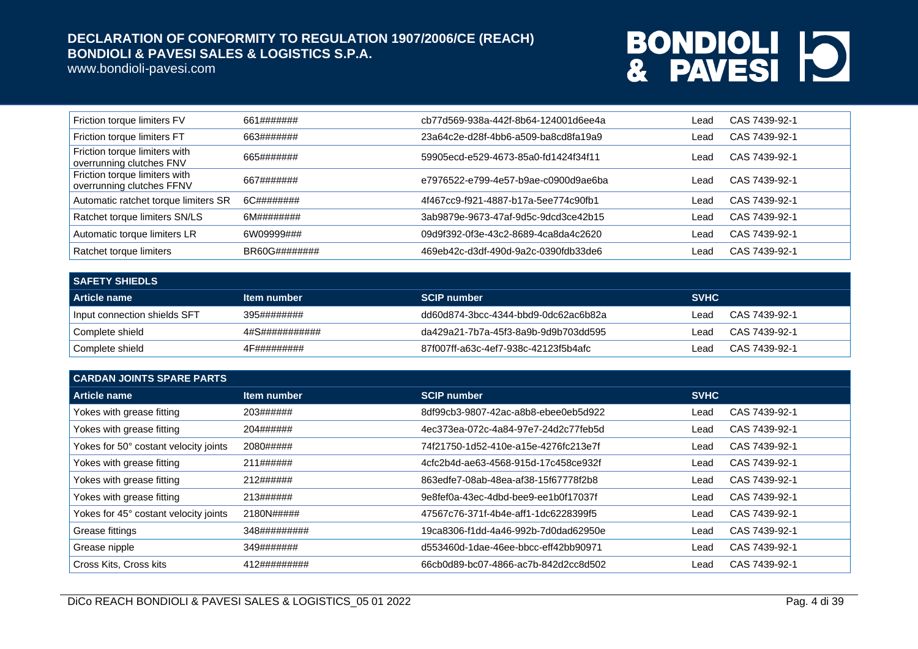www.bondioli-pavesi.com

| Friction torque limiters FV                                | 661#######    | cb77d569-938a-442f-8b64-124001d6ee4a | Lead | CAS 7439-92-1 |
|------------------------------------------------------------|---------------|--------------------------------------|------|---------------|
| Friction torque limiters FT                                | 663#######    | 23a64c2e-d28f-4bb6-a509-ba8cd8fa19a9 | Lead | CAS 7439-92-1 |
| Friction torque limiters with<br>overrunning clutches FNV  | 665#######    | 59905ecd-e529-4673-85a0-fd1424f34f11 | Lead | CAS 7439-92-1 |
| Friction torque limiters with<br>overrunning clutches FFNV | 667#######    | e7976522-e799-4e57-b9ae-c0900d9ae6ba | Lead | CAS 7439-92-1 |
| Automatic ratchet torque limiters SR                       | 6C########    | 4f467cc9-f921-4887-b17a-5ee774c90fb1 | Lead | CAS 7439-92-1 |
| Ratchet torque limiters SN/LS                              | 6M########    | 3ab9879e-9673-47af-9d5c-9dcd3ce42b15 | Lead | CAS 7439-92-1 |
| Automatic torque limiters LR                               | 6W09999###    | 09d9f392-0f3e-43c2-8689-4ca8da4c2620 | Lead | CAS 7439-92-1 |
| Ratchet torque limiters                                    | BR60G######## | 469eb42c-d3df-490d-9a2c-0390fdb33de6 | Lead | CAS 7439-92-1 |

| <b>SAFETY SHIEDLS</b>        |                |                                      |             |               |
|------------------------------|----------------|--------------------------------------|-------------|---------------|
| Article name                 | Item number    | <b>SCIP number</b>                   | <b>SVHC</b> |               |
| Input connection shields SFT | 395########    | dd60d874-3bcc-4344-bbd9-0dc62ac6b82a | _ead        | CAS 7439-92-1 |
| Complete shield              | 4#S########### | da429a21-7b7a-45f3-8a9b-9d9b703dd595 | _ead        | CAS 7439-92-1 |
| Complete shield              | 4F#########    | 87f007ff-a63c-4ef7-938c-42123f5b4afc | _ead        | CAS 7439-92-1 |

| <b>CARDAN JOINTS SPARE PARTS</b>      |              |                                      |                       |  |
|---------------------------------------|--------------|--------------------------------------|-----------------------|--|
| Article name                          | Item number  | <b>SCIP number.</b>                  | <b>SVHC</b>           |  |
| Yokes with grease fitting             | 203######    | 8df99cb3-9807-42ac-a8b8-ebee0eb5d922 | CAS 7439-92-1<br>Lead |  |
| Yokes with grease fitting             | 204######    | 4ec373ea-072c-4a84-97e7-24d2c77feb5d | CAS 7439-92-1<br>Lead |  |
| Yokes for 50° costant velocity joints | 2080#####    | 74f21750-1d52-410e-a15e-4276fc213e7f | CAS 7439-92-1<br>Lead |  |
| Yokes with grease fitting             | 211######    | 4cfc2b4d-ae63-4568-915d-17c458ce932f | CAS 7439-92-1<br>Lead |  |
| Yokes with grease fitting             | 212######    | 863edfe7-08ab-48ea-af38-15f67778f2b8 | CAS 7439-92-1<br>Lead |  |
| Yokes with grease fitting             | 213######    | 9e8fef0a-43ec-4dbd-bee9-ee1b0f17037f | CAS 7439-92-1<br>Lead |  |
| Yokes for 45° costant velocity joints | 2180N#####   | 47567c76-371f-4b4e-aff1-1dc6228399f5 | CAS 7439-92-1<br>Lead |  |
| Grease fittings                       | 348######### | 19ca8306-f1dd-4a46-992b-7d0dad62950e | CAS 7439-92-1<br>Lead |  |
| Grease nipple                         | 349#######   | d553460d-1dae-46ee-bbcc-eff42bb90971 | CAS 7439-92-1<br>Lead |  |
| Cross Kits, Cross kits                | 412######### | 66cb0d89-bc07-4866-ac7b-842d2cc8d502 | CAS 7439-92-1<br>Lead |  |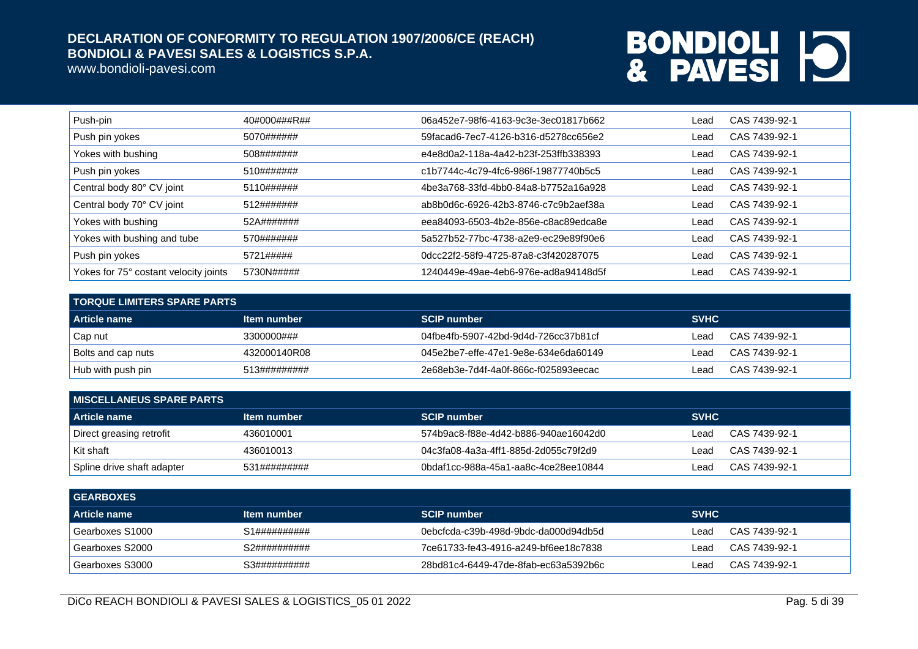www.bondioli-pavesi.com

| Push-pin                              | 40#000###R## | 06a452e7-98f6-4163-9c3e-3ec01817b662 | Lead    | CAS 7439-92-1 |
|---------------------------------------|--------------|--------------------------------------|---------|---------------|
| Push pin yokes                        | 5070######   | 59facad6-7ec7-4126-b316-d5278cc656e2 | Lead    | CAS 7439-92-1 |
| Yokes with bushing                    | 508#######   | e4e8d0a2-118a-4a42-b23f-253ffb338393 | Lead    | CAS 7439-92-1 |
| Push pin yokes                        | 510#######   | c1b7744c-4c79-4fc6-986f-19877740b5c5 | Lead    | CAS 7439-92-1 |
| Central body 80° CV joint             | 5110######   | 4be3a768-33fd-4bb0-84a8-b7752a16a928 | Lead    | CAS 7439-92-1 |
| Central body 70° CV joint             | 512#######   | ab8b0d6c-6926-42b3-8746-c7c9b2aef38a | Lead    | CAS 7439-92-1 |
| Yokes with bushing                    | 52A#######   | eea84093-6503-4b2e-856e-c8ac89edca8e | Lead    | CAS 7439-92-1 |
| Yokes with bushing and tube           | 570#######   | 5a527b52-77bc-4738-a2e9-ec29e89f90e6 | Lead    | CAS 7439-92-1 |
| Push pin yokes                        | 5721#####    | 0dcc22f2-58f9-4725-87a8-c3f420287075 | $L$ ead | CAS 7439-92-1 |
| Yokes for 75° costant velocity joints | 5730N#####   | 1240449e-49ae-4eb6-976e-ad8a94148d5f | Lead    | CAS 7439-92-1 |

| <b>TORQUE LIMITERS SPARE PARTS</b> |              |                                      |             |               |
|------------------------------------|--------------|--------------------------------------|-------------|---------------|
| Article name                       | Item number  | <b>SCIP number</b>                   | <b>SVHC</b> |               |
| Cap nut                            | 3300000###   | 04fbe4fb-5907-42bd-9d4d-726cc37b81cf | ∟ead        | CAS 7439-92-1 |
| <b>Bolts and cap nuts</b>          | 432000140R08 | 045e2be7-effe-47e1-9e8e-634e6da60149 | ∟ead        | CAS 7439-92-1 |
| Hub with push pin                  | 513######### | 2e68eb3e-7d4f-4a0f-866c-f025893eecac | ∟ead        | CAS 7439-92-1 |

| <b>I MISCELLANEUS SPARE PARTS</b> |              |                                      |                       |  |
|-----------------------------------|--------------|--------------------------------------|-----------------------|--|
| <b>Article name</b>               | Item number  | <b>SCIP number</b>                   | <b>SVHC</b>           |  |
| Direct greasing retrofit          | 436010001    | 574b9ac8-f88e-4d42-b886-940ae16042d0 | CAS 7439-92-1<br>Lead |  |
| ∣Kit shaft                        | 436010013    | 04c3fa08-4a3a-4ff1-885d-2d055c79f2d9 | CAS 7439-92-1<br>Lead |  |
| Spline drive shaft adapter        | 531######### | 0bdaf1cc-988a-45a1-aa8c-4ce28ee10844 | CAS 7439-92-1<br>Lead |  |

| <b>GEARBOXES</b> |              |                                      |             |               |
|------------------|--------------|--------------------------------------|-------------|---------------|
| Article name     | Item number  | <b>SCIP number</b>                   | <b>SVHC</b> |               |
| Gearboxes S1000  | S1########## | 0ebcfcda-c39b-498d-9bdc-da000d94db5d | ∟ead        | CAS 7439-92-1 |
| Gearboxes S2000  | S2########## | 7ce61733-fe43-4916-a249-bf6ee18c7838 | Leac        | CAS 7439-92-1 |
| Gearboxes S3000  | S3########## | 28bd81c4-6449-47de-8fab-ec63a5392b6c | ∟ead        | CAS 7439-92-1 |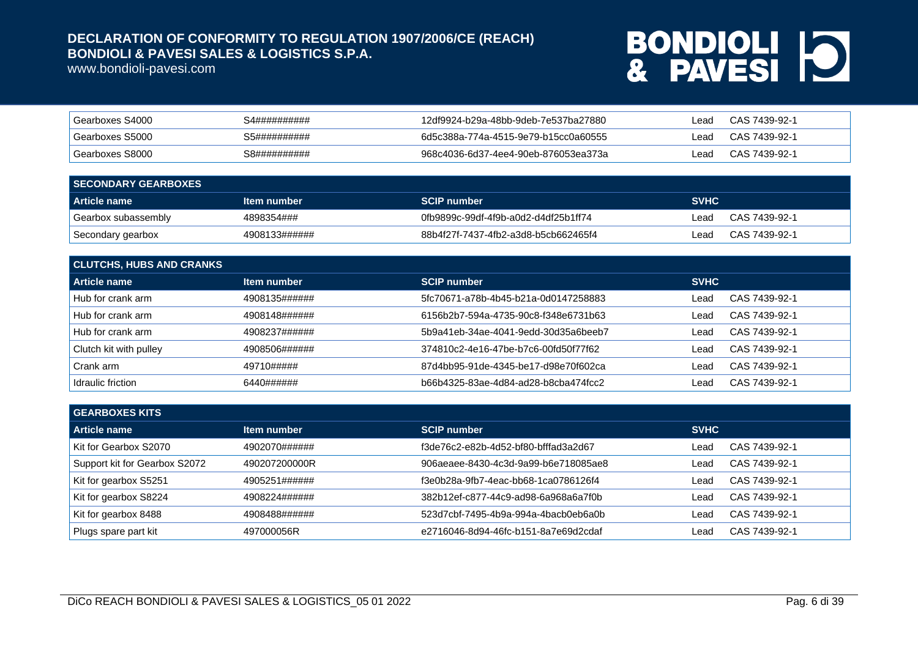www.bondioli-pavesi.com

| Gearboxes S4000 | S4########## | 12df9924-b29a-48bb-9deb-7e537ba27880 | _ead | CAS 7439-92-1 |
|-----------------|--------------|--------------------------------------|------|---------------|
| Gearboxes S5000 | S5########## | 6d5c388a-774a-4515-9e79-b15cc0a60555 | _ead | CAS 7439-92-1 |
| Gearboxes S8000 | S8########## | 968c4036-6d37-4ee4-90eb-876053ea373a | _ead | CAS 7439-92-1 |

| <b>SECONDARY GEARBOXES</b> |               |                                      |             |               |
|----------------------------|---------------|--------------------------------------|-------------|---------------|
| Article name               | Item number   | <b>SCIP number</b>                   | <b>SVHC</b> |               |
| Gearbox subassembly        | 4898354###    | 0fb9899c-99df-4f9b-a0d2-d4df25b1ff74 | ∟ead        | CAS 7439-92-1 |
| Secondary gearbox          | 4908133###### | 88b4f27f-7437-4fb2-a3d8-b5cb662465f4 | ∟ead        | CAS 7439-92-1 |

| <b>CLUTCHS, HUBS AND CRANKS</b> |                    |                                      |             |               |  |
|---------------------------------|--------------------|--------------------------------------|-------------|---------------|--|
| Article name                    | <b>Item number</b> | <b>SCIP number</b>                   | <b>SVHC</b> |               |  |
| Hub for crank arm               | 4908135######      | 5fc70671-a78b-4b45-b21a-0d0147258883 | ∟ead        | CAS 7439-92-1 |  |
| Hub for crank arm               | 4908148######      | 6156b2b7-594a-4735-90c8-f348e6731b63 | Lead        | CAS 7439-92-1 |  |
| Hub for crank arm               | 4908237######      | 5b9a41eb-34ae-4041-9edd-30d35a6beeb7 | Lead        | CAS 7439-92-1 |  |
| Clutch kit with pulley          | 4908506######      | 374810c2-4e16-47be-b7c6-00fd50f77f62 | ∟ead        | CAS 7439-92-1 |  |
| Crank arm                       | 49710#####         | 87d4bb95-91de-4345-be17-d98e70f602ca | Lead        | CAS 7439-92-1 |  |
| Idraulic friction               | 6440######         | b66b4325-83ae-4d84-ad28-b8cba474fcc2 | ∟ead        | CAS 7439-92-1 |  |

| <b>GEARBOXES KITS</b>         |               |                                      |             |               |
|-------------------------------|---------------|--------------------------------------|-------------|---------------|
| Article name                  | Item number   | <b>SCIP number</b>                   | <b>SVHC</b> |               |
| Kit for Gearbox S2070         | 4902070###### | f3de76c2-e82b-4d52-bf80-bfffad3a2d67 | ∟ead        | CAS 7439-92-1 |
| Support kit for Gearbox S2072 | 490207200000R | 906aeaee-8430-4c3d-9a99-b6e718085ae8 | ∟ead        | CAS 7439-92-1 |
| Kit for gearbox S5251         | 4905251###### | f3e0b28a-9fb7-4eac-bb68-1ca0786126f4 | ∟ead        | CAS 7439-92-1 |
| Kit for gearbox S8224         | 4908224###### | 382b12ef-c877-44c9-ad98-6a968a6a7f0b | ∟ead        | CAS 7439-92-1 |
| Kit for gearbox 8488          | 4908488###### | 523d7cbf-7495-4b9a-994a-4bacb0eb6a0b | ∟ead        | CAS 7439-92-1 |
| Plugs spare part kit          | 497000056R    | e2716046-8d94-46fc-b151-8a7e69d2cdaf | ∟ead        | CAS 7439-92-1 |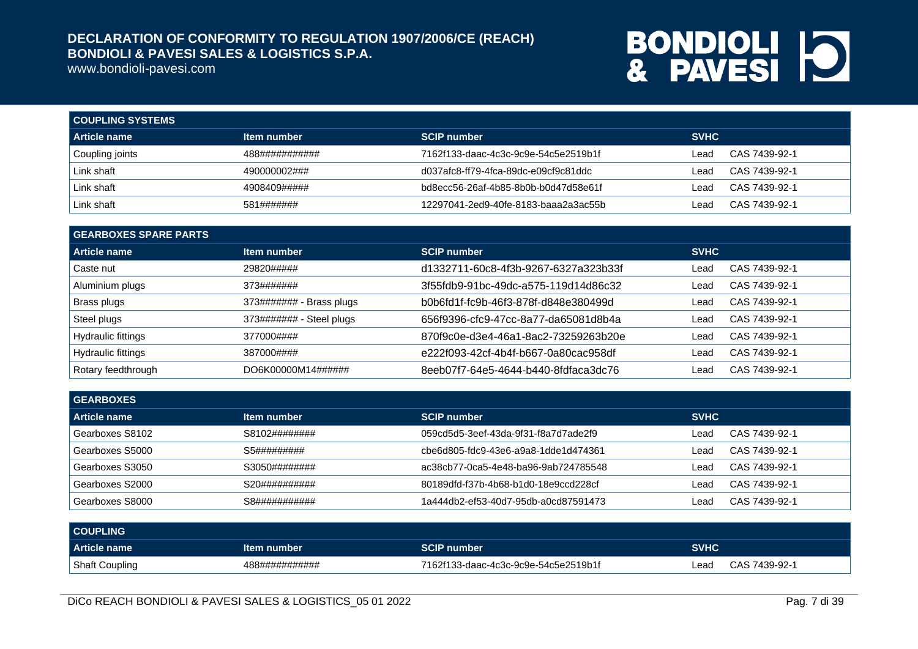www.bondioli-pavesi.com

| <b>COUPLING SYSTEMS</b>      |                |                                      |             |               |
|------------------------------|----------------|--------------------------------------|-------------|---------------|
| Article name                 | Item number    | <b>SCIP number</b>                   | <b>SVHC</b> |               |
| <sup>I</sup> Coupling joints | 488########### | 7162f133-daac-4c3c-9c9e-54c5e2519b1f | Lead        | CAS 7439-92-1 |
| Link shaft                   | 490000002###   | d037afc8-ff79-4fca-89dc-e09cf9c81ddc | Lead        | CAS 7439-92-1 |
| Link shaft                   | 4908409#####   | bd8ecc56-26af-4b85-8b0b-b0d47d58e61f | ∟ead        | CAS 7439-92-1 |
| Link shaft                   | 581#######     | 12297041-2ed9-40fe-8183-baaa2a3ac55b | Lead        | CAS 7439-92-1 |

| <b>GEARBOXES SPARE PARTS</b> |                          |                                      |             |               |  |
|------------------------------|--------------------------|--------------------------------------|-------------|---------------|--|
| Article name                 | Item number              | <b>SCIP number</b>                   | <b>SVHC</b> |               |  |
| Caste nut                    | 29820#####               | d1332711-60c8-4f3b-9267-6327a323b33f | Lead        | CAS 7439-92-1 |  |
| Aluminium plugs              | 373#######               | 3f55fdb9-91bc-49dc-a575-119d14d86c32 | Lead        | CAS 7439-92-1 |  |
| Brass plugs                  | 373####### - Brass plugs | b0b6fd1f-fc9b-46f3-878f-d848e380499d | Lead        | CAS 7439-92-1 |  |
| Steel plugs                  | 373####### - Steel plugs | 656f9396-cfc9-47cc-8a77-da65081d8b4a | Lead        | CAS 7439-92-1 |  |
| Hydraulic fittings           | 377000####               | 870f9c0e-d3e4-46a1-8ac2-73259263b20e | Lead        | CAS 7439-92-1 |  |
| Hydraulic fittings           | 387000####               | e222f093-42cf-4b4f-b667-0a80cac958df | Lead        | CAS 7439-92-1 |  |
| Rotary feedthrough           | DO6K00000M14######       | 8eeb07f7-64e5-4644-b440-8fdfaca3dc76 | Lead        | CAS 7439-92-1 |  |

| <b>GEARBOXES</b> |               |                                      |                       |
|------------------|---------------|--------------------------------------|-----------------------|
| Article name     | Item number   | <b>SCIP number</b>                   | <b>SVHC</b>           |
| Gearboxes S8102  | S8102######## | 059cd5d5-3eef-43da-9f31-f8a7d7ade2f9 | CAS 7439-92-1<br>Lead |
| Gearboxes S5000  | S5#########   | cbe6d805-fdc9-43e6-a9a8-1dde1d474361 | CAS 7439-92-1<br>Lead |
| Gearboxes S3050  | S3050######## | ac38cb77-0ca5-4e48-ba96-9ab724785548 | CAS 7439-92-1<br>Lead |
| Gearboxes S2000  | S20########## | 80189dfd-f37b-4b68-b1d0-18e9ccd228cf | CAS 7439-92-1<br>Lead |
| Gearboxes S8000  | S8########### | 1a444db2-ef53-40d7-95db-a0cd87591473 | CAS 7439-92-1<br>Leac |

| <b>COUPLING</b>       |                |                                      |             |               |
|-----------------------|----------------|--------------------------------------|-------------|---------------|
| Article name          | Item number    | <b>SCIP number</b>                   | <b>SVHC</b> |               |
| <b>Shaft Coupling</b> | 488########### | 7162f133-daac-4c3c-9c9e-54c5e2519b1f | -ead        | CAS 7439-92-1 |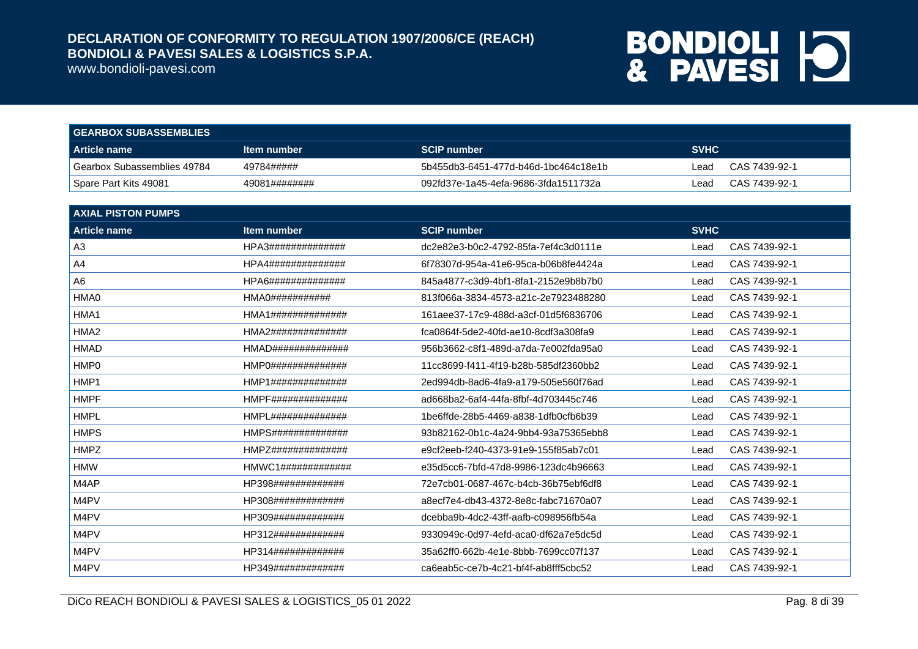www.bondioli-pavesi.com

| <b>GEARBOX SUBASSEMBLIES</b> |                    |                                      |             |               |
|------------------------------|--------------------|--------------------------------------|-------------|---------------|
| Article name                 | <b>Item number</b> | <b>SCIP number</b>                   | <b>SVHC</b> |               |
| Gearbox Subassemblies 49784  | 49784#####         | 5b455db3-6451-477d-b46d-1bc464c18e1b | Lead        | CAS 7439-92-1 |
| Spare Part Kits 49081        | 49081########      | 092fd37e-1a45-4efa-9686-3fda1511732a | Lead.       | CAS 7439-92-1 |

| <b>AXIAL PISTON PUMPS</b> |                      |                                      |             |               |
|---------------------------|----------------------|--------------------------------------|-------------|---------------|
| <b>Article name</b>       | Item number          | <b>SCIP number</b>                   | <b>SVHC</b> |               |
| A <sub>3</sub>            | HPA3##############   | dc2e82e3-b0c2-4792-85fa-7ef4c3d0111e | Lead        | CAS 7439-92-1 |
| A <sub>4</sub>            | HPA4##############   | 6f78307d-954a-41e6-95ca-b06b8fe4424a | Lead        | CAS 7439-92-1 |
| A <sub>6</sub>            | HPA6##############   | 845a4877-c3d9-4bf1-8fa1-2152e9b8b7b0 | Lead        | CAS 7439-92-1 |
| HMA0                      | HMA0###########      | 813f066a-3834-4573-a21c-2e7923488280 | Lead        | CAS 7439-92-1 |
| HMA1                      | HMA1##############   | 161aee37-17c9-488d-a3cf-01d5f6836706 | Lead        | CAS 7439-92-1 |
| HMA <sub>2</sub>          | HMA2##############   | fca0864f-5de2-40fd-ae10-8cdf3a308fa9 | Lead        | CAS 7439-92-1 |
| <b>HMAD</b>               | HMAD##############   | 956b3662-c8f1-489d-a7da-7e002fda95a0 | Lead        | CAS 7439-92-1 |
| HMP0                      | HMPO################ | 11cc8699-f411-4f19-b28b-585df2360bb2 | Lead        | CAS 7439-92-1 |
| HMP1                      | HMP1##############   | 2ed994db-8ad6-4fa9-a179-505e560f76ad | Lead        | CAS 7439-92-1 |
| <b>HMPF</b>               | HMPF##############   | ad668ba2-6af4-44fa-8fbf-4d703445c746 | Lead        | CAS 7439-92-1 |
| <b>HMPL</b>               | HMPL##############   | 1be6ffde-28b5-4469-a838-1dfb0cfb6b39 | Lead        | CAS 7439-92-1 |
| <b>HMPS</b>               | HMPS##############   | 93b82162-0b1c-4a24-9bb4-93a75365ebb8 | Lead        | CAS 7439-92-1 |
| <b>HMPZ</b>               | HMPZ##############   | e9cf2eeb-f240-4373-91e9-155f85ab7c01 | Lead        | CAS 7439-92-1 |
| <b>HMW</b>                |                      | e35d5cc6-7bfd-47d8-9986-123dc4b96663 | Lead        | CAS 7439-92-1 |
| M4AP                      | HP398#############   | 72e7cb01-0687-467c-b4cb-36b75ebf6df8 | Lead        | CAS 7439-92-1 |
| M4PV                      | HP308#############   | a8ecf7e4-db43-4372-8e8c-fabc71670a07 | Lead        | CAS 7439-92-1 |
| M4PV                      | HP309#############   | dcebba9b-4dc2-43ff-aafb-c098956fb54a | Lead        | CAS 7439-92-1 |
| M4PV                      | HP312#############   | 9330949c-0d97-4efd-aca0-df62a7e5dc5d | Lead        | CAS 7439-92-1 |
| M4PV                      | HP314#############   | 35a62ff0-662b-4e1e-8bbb-7699cc07f137 | Lead        | CAS 7439-92-1 |
| M4PV                      | HP349#############   | ca6eab5c-ce7b-4c21-bf4f-ab8fff5cbc52 | Lead        | CAS 7439-92-1 |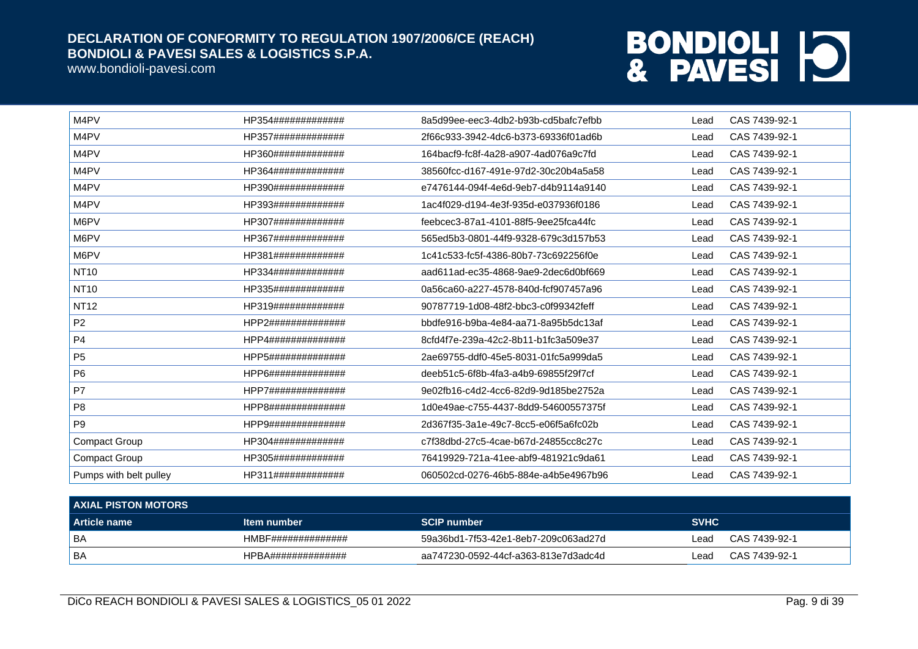www.bondioli-pavesi.com

| M4PV                   | HP354############# | 8a5d99ee-eec3-4db2-b93b-cd5bafc7efbb | Lead | CAS 7439-92-1 |
|------------------------|--------------------|--------------------------------------|------|---------------|
| M4PV                   | HP357############# | 2f66c933-3942-4dc6-b373-69336f01ad6b | Lead | CAS 7439-92-1 |
| M4PV                   | HP360############# | 164bacf9-fc8f-4a28-a907-4ad076a9c7fd | Lead | CAS 7439-92-1 |
| M4PV                   | HP364############# | 38560fcc-d167-491e-97d2-30c20b4a5a58 | Lead | CAS 7439-92-1 |
| M4PV                   | HP390############# | e7476144-094f-4e6d-9eb7-d4b9114a9140 | Lead | CAS 7439-92-1 |
| M4PV                   | HP393############# | 1ac4f029-d194-4e3f-935d-e037936f0186 | Lead | CAS 7439-92-1 |
| M6PV                   | HP307############# | feebcec3-87a1-4101-88f5-9ee25fca44fc | Lead | CAS 7439-92-1 |
| M6PV                   | HP367############# | 565ed5b3-0801-44f9-9328-679c3d157b53 | Lead | CAS 7439-92-1 |
| M6PV                   | HP381############# | 1c41c533-fc5f-4386-80b7-73c692256f0e | Lead | CAS 7439-92-1 |
| <b>NT10</b>            | HP334############# | aad611ad-ec35-4868-9ae9-2dec6d0bf669 | Lead | CAS 7439-92-1 |
| <b>NT10</b>            | HP335############# | 0a56ca60-a227-4578-840d-fcf907457a96 | Lead | CAS 7439-92-1 |
| <b>NT12</b>            | HP319############# | 90787719-1d08-48f2-bbc3-c0f99342feff | Lead | CAS 7439-92-1 |
| P <sub>2</sub>         | HPP2############## | bbdfe916-b9ba-4e84-aa71-8a95b5dc13af | Lead | CAS 7439-92-1 |
| P <sub>4</sub>         | HPP4############## | 8cfd4f7e-239a-42c2-8b11-b1fc3a509e37 | Lead | CAS 7439-92-1 |
| P <sub>5</sub>         | HPP5############## | 2ae69755-ddf0-45e5-8031-01fc5a999da5 | Lead | CAS 7439-92-1 |
| P <sub>6</sub>         | HPP6############## | deeb51c5-6f8b-4fa3-a4b9-69855f29f7cf | Lead | CAS 7439-92-1 |
| P7                     | HPP7############## | 9e02fb16-c4d2-4cc6-82d9-9d185be2752a | Lead | CAS 7439-92-1 |
| P <sub>8</sub>         | HPP8############## | 1d0e49ae-c755-4437-8dd9-54600557375f | Lead | CAS 7439-92-1 |
| P <sub>9</sub>         | HPP9############## | 2d367f35-3a1e-49c7-8cc5-e06f5a6fc02b | Lead | CAS 7439-92-1 |
| <b>Compact Group</b>   | HP304############# | c7f38dbd-27c5-4cae-b67d-24855cc8c27c | Lead | CAS 7439-92-1 |
| <b>Compact Group</b>   | HP305############# | 76419929-721a-41ee-abf9-481921c9da61 | Lead | CAS 7439-92-1 |
| Pumps with belt pulley | HP311############# | 060502cd-0276-46b5-884e-a4b5e4967b96 | Lead | CAS 7439-92-1 |

| <b>AXIAL PISTON MOTORS</b> |                    |                                      |             |               |  |
|----------------------------|--------------------|--------------------------------------|-------------|---------------|--|
| Article name               | Item number        | <b>SCIP number</b>                   | <b>SVHC</b> |               |  |
| l BA                       | HMBF############## | 59a36bd1-7f53-42e1-8eb7-209c063ad27d | ∟ead        | CAS 7439-92-1 |  |
| l BA                       | HPBA############## | aa747230-0592-44cf-a363-813e7d3adc4d | ∟ead        | CAS 7439-92-1 |  |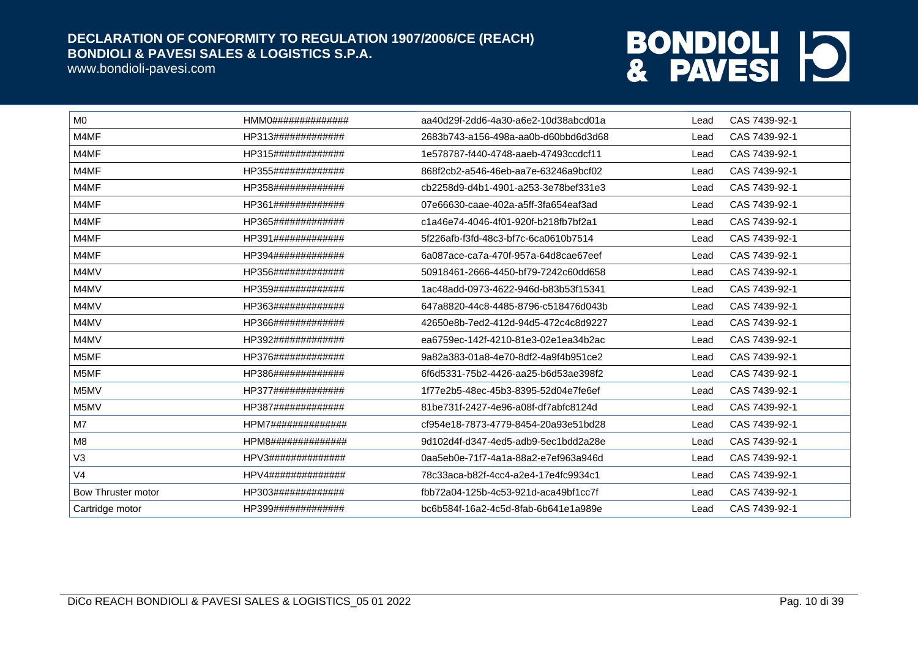www.bondioli-pavesi.com

| M <sub>0</sub>     | HMMO################   | aa40d29f-2dd6-4a30-a6e2-10d38abcd01a | Lead | CAS 7439-92-1 |
|--------------------|------------------------|--------------------------------------|------|---------------|
| M4MF               | HP313#############     | 2683b743-a156-498a-aa0b-d60bbd6d3d68 | Lead | CAS 7439-92-1 |
| M4MF               | HP315#############     | 1e578787-f440-4748-aaeb-47493ccdcf11 | Lead | CAS 7439-92-1 |
| M4MF               | HP355#############     | 868f2cb2-a546-46eb-aa7e-63246a9bcf02 | Lead | CAS 7439-92-1 |
| M4MF               | HP358#############     | cb2258d9-d4b1-4901-a253-3e78bef331e3 | Lead | CAS 7439-92-1 |
| M4MF               | HP361#############     | 07e66630-caae-402a-a5ff-3fa654eaf3ad | Lead | CAS 7439-92-1 |
| M4MF               | HP365#############     | c1a46e74-4046-4f01-920f-b218fb7bf2a1 | Lead | CAS 7439-92-1 |
| M4MF               | HP391#############     | 5f226afb-f3fd-48c3-bf7c-6ca0610b7514 | Lead | CAS 7439-92-1 |
| M4MF               | HP394#############     | 6a087ace-ca7a-470f-957a-64d8cae67eef | Lead | CAS 7439-92-1 |
| M4MV               | HP356#############     | 50918461-2666-4450-bf79-7242c60dd658 | Lead | CAS 7439-92-1 |
| M4MV               | HP359#############     | 1ac48add-0973-4622-946d-b83b53f15341 | Lead | CAS 7439-92-1 |
| M4MV               | HP363#############     | 647a8820-44c8-4485-8796-c518476d043b | Lead | CAS 7439-92-1 |
| M4MV               | HP366#############     | 42650e8b-7ed2-412d-94d5-472c4c8d9227 | Lead | CAS 7439-92-1 |
| M4MV               | HP392#############     | ea6759ec-142f-4210-81e3-02e1ea34b2ac | Lead | CAS 7439-92-1 |
| M5MF               | HP376#############     | 9a82a383-01a8-4e70-8df2-4a9f4b951ce2 | Lead | CAS 7439-92-1 |
| M5MF               | HP386#############     | 6f6d5331-75b2-4426-aa25-b6d53ae398f2 | Lead | CAS 7439-92-1 |
| M5MV               | HP377#############     | 1f77e2b5-48ec-45b3-8395-52d04e7fe6ef | Lead | CAS 7439-92-1 |
| M5MV               | HP387#############     | 81be731f-2427-4e96-a08f-df7abfc8124d | Lead | CAS 7439-92-1 |
| M7                 | HPM7##############     | cf954e18-7873-4779-8454-20a93e51bd28 | Lead | CAS 7439-92-1 |
| M <sub>8</sub>     | HPM8##############     | 9d102d4f-d347-4ed5-adb9-5ec1bdd2a28e | Lead | CAS 7439-92-1 |
| V3                 | $HPV3$ ############### | 0aa5eb0e-71f7-4a1a-88a2-e7ef963a946d | Lead | CAS 7439-92-1 |
| V <sub>4</sub>     | HPV4##############     | 78c33aca-b82f-4cc4-a2e4-17e4fc9934c1 | Lead | CAS 7439-92-1 |
| Bow Thruster motor | HP303#############     | fbb72a04-125b-4c53-921d-aca49bf1cc7f | Lead | CAS 7439-92-1 |
| Cartridge motor    | HP399#############     | bc6b584f-16a2-4c5d-8fab-6b641e1a989e | Lead | CAS 7439-92-1 |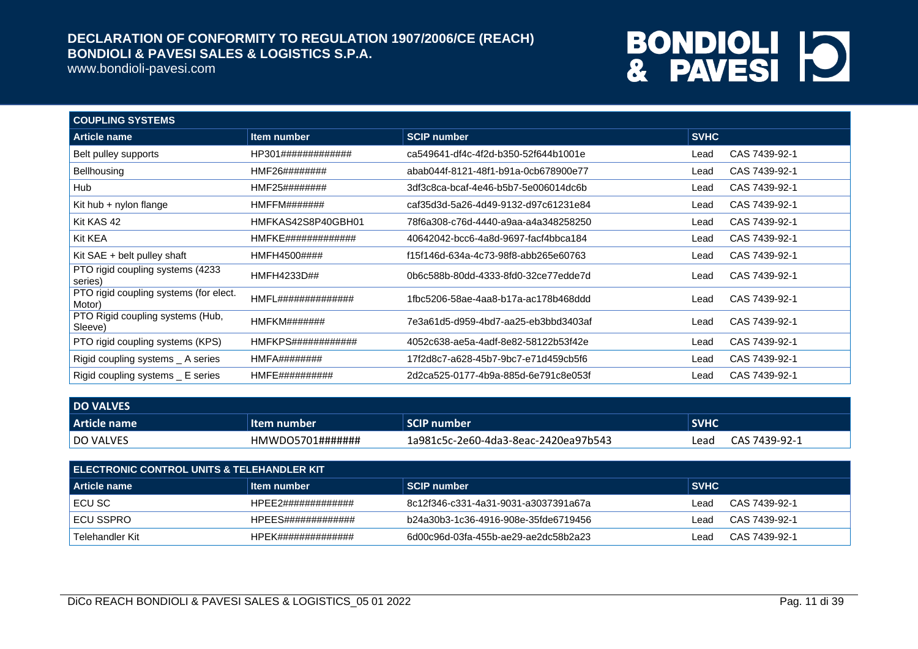www.bondioli-pavesi.com

| <b>COUPLING SYSTEMS</b>                          |                       |                                      |             |               |  |
|--------------------------------------------------|-----------------------|--------------------------------------|-------------|---------------|--|
| Article name                                     | Item number           | <b>SCIP number</b>                   | <b>SVHC</b> |               |  |
| Belt pulley supports                             | HP301#############    | ca549641-df4c-4f2d-b350-52f644b1001e | Lead        | CAS 7439-92-1 |  |
| Bellhousing                                      | HMF26########         | abab044f-8121-48f1-b91a-0cb678900e77 | Lead        | CAS 7439-92-1 |  |
| Hub                                              | HMF25########         | 3df3c8ca-bcaf-4e46-b5b7-5e006014dc6b | Lead        | CAS 7439-92-1 |  |
| Kit hub $+$ nylon flange                         | HMFFM#######          | caf35d3d-5a26-4d49-9132-d97c61231e84 | Lead        | CAS 7439-92-1 |  |
| Kit KAS 42                                       | HMFKAS42S8P40GBH01    | 78f6a308-c76d-4440-a9aa-a4a348258250 | Lead        | CAS 7439-92-1 |  |
| Kit KEA                                          | HMFKE#############    | 40642042-bcc6-4a8d-9697-facf4bbca184 | Lead        | CAS 7439-92-1 |  |
| Kit $SAE + belt$ pulley shaft                    | HMFH4500####          | f15f146d-634a-4c73-98f8-abb265e60763 | Lead        | CAS 7439-92-1 |  |
| PTO rigid coupling systems (4233)<br>series)     | HMFH4233D##           | 0b6c588b-80dd-4333-8fd0-32ce77edde7d | Lead        | CAS 7439-92-1 |  |
| PTO rigid coupling systems (for elect.<br>Motor) | HMFL##############    | 1fbc5206-58ae-4aa8-b17a-ac178b468ddd | Lead        | CAS 7439-92-1 |  |
| PTO Rigid coupling systems (Hub,<br>Sleeve)      | HMFKM#######          | 7e3a61d5-d959-4bd7-aa25-eb3bbd3403af | Lead        | CAS 7439-92-1 |  |
| PTO rigid coupling systems (KPS)                 | HMFKPS############    | 4052c638-ae5a-4adf-8e82-58122b53f42e | Lead        | CAS 7439-92-1 |  |
| Rigid coupling systems _ A series                | $HMFA$ ###########    | 17f2d8c7-a628-45b7-9bc7-e71d459cb5f6 | Lead        | CAS 7439-92-1 |  |
| Rigid coupling systems _ E series                | <b>HMFE##########</b> | 2d2ca525-0177-4b9a-885d-6e791c8e053f | Lead        | CAS 7439-92-1 |  |

| <b>DO VALVES</b> |                      |                                      |             |               |
|------------------|----------------------|--------------------------------------|-------------|---------------|
| Article name     | ltem number.         | <b>SCIP number</b>                   | <b>SVHC</b> |               |
| DO VALVES        | $HMWDO5701\#$ ###### | 1a981c5c-2e60-4da3-8eac-2420ea97b543 | Lead        | CAS 7439-92-1 |

| I ELECTRONIC CONTROL UNITS & TELEHANDLER KIT. |                    |                                      |        |               |  |
|-----------------------------------------------|--------------------|--------------------------------------|--------|---------------|--|
| Article name                                  | ∣ltem number       | SCIP number                          | ∣ SVHC |               |  |
| I ECU SC                                      | HPFF2############# | 8c12f346-c331-4a31-9031-a3037391a67a | ∟ead   | CAS 7439-92-1 |  |
| I ECU SSPRO                                   | HPFFS############# | b24a30b3-1c36-4916-908e-35fde6719456 | ∟ead   | CAS 7439-92-1 |  |
| Telehandler Kit                               | HPFK############## | 6d00c96d-03fa-455b-ae29-ae2dc58b2a23 | _ead   | CAS 7439-92-1 |  |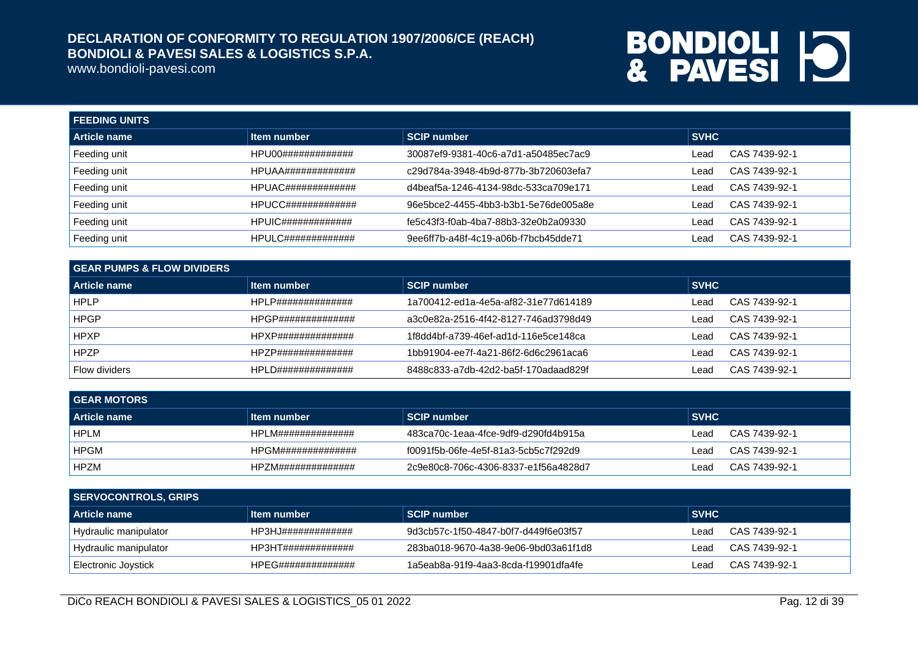www.bondioli-pavesi.com

| <b>FEEDING UNITS</b> |                                 |                                      |             |               |  |
|----------------------|---------------------------------|--------------------------------------|-------------|---------------|--|
| Article name         | Item number                     | <b>SCIP number</b>                   | <b>SVHC</b> |               |  |
| Feeding unit         | HPU00#############              | 30087ef9-9381-40c6-a7d1-a50485ec7ac9 | Lead        | CAS 7439-92-1 |  |
| Feeding unit         | HPUAA#############              | c29d784a-3948-4b9d-877b-3b720603efa7 | Lead        | CAS 7439-92-1 |  |
| Feeding unit         | $HPUAC\#$ ##################### | d4beaf5a-1246-4134-98dc-533ca709e171 | Lead        | CAS 7439-92-1 |  |
| Feeding unit         | HPUCC#############              | 96e5bce2-4455-4bb3-b3b1-5e76de005a8e | Lead        | CAS 7439-92-1 |  |
| Feeding unit         |                                 | fe5c43f3-f0ab-4ba7-88b3-32e0b2a09330 | Lead        | CAS 7439-92-1 |  |
| Feeding unit         | $HPULC$ ##############          | 9ee6ff7b-a48f-4c19-a06b-f7bcb45dde71 | Lead        | CAS 7439-92-1 |  |

| <b>GEAR PUMPS &amp; FLOW DIVIDERS</b> |                     |                                      |             |               |  |
|---------------------------------------|---------------------|--------------------------------------|-------------|---------------|--|
| <b>Article name</b>                   | Item number         | SCIP number                          | <b>SVHC</b> |               |  |
| <b>HPLP</b>                           | HPLP##############  | 1a700412-ed1a-4e5a-af82-31e77d614189 | Lead        | CAS 7439-92-1 |  |
| <b>HPGP</b>                           | HPGP##############  | a3c0e82a-2516-4f42-8127-746ad3798d49 | Lead        | CAS 7439-92-1 |  |
| <b>HPXP</b>                           | HPXP##############  | 1f8dd4bf-a739-46ef-ad1d-116e5ce148ca | Lead        | CAS 7439-92-1 |  |
| <b>HPZP</b>                           | HPZP##############  | 1bb91904-ee7f-4a21-86f2-6d6c2961aca6 | Lead        | CAS 7439-92-1 |  |
| <b>Flow dividers</b>                  | HPL D############## | 8488c833-a7db-42d2-ba5f-170adaad829f | Lead        | CAS 7439-92-1 |  |

| <b>GEAR MOTORS</b> |                    |                                      |                       |  |  |
|--------------------|--------------------|--------------------------------------|-----------------------|--|--|
| Article name       | ∣ltem number       | <b>SCIP number</b>                   | <b>SVHC</b>           |  |  |
| <b>HPLM</b>        | HPLM############## | 483ca70c-1eaa-4fce-9df9-d290fd4b915a | CAS 7439-92-1<br>Lead |  |  |
| <b>HPGM</b>        | HPGM############## | f0091f5b-06fe-4e5f-81a3-5cb5c7f292d9 | CAS 7439-92-1<br>Lead |  |  |
| <b>HPZM</b>        | HP7M############## | 2c9e80c8-706c-4306-8337-e1f56a4828d7 | CAS 7439-92-1<br>_ead |  |  |

| SERVOCONTROLS, GRIPS  |                    |                                      |        |               |  |
|-----------------------|--------------------|--------------------------------------|--------|---------------|--|
| <b>Article name</b>   | Item number        | <b>SCIP number</b>                   | ∣ SVHC |               |  |
| Hydraulic manipulator | HP3HJ############# | 9d3cb57c-1f50-4847-b0f7-d449f6e03f57 | Lead   | CAS 7439-92-1 |  |
| Hydraulic manipulator | HP3HT############# | 283ba018-9670-4a38-9e06-9bd03a61f1d8 | Lead   | CAS 7439-92-1 |  |
| Electronic Joystick   | HPEG############## | 1a5eab8a-91f9-4aa3-8cda-f19901dfa4fe | _ead   | CAS 7439-92-1 |  |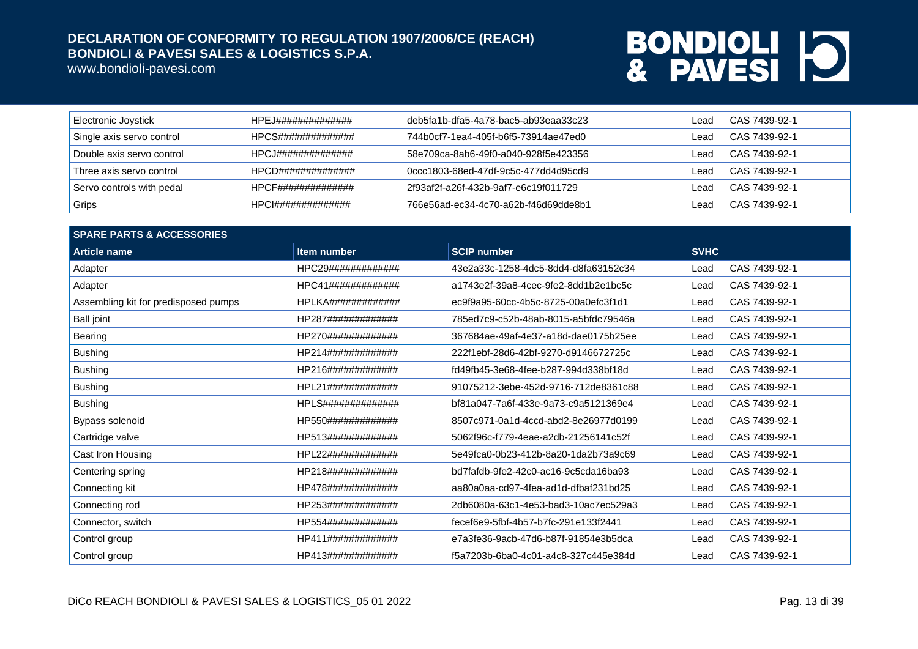www.bondioli-pavesi.com

| <b>Electronic Joystick</b> | HPEJ############## | deb5fa1b-dfa5-4a78-bac5-ab93eaa33c23 | Lead | CAS 7439-92-1 |
|----------------------------|--------------------|--------------------------------------|------|---------------|
| Single axis servo control  | HPCS############## | 744b0cf7-1ea4-405f-b6f5-73914ae47ed0 | Lead | CAS 7439-92-1 |
| Double axis servo control  | HPCJ############## | 58e709ca-8ab6-49f0-a040-928f5e423356 | Lead | CAS 7439-92-1 |
| Three axis servo control   | HPCD############## | 0ccc1803-68ed-47df-9c5c-477dd4d95cd9 | Lead | CAS 7439-92-1 |
| Servo controls with pedal  | HPCF############## | 2f93af2f-a26f-432b-9af7-e6c19f011729 | ead  | CAS 7439-92-1 |
| Grips                      | HPCI############## | 766e56ad-ec34-4c70-a62b-f46d69dde8b1 | _ead | CAS 7439-92-1 |

| <b>SPARE PARTS &amp; ACCESSORIES</b> |                    |                                      |             |               |
|--------------------------------------|--------------------|--------------------------------------|-------------|---------------|
| <b>Article name</b>                  | Item number        | <b>SCIP number</b>                   | <b>SVHC</b> |               |
| Adapter                              | HPC29############# | 43e2a33c-1258-4dc5-8dd4-d8fa63152c34 | Lead        | CAS 7439-92-1 |
| Adapter                              | HPC41############# | a1743e2f-39a8-4cec-9fe2-8dd1b2e1bc5c | Lead        | CAS 7439-92-1 |
| Assembling kit for predisposed pumps | HPLKA############# | ec9f9a95-60cc-4b5c-8725-00a0efc3f1d1 | Lead        | CAS 7439-92-1 |
| <b>Ball joint</b>                    | HP287############# | 785ed7c9-c52b-48ab-8015-a5bfdc79546a | Lead        | CAS 7439-92-1 |
| Bearing                              | HP270############# | 367684ae-49af-4e37-a18d-dae0175b25ee | Lead        | CAS 7439-92-1 |
| <b>Bushing</b>                       | HP214############# | 222f1ebf-28d6-42bf-9270-d9146672725c | Lead        | CAS 7439-92-1 |
| <b>Bushing</b>                       | HP216############# | fd49fb45-3e68-4fee-b287-994d338bf18d | Lead        | CAS 7439-92-1 |
| <b>Bushing</b>                       | HPL21############# | 91075212-3ebe-452d-9716-712de8361c88 | Lead        | CAS 7439-92-1 |
| <b>Bushing</b>                       | HPLS############## | bf81a047-7a6f-433e-9a73-c9a5121369e4 | Lead        | CAS 7439-92-1 |
| Bypass solenoid                      | HP550############# | 8507c971-0a1d-4ccd-abd2-8e26977d0199 | Lead        | CAS 7439-92-1 |
| Cartridge valve                      | HP513############# | 5062f96c-f779-4eae-a2db-21256141c52f | Lead        | CAS 7439-92-1 |
| Cast Iron Housing                    | HPL22############# | 5e49fca0-0b23-412b-8a20-1da2b73a9c69 | Lead        | CAS 7439-92-1 |
| Centering spring                     | HP218############# | bd7fafdb-9fe2-42c0-ac16-9c5cda16ba93 | Lead        | CAS 7439-92-1 |
| Connecting kit                       | HP478############# | aa80a0aa-cd97-4fea-ad1d-dfbaf231bd25 | Lead        | CAS 7439-92-1 |
| Connecting rod                       | HP253############# | 2db6080a-63c1-4e53-bad3-10ac7ec529a3 | Lead        | CAS 7439-92-1 |
| Connector, switch                    | HP554############# | fecef6e9-5fbf-4b57-b7fc-291e133f2441 | Lead        | CAS 7439-92-1 |
| Control group                        | HP411############# | e7a3fe36-9acb-47d6-b87f-91854e3b5dca | Lead        | CAS 7439-92-1 |
| Control group                        | HP413############# | f5a7203b-6ba0-4c01-a4c8-327c445e384d | Lead        | CAS 7439-92-1 |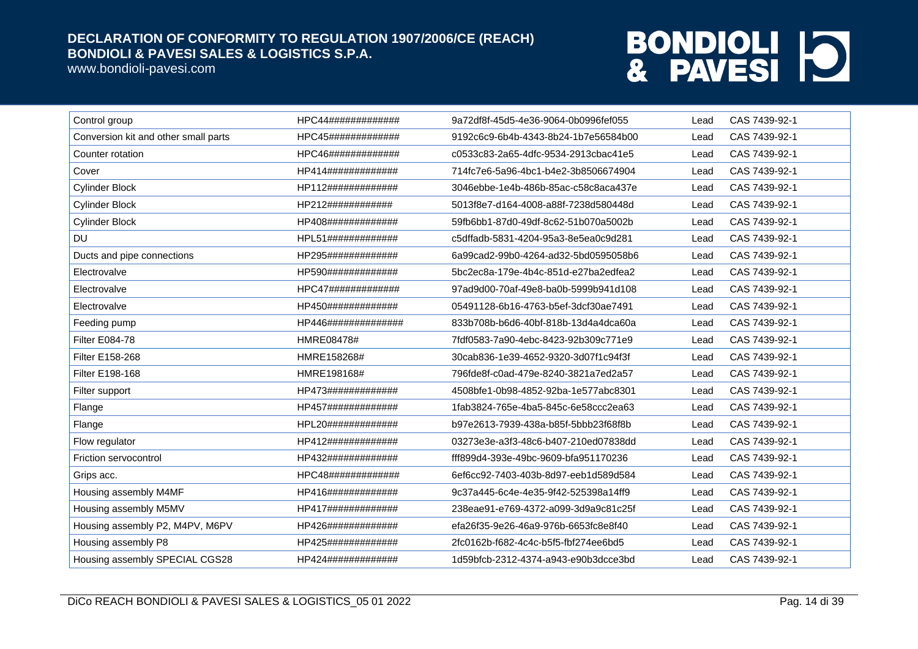www.bondioli-pavesi.com

| Control group                        | HPC44#############  | 9a72df8f-45d5-4e36-9064-0b0996fef055 | Lead | CAS 7439-92-1 |
|--------------------------------------|---------------------|--------------------------------------|------|---------------|
| Conversion kit and other small parts | HPC45#############  | 9192c6c9-6b4b-4343-8b24-1b7e56584b00 | Lead | CAS 7439-92-1 |
| Counter rotation                     | HPC46#############  | c0533c83-2a65-4dfc-9534-2913cbac41e5 | Lead | CAS 7439-92-1 |
| Cover                                | HP414#############  | 714fc7e6-5a96-4bc1-b4e2-3b8506674904 | Lead | CAS 7439-92-1 |
| <b>Cylinder Block</b>                | HP112#############  | 3046ebbe-1e4b-486b-85ac-c58c8aca437e | Lead | CAS 7439-92-1 |
| <b>Cylinder Block</b>                | HP212############   | 5013f8e7-d164-4008-a88f-7238d580448d | Lead | CAS 7439-92-1 |
| <b>Cylinder Block</b>                | HP408#############  | 59fb6bb1-87d0-49df-8c62-51b070a5002b | Lead | CAS 7439-92-1 |
| <b>DU</b>                            | HPL51#############  | c5dffadb-5831-4204-95a3-8e5ea0c9d281 | Lead | CAS 7439-92-1 |
| Ducts and pipe connections           | HP295#############  | 6a99cad2-99b0-4264-ad32-5bd0595058b6 | Lead | CAS 7439-92-1 |
| Electrovalve                         | HP590#############  | 5bc2ec8a-179e-4b4c-851d-e27ba2edfea2 | Lead | CAS 7439-92-1 |
| Electrovalve                         | HPC47#############  | 97ad9d00-70af-49e8-ba0b-5999b941d108 | Lead | CAS 7439-92-1 |
| Electrovalve                         | HP450#############  | 05491128-6b16-4763-b5ef-3dcf30ae7491 | Lead | CAS 7439-92-1 |
| Feeding pump                         | HP446############## | 833b708b-b6d6-40bf-818b-13d4a4dca60a | Lead | CAS 7439-92-1 |
| <b>Filter E084-78</b>                | HMRE08478#          | 7fdf0583-7a90-4ebc-8423-92b309c771e9 | Lead | CAS 7439-92-1 |
| Filter E158-268                      | HMRE158268#         | 30cab836-1e39-4652-9320-3d07f1c94f3f | Lead | CAS 7439-92-1 |
| Filter E198-168                      | HMRE198168#         | 796fde8f-c0ad-479e-8240-3821a7ed2a57 | Lead | CAS 7439-92-1 |
| Filter support                       | HP473#############  | 4508bfe1-0b98-4852-92ba-1e577abc8301 | Lead | CAS 7439-92-1 |
| Flange                               | HP457#############  | 1fab3824-765e-4ba5-845c-6e58ccc2ea63 | Lead | CAS 7439-92-1 |
| Flange                               | HPL20#############  | b97e2613-7939-438a-b85f-5bbb23f68f8b | Lead | CAS 7439-92-1 |
| Flow regulator                       | HP412#############  | 03273e3e-a3f3-48c6-b407-210ed07838dd | Lead | CAS 7439-92-1 |
| Friction servocontrol                | HP432#############  | fff899d4-393e-49bc-9609-bfa951170236 | Lead | CAS 7439-92-1 |
| Grips acc.                           | HPC48#############  | 6ef6cc92-7403-403b-8d97-eeb1d589d584 | Lead | CAS 7439-92-1 |
| Housing assembly M4MF                | HP416#############  | 9c37a445-6c4e-4e35-9f42-525398a14ff9 | Lead | CAS 7439-92-1 |
| Housing assembly M5MV                | HP417#############  | 238eae91-e769-4372-a099-3d9a9c81c25f | Lead | CAS 7439-92-1 |
| Housing assembly P2, M4PV, M6PV      | HP426#############  | efa26f35-9e26-46a9-976b-6653fc8e8f40 | Lead | CAS 7439-92-1 |
| Housing assembly P8                  | HP425#############  | 2fc0162b-f682-4c4c-b5f5-fbf274ee6bd5 | Lead | CAS 7439-92-1 |
| Housing assembly SPECIAL CGS28       | HP424#############  | 1d59bfcb-2312-4374-a943-e90b3dcce3bd | Lead | CAS 7439-92-1 |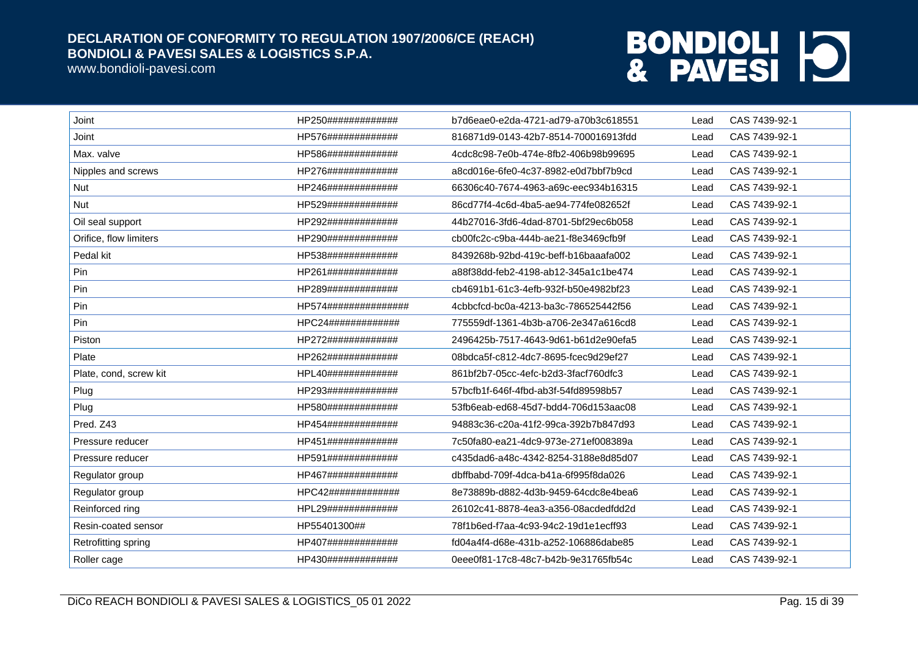www.bondioli-pavesi.com

| Joint                  | HP250#############   | b7d6eae0-e2da-4721-ad79-a70b3c618551 | Lead | CAS 7439-92-1 |
|------------------------|----------------------|--------------------------------------|------|---------------|
| Joint                  | HP576#############   | 816871d9-0143-42b7-8514-700016913fdd | Lead | CAS 7439-92-1 |
| Max. valve             | HP586#############   | 4cdc8c98-7e0b-474e-8fb2-406b98b99695 | Lead | CAS 7439-92-1 |
| Nipples and screws     | HP276#############   | a8cd016e-6fe0-4c37-8982-e0d7bbf7b9cd | Lead | CAS 7439-92-1 |
| Nut                    | HP246#############   | 66306c40-7674-4963-a69c-eec934b16315 | Lead | CAS 7439-92-1 |
| <b>Nut</b>             | HP529#############   | 86cd77f4-4c6d-4ba5-ae94-774fe082652f | Lead | CAS 7439-92-1 |
| Oil seal support       | HP292#############   | 44b27016-3fd6-4dad-8701-5bf29ec6b058 | Lead | CAS 7439-92-1 |
| Orifice, flow limiters | HP290#############   | cb00fc2c-c9ba-444b-ae21-f8e3469cfb9f | Lead | CAS 7439-92-1 |
| Pedal kit              | HP538#############   | 8439268b-92bd-419c-beff-b16baaafa002 | Lead | CAS 7439-92-1 |
| Pin                    | HP261#############   | a88f38dd-feb2-4198-ab12-345a1c1be474 | Lead | CAS 7439-92-1 |
| Pin                    | HP289#############   | cb4691b1-61c3-4efb-932f-b50e4982bf23 | Lead | CAS 7439-92-1 |
| Pin                    | HP574############### | 4cbbcfcd-bc0a-4213-ba3c-786525442f56 | Lead | CAS 7439-92-1 |
| Pin                    | HPC24#############   | 775559df-1361-4b3b-a706-2e347a616cd8 | Lead | CAS 7439-92-1 |
| Piston                 | HP272#############   | 2496425b-7517-4643-9d61-b61d2e90efa5 | Lead | CAS 7439-92-1 |
| Plate                  | HP262#############   | 08bdca5f-c812-4dc7-8695-fcec9d29ef27 | Lead | CAS 7439-92-1 |
| Plate, cond, screw kit | HPL40#############   | 861bf2b7-05cc-4efc-b2d3-3facf760dfc3 | Lead | CAS 7439-92-1 |
| Plug                   | HP293#############   | 57bcfb1f-646f-4fbd-ab3f-54fd89598b57 | Lead | CAS 7439-92-1 |
| Plug                   | HP580#############   | 53fb6eab-ed68-45d7-bdd4-706d153aac08 | Lead | CAS 7439-92-1 |
| Pred. Z43              | HP454#############   | 94883c36-c20a-41f2-99ca-392b7b847d93 | Lead | CAS 7439-92-1 |
| Pressure reducer       | HP451#############   | 7c50fa80-ea21-4dc9-973e-271ef008389a | Lead | CAS 7439-92-1 |
| Pressure reducer       | HP591#############   | c435dad6-a48c-4342-8254-3188e8d85d07 | Lead | CAS 7439-92-1 |
| Regulator group        | HP467#############   | dbffbabd-709f-4dca-b41a-6f995f8da026 | Lead | CAS 7439-92-1 |
| Regulator group        | HPC42#############   | 8e73889b-d882-4d3b-9459-64cdc8e4bea6 | Lead | CAS 7439-92-1 |
| Reinforced ring        | HPL29#############   | 26102c41-8878-4ea3-a356-08acdedfdd2d | Lead | CAS 7439-92-1 |
| Resin-coated sensor    | HP55401300##         | 78f1b6ed-f7aa-4c93-94c2-19d1e1ecff93 | Lead | CAS 7439-92-1 |
| Retrofitting spring    | HP407#############   | fd04a4f4-d68e-431b-a252-106886dabe85 | Lead | CAS 7439-92-1 |
| Roller cage            | HP430#############   | 0eee0f81-17c8-48c7-b42b-9e31765fb54c | Lead | CAS 7439-92-1 |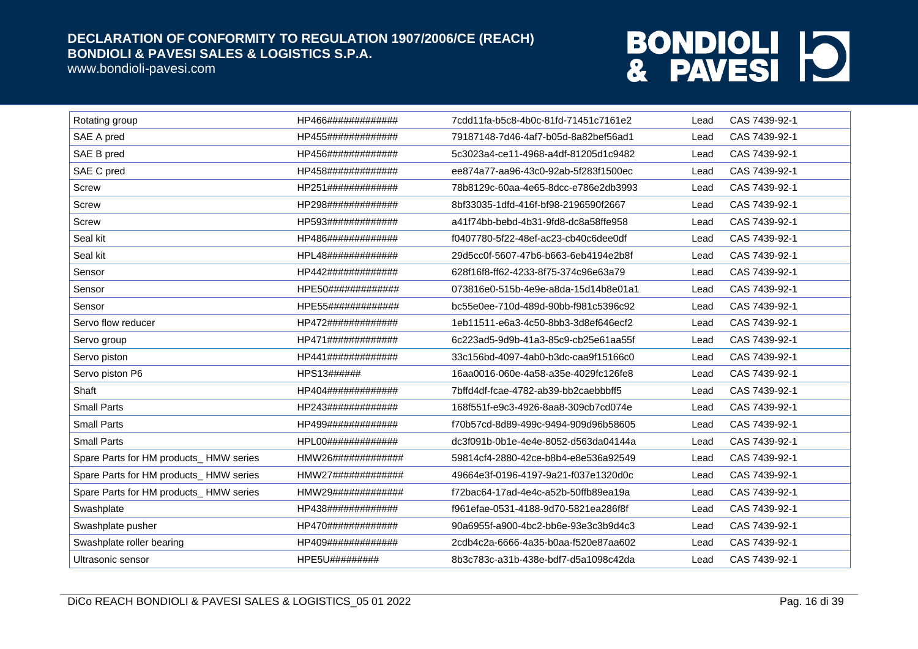www.bondioli-pavesi.com

| Rotating group                         | HP466############# | 7cdd11fa-b5c8-4b0c-81fd-71451c7161e2 | Lead | CAS 7439-92-1 |
|----------------------------------------|--------------------|--------------------------------------|------|---------------|
| SAE A pred                             | HP455############# | 79187148-7d46-4af7-b05d-8a82bef56ad1 | Lead | CAS 7439-92-1 |
| SAE B pred                             | HP456############# | 5c3023a4-ce11-4968-a4df-81205d1c9482 | Lead | CAS 7439-92-1 |
| SAE C pred                             | HP458############# | ee874a77-aa96-43c0-92ab-5f283f1500ec | Lead | CAS 7439-92-1 |
| Screw                                  | HP251############# | 78b8129c-60aa-4e65-8dcc-e786e2db3993 | Lead | CAS 7439-92-1 |
| <b>Screw</b>                           | HP298############# | 8bf33035-1dfd-416f-bf98-2196590f2667 | Lead | CAS 7439-92-1 |
| Screw                                  | HP593############# | a41f74bb-bebd-4b31-9fd8-dc8a58ffe958 | Lead | CAS 7439-92-1 |
| Seal kit                               | HP486############# | f0407780-5f22-48ef-ac23-cb40c6dee0df | Lead | CAS 7439-92-1 |
| Seal kit                               | HPL48############# | 29d5cc0f-5607-47b6-b663-6eb4194e2b8f | Lead | CAS 7439-92-1 |
| Sensor                                 | HP442############# | 628f16f8-ff62-4233-8f75-374c96e63a79 | Lead | CAS 7439-92-1 |
| Sensor                                 | HPE50############# | 073816e0-515b-4e9e-a8da-15d14b8e01a1 | Lead | CAS 7439-92-1 |
| Sensor                                 | HPE55############# | bc55e0ee-710d-489d-90bb-f981c5396c92 | Lead | CAS 7439-92-1 |
| Servo flow reducer                     | HP472############# | 1eb11511-e6a3-4c50-8bb3-3d8ef646ecf2 | Lead | CAS 7439-92-1 |
| Servo group                            | HP471############# | 6c223ad5-9d9b-41a3-85c9-cb25e61aa55f | Lead | CAS 7439-92-1 |
| Servo piston                           | HP441############# | 33c156bd-4097-4ab0-b3dc-caa9f15166c0 | Lead | CAS 7439-92-1 |
| Servo piston P6                        | HPS13######        | 16aa0016-060e-4a58-a35e-4029fc126fe8 | Lead | CAS 7439-92-1 |
| Shaft                                  | HP404############# | 7bffd4df-fcae-4782-ab39-bb2caebbbff5 | Lead | CAS 7439-92-1 |
| <b>Small Parts</b>                     | HP243############# | 168f551f-e9c3-4926-8aa8-309cb7cd074e | Lead | CAS 7439-92-1 |
| <b>Small Parts</b>                     | HP499############# | f70b57cd-8d89-499c-9494-909d96b58605 | Lead | CAS 7439-92-1 |
| <b>Small Parts</b>                     | HPL00############# | dc3f091b-0b1e-4e4e-8052-d563da04144a | Lead | CAS 7439-92-1 |
| Spare Parts for HM products_HMW series | HMW26############# | 59814cf4-2880-42ce-b8b4-e8e536a92549 | Lead | CAS 7439-92-1 |
| Spare Parts for HM products_HMW series | HMW27############# | 49664e3f-0196-4197-9a21-f037e1320d0c | Lead | CAS 7439-92-1 |
| Spare Parts for HM products_HMW series | HMW29############# | f72bac64-17ad-4e4c-a52b-50ffb89ea19a | Lead | CAS 7439-92-1 |
| Swashplate                             | HP438############# | f961efae-0531-4188-9d70-5821ea286f8f | Lead | CAS 7439-92-1 |
| Swashplate pusher                      | HP470############# | 90a6955f-a900-4bc2-bb6e-93e3c3b9d4c3 | Lead | CAS 7439-92-1 |
| Swashplate roller bearing              | HP409############# | 2cdb4c2a-6666-4a35-b0aa-f520e87aa602 | Lead | CAS 7439-92-1 |
| Ultrasonic sensor                      | HPE5U#########     | 8b3c783c-a31b-438e-bdf7-d5a1098c42da | Lead | CAS 7439-92-1 |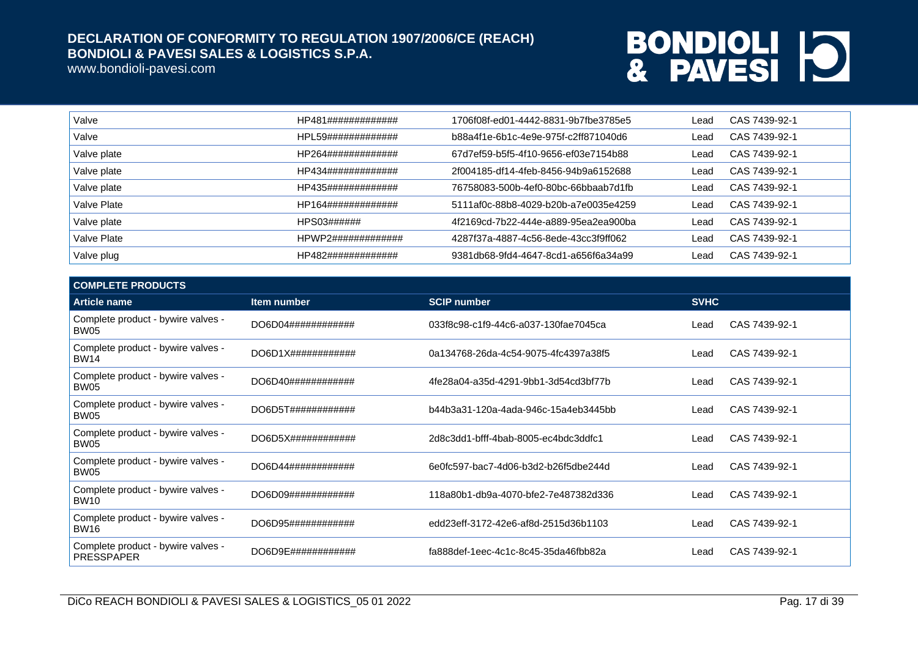www.bondioli-pavesi.com

| Valve       | HP481############# | 1706f08f-ed01-4442-8831-9b7fbe3785e5 | Lead | CAS 7439-92-1 |
|-------------|--------------------|--------------------------------------|------|---------------|
| Valve       | HPL59############# | b88a4f1e-6b1c-4e9e-975f-c2ff871040d6 | Lead | CAS 7439-92-1 |
| Valve plate | HP264############# | 67d7ef59-b5f5-4f10-9656-ef03e7154b88 | Lead | CAS 7439-92-1 |
| Valve plate | HP434############# | 2f004185-df14-4feb-8456-94b9a6152688 | Lead | CAS 7439-92-1 |
| Valve plate | HP435############# | 76758083-500b-4ef0-80bc-66bbaab7d1fb | Lead | CAS 7439-92-1 |
| Valve Plate | HP164############# | 5111af0c-88b8-4029-b20b-a7e0035e4259 | Lead | CAS 7439-92-1 |
| Valve plate | HPS03######        | 4f2169cd-7b22-444e-a889-95ea2ea900ba | Lead | CAS 7439-92-1 |
| Valve Plate | HPWP2############# | 4287f37a-4887-4c56-8ede-43cc3f9ff062 | Lead | CAS 7439-92-1 |
| Valve plug  | HP482############# | 9381db68-9fd4-4647-8cd1-a656f6a34a99 | Lead | CAS 7439-92-1 |

| <b>COMPLETE PRODUCTS</b>                                |                               |                                      |             |               |
|---------------------------------------------------------|-------------------------------|--------------------------------------|-------------|---------------|
| <b>Article name</b>                                     | <b>Item number</b>            | <b>SCIP number</b>                   | <b>SVHC</b> |               |
| Complete product - bywire valves -<br><b>BW05</b>       | DO6D04############            | 033f8c98-c1f9-44c6-a037-130fae7045ca | Lead        | CAS 7439-92-1 |
| Complete product - bywire valves -<br><b>BW14</b>       | $DO6D1X\#4\#4\#4\#4\#4\#4\#4$ | 0a134768-26da-4c54-9075-4fc4397a38f5 | Lead        | CAS 7439-92-1 |
| Complete product - bywire valves -<br><b>BW05</b>       | DO6D40############            | 4fe28a04-a35d-4291-9bb1-3d54cd3bf77b | Lead        | CAS 7439-92-1 |
| Complete product - bywire valves -<br>BW05              | DO6D5T############            | b44b3a31-120a-4ada-946c-15a4eb3445bb | Lead        | CAS 7439-92-1 |
| Complete product - bywire valves -<br>BW05              | DO6D5X#############           | 2d8c3dd1-bfff-4bab-8005-ec4bdc3ddfc1 | Lead        | CAS 7439-92-1 |
| Complete product - bywire valves -<br><b>BW05</b>       | DO6D44############            | 6e0fc597-bac7-4d06-b3d2-b26f5dbe244d | Lead        | CAS 7439-92-1 |
| Complete product - bywire valves -<br><b>BW10</b>       | DO6D09#############           | 118a80b1-db9a-4070-bfe2-7e487382d336 | Lead        | CAS 7439-92-1 |
| Complete product - bywire valves -<br><b>BW16</b>       | DO6D95############            | edd23eff-3172-42e6-af8d-2515d36b1103 | Lead        | CAS 7439-92-1 |
| Complete product - bywire valves -<br><b>PRESSPAPER</b> | DO6D9E############            | fa888def-1eec-4c1c-8c45-35da46fbb82a | Lead        | CAS 7439-92-1 |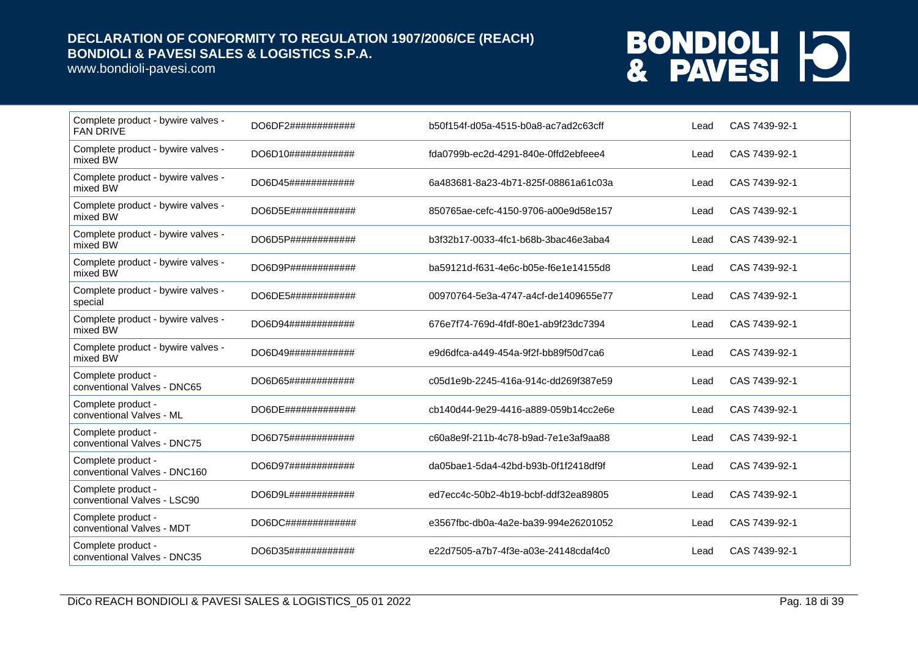www.bondioli-pavesi.com

| Complete product - bywire valves -<br><b>FAN DRIVE</b> | DO6DF2############           | b50f154f-d05a-4515-b0a8-ac7ad2c63cff | Lead | CAS 7439-92-1 |
|--------------------------------------------------------|------------------------------|--------------------------------------|------|---------------|
| Complete product - bywire valves -<br>mixed BW         | DO6D10############           | fda0799b-ec2d-4291-840e-0ffd2ebfeee4 | Lead | CAS 7439-92-1 |
| Complete product - bywire valves -<br>mixed BW         | DO6D45############           | 6a483681-8a23-4b71-825f-08861a61c03a | Lead | CAS 7439-92-1 |
| Complete product - bywire valves -<br>mixed BW         | DO6D5E############           | 850765ae-cefc-4150-9706-a00e9d58e157 | Lead | CAS 7439-92-1 |
| Complete product - bywire valves -<br>mixed BW         | DO6D5P############           | b3f32b17-0033-4fc1-b68b-3bac46e3aba4 | Lead | CAS 7439-92-1 |
| Complete product - bywire valves -<br>mixed BW         | DO6D9P#############          | ba59121d-f631-4e6c-b05e-f6e1e14155d8 | Lead | CAS 7439-92-1 |
| Complete product - bywire valves -<br>special          | DO6DE5############           | 00970764-5e3a-4747-a4cf-de1409655e77 | Lead | CAS 7439-92-1 |
| Complete product - bywire valves -<br>mixed BW         | DO6D94############           | 676e7f74-769d-4fdf-80e1-ab9f23dc7394 | Lead | CAS 7439-92-1 |
| Complete product - bywire valves -<br>mixed BW         | DO6D49############           | e9d6dfca-a449-454a-9f2f-bb89f50d7ca6 | Lead | CAS 7439-92-1 |
| Complete product -<br>conventional Valves - DNC65      | DO6D65############           | c05d1e9b-2245-416a-914c-dd269f387e59 | Lead | CAS 7439-92-1 |
| Complete product -<br>conventional Valves - ML         | DO6DE#############           | cb140d44-9e29-4416-a889-059b14cc2e6e | Lead | CAS 7439-92-1 |
| Complete product -<br>conventional Valves - DNC75      | DO6D75############           | c60a8e9f-211b-4c78-b9ad-7e1e3af9aa88 | Lead | CAS 7439-92-1 |
| Complete product -<br>conventional Valves - DNC160     | DO6D97############           | da05bae1-5da4-42bd-b93b-0f1f2418df9f | Lead | CAS 7439-92-1 |
| Complete product -<br>conventional Valves - LSC90      | DO6D9L############           | ed7ecc4c-50b2-4b19-bcbf-ddf32ea89805 | Lead | CAS 7439-92-1 |
| Complete product -<br>conventional Valves - MDT        | $DO6DC\#4\#4\#4\#4\#4\#4\#4$ | e3567fbc-db0a-4a2e-ba39-994e26201052 | Lead | CAS 7439-92-1 |
| Complete product -<br>conventional Valves - DNC35      | DO6D35############           | e22d7505-a7b7-4f3e-a03e-24148cdaf4c0 | Lead | CAS 7439-92-1 |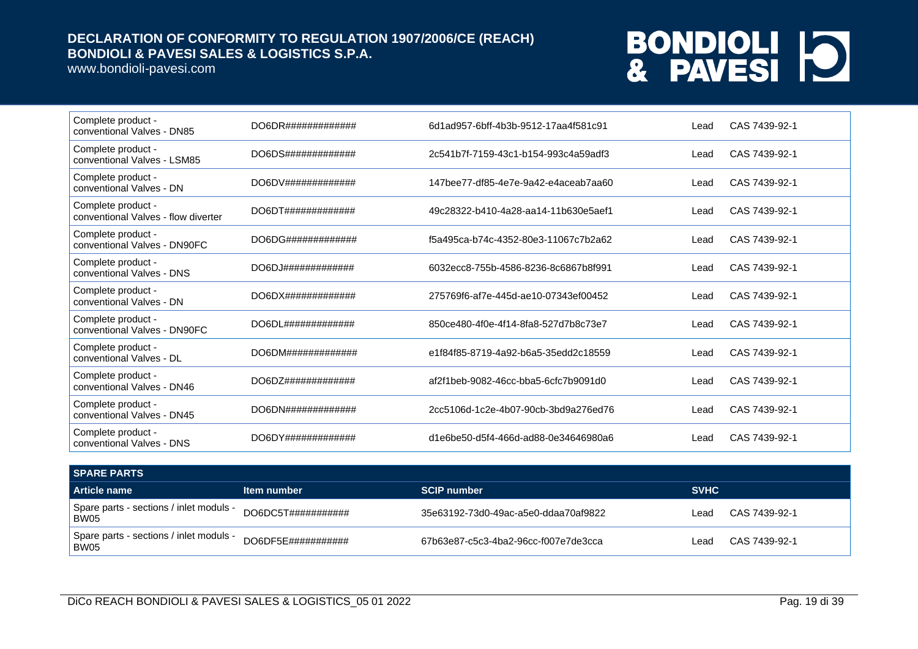www.bondioli-pavesi.com

| Complete product -<br>conventional Valves - DN85          | DO6DR#############     | 6d1ad957-6bff-4b3b-9512-17aa4f581c91 | Lead | CAS 7439-92-1 |
|-----------------------------------------------------------|------------------------|--------------------------------------|------|---------------|
| Complete product -<br>conventional Valves - LSM85         | DO6DS#############     | 2c541b7f-7159-43c1-b154-993c4a59adf3 | Lead | CAS 7439-92-1 |
| Complete product -<br>conventional Valves - DN            | DO6DV#############     | 147bee77-df85-4e7e-9a42-e4aceab7aa60 | Lead | CAS 7439-92-1 |
| Complete product -<br>conventional Valves - flow diverter | DO6DT#############     | 49c28322-b410-4a28-aa14-11b630e5aef1 | Lead | CAS 7439-92-1 |
| Complete product -<br>conventional Valves - DN90FC        | DO6DG#############     | f5a495ca-b74c-4352-80e3-11067c7b2a62 | Lead | CAS 7439-92-1 |
| Complete product -<br>conventional Valves - DNS           | DO6DJ#############     | 6032ecc8-755b-4586-8236-8c6867b8f991 | Lead | CAS 7439-92-1 |
| Complete product -<br>conventional Valves - DN            |                        | 275769f6-af7e-445d-ae10-07343ef00452 | Lead | CAS 7439-92-1 |
| Complete product -<br>conventional Valves - DN90FC        | DO6DL#############     | 850ce480-4f0e-4f14-8fa8-527d7b8c73e7 | Lead | CAS 7439-92-1 |
| Complete product -<br>conventional Valves - DL            |                        | e1f84f85-8719-4a92-b6a5-35edd2c18559 | Lead | CAS 7439-92-1 |
| Complete product -<br>conventional Valves - DN46          | $DO6DZ$ ############## | af2f1beb-9082-46cc-bba5-6cfc7b9091d0 | Lead | CAS 7439-92-1 |
| Complete product -<br>conventional Valves - DN45          | DO6DN#############     | 2cc5106d-1c2e-4b07-90cb-3bd9a276ed76 | Lead | CAS 7439-92-1 |
| Complete product -<br>conventional Valves - DNS           | DO6DY#############     | d1e6be50-d5f4-466d-ad88-0e34646980a6 | Lead | CAS 7439-92-1 |

| I SPARE PARTS                                   |                    |                                      |             |               |  |
|-------------------------------------------------|--------------------|--------------------------------------|-------------|---------------|--|
| Article name                                    | Item number        | <b>SCIP number</b>                   | <b>SVHC</b> |               |  |
| Spare parts - sections / inlet moduls -<br>BW05 | DO6DC5T########### | 35e63192-73d0-49ac-a5e0-ddaa70af9822 | ∟ead        | CAS 7439-92-1 |  |
| Spare parts - sections / inlet moduls -<br>BW05 | DO6DF5E########### | 67b63e87-c5c3-4ba2-96cc-f007e7de3cca | ∟ead        | CAS 7439-92-1 |  |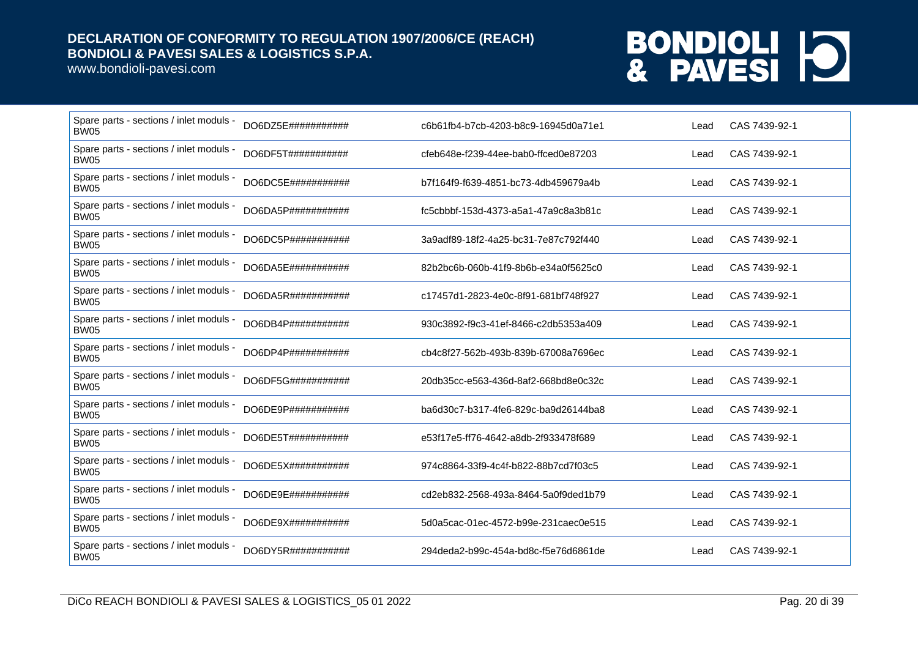www.bondioli-pavesi.com

| Spare parts - sections / inlet moduls -<br><b>BW05</b> | DO6DZ5E###########  | c6b61fb4-b7cb-4203-b8c9-16945d0a71e1 | Lead | CAS 7439-92-1 |
|--------------------------------------------------------|---------------------|--------------------------------------|------|---------------|
| Spare parts - sections / inlet moduls -<br><b>BW05</b> | DO6DF5T###########  | cfeb648e-f239-44ee-bab0-ffced0e87203 | Lead | CAS 7439-92-1 |
| Spare parts - sections / inlet moduls -<br><b>BW05</b> | DO6DC5E###########  | b7f164f9-f639-4851-bc73-4db459679a4b | Lead | CAS 7439-92-1 |
| Spare parts - sections / inlet moduls -<br><b>BW05</b> | DO6DA5P###########  | fc5cbbbf-153d-4373-a5a1-47a9c8a3b81c | Lead | CAS 7439-92-1 |
| Spare parts - sections / inlet moduls -<br><b>BW05</b> | DO6DC5P###########  | 3a9adf89-18f2-4a25-bc31-7e87c792f440 | Lead | CAS 7439-92-1 |
| Spare parts - sections / inlet moduls -<br><b>BW05</b> | DO6DA5E###########  | 82b2bc6b-060b-41f9-8b6b-e34a0f5625c0 | Lead | CAS 7439-92-1 |
| Spare parts - sections / inlet moduls -<br><b>BW05</b> | DO6DA5R###########  | c17457d1-2823-4e0c-8f91-681bf748f927 | Lead | CAS 7439-92-1 |
| Spare parts - sections / inlet moduls -<br><b>BW05</b> | DO6DB4P###########  | 930c3892-f9c3-41ef-8466-c2db5353a409 | Lead | CAS 7439-92-1 |
| Spare parts - sections / inlet moduls -<br><b>BW05</b> | DO6DP4P###########  | cb4c8f27-562b-493b-839b-67008a7696ec | Lead | CAS 7439-92-1 |
| Spare parts - sections / inlet moduls -<br><b>BW05</b> | DO6DF5G###########  | 20db35cc-e563-436d-8af2-668bd8e0c32c | Lead | CAS 7439-92-1 |
| Spare parts - sections / inlet moduls -<br><b>BW05</b> | DO6DE9P###########  | ba6d30c7-b317-4fe6-829c-ba9d26144ba8 | Lead | CAS 7439-92-1 |
| Spare parts - sections / inlet moduls -<br><b>BW05</b> | DO6DE5T###########  | e53f17e5-ff76-4642-a8db-2f933478f689 | Lead | CAS 7439-92-1 |
| Spare parts - sections / inlet moduls -<br><b>BW05</b> | DO6DE5X###########  | 974c8864-33f9-4c4f-b822-88b7cd7f03c5 | Lead | CAS 7439-92-1 |
| Spare parts - sections / inlet moduls -<br><b>BW05</b> | DO6DE9E###########  | cd2eb832-2568-493a-8464-5a0f9ded1b79 | Lead | CAS 7439-92-1 |
| Spare parts - sections / inlet moduls -<br><b>BW05</b> | DO6DE9X############ | 5d0a5cac-01ec-4572-b99e-231caec0e515 | Lead | CAS 7439-92-1 |
| Spare parts - sections / inlet moduls -<br><b>BW05</b> | DO6DY5R###########  | 294deda2-b99c-454a-bd8c-f5e76d6861de | Lead | CAS 7439-92-1 |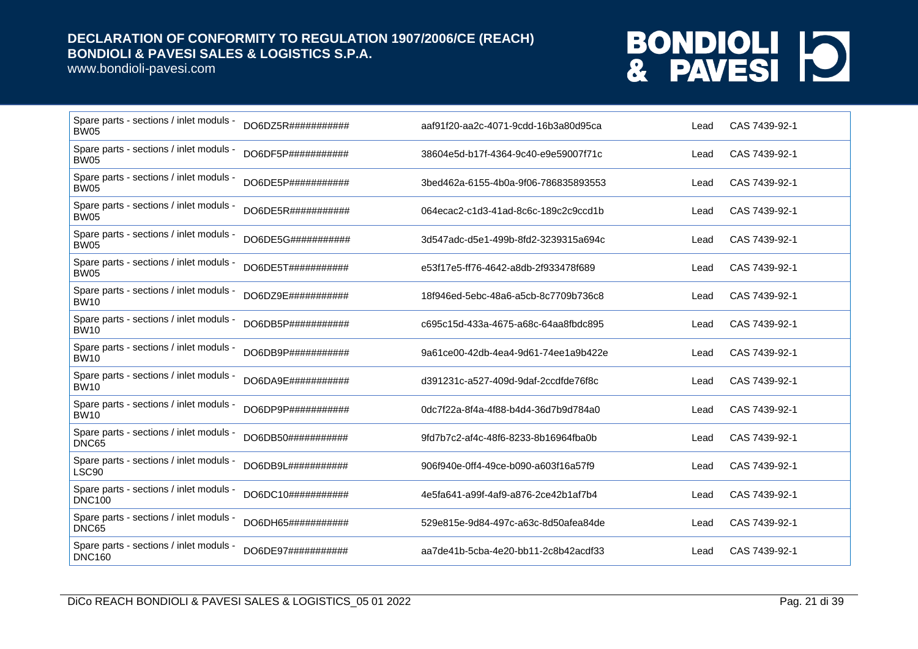www.bondioli-pavesi.com

| Spare parts - sections / inlet moduls -<br><b>BW05</b>   | DO6DZ5R###########  | aaf91f20-aa2c-4071-9cdd-16b3a80d95ca | Lead | CAS 7439-92-1 |
|----------------------------------------------------------|---------------------|--------------------------------------|------|---------------|
| Spare parts - sections / inlet moduls -<br><b>BW05</b>   | DO6DF5P###########  | 38604e5d-b17f-4364-9c40-e9e59007f71c | Lead | CAS 7439-92-1 |
| Spare parts - sections / inlet moduls -<br><b>BW05</b>   | DO6DE5P###########  | 3bed462a-6155-4b0a-9f06-786835893553 | Lead | CAS 7439-92-1 |
| Spare parts - sections / inlet moduls -<br><b>BW05</b>   | DO6DE5R###########  | 064ecac2-c1d3-41ad-8c6c-189c2c9ccd1b | Lead | CAS 7439-92-1 |
| Spare parts - sections / inlet moduls -<br><b>BW05</b>   | DO6DE5G###########  | 3d547adc-d5e1-499b-8fd2-3239315a694c | Lead | CAS 7439-92-1 |
| Spare parts - sections / inlet moduls -<br><b>BW05</b>   | DO6DE5T###########  | e53f17e5-ff76-4642-a8db-2f933478f689 | Lead | CAS 7439-92-1 |
| Spare parts - sections / inlet moduls -<br><b>BW10</b>   | DO6DZ9E###########  | 18f946ed-5ebc-48a6-a5cb-8c7709b736c8 | Lead | CAS 7439-92-1 |
| Spare parts - sections / inlet moduls -<br><b>BW10</b>   | DO6DB5P###########  | c695c15d-433a-4675-a68c-64aa8fbdc895 | Lead | CAS 7439-92-1 |
| Spare parts - sections / inlet moduls -<br><b>BW10</b>   | DO6DB9P###########  | 9a61ce00-42db-4ea4-9d61-74ee1a9b422e | Lead | CAS 7439-92-1 |
| Spare parts - sections / inlet moduls -<br><b>BW10</b>   | DO6DA9E###########  | d391231c-a527-409d-9daf-2ccdfde76f8c | Lead | CAS 7439-92-1 |
| Spare parts - sections / inlet moduls -<br><b>BW10</b>   | DO6DP9P###########  | 0dc7f22a-8f4a-4f88-b4d4-36d7b9d784a0 | Lead | CAS 7439-92-1 |
| Spare parts - sections / inlet moduls -<br>DNC65         | DO6DB50###########  | 9fd7b7c2-af4c-48f6-8233-8b16964fba0b | Lead | CAS 7439-92-1 |
| Spare parts - sections / inlet moduls -<br>LSC90         | DO6DB9L############ | 906f940e-0ff4-49ce-b090-a603f16a57f9 | Lead | CAS 7439-92-1 |
| Spare parts - sections / inlet moduls -<br><b>DNC100</b> | DO6DC10############ | 4e5fa641-a99f-4af9-a876-2ce42b1af7b4 | Lead | CAS 7439-92-1 |
| Spare parts - sections / inlet moduls -<br>DNC65         | DO6DH65###########  | 529e815e-9d84-497c-a63c-8d50afea84de | Lead | CAS 7439-92-1 |
| Spare parts - sections / inlet moduls -<br><b>DNC160</b> | DO6DE97###########  | aa7de41b-5cba-4e20-bb11-2c8b42acdf33 | Lead | CAS 7439-92-1 |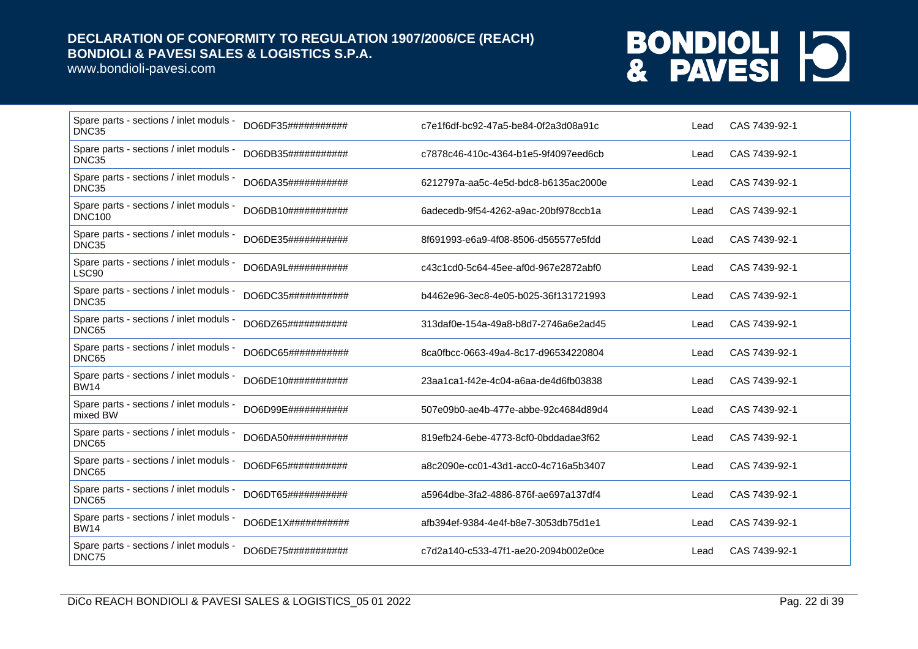www.bondioli-pavesi.com

| Spare parts - sections / inlet moduls -<br>DNC35         | DO6DF35###########        | c7e1f6df-bc92-47a5-be84-0f2a3d08a91c | Lead | CAS 7439-92-1 |
|----------------------------------------------------------|---------------------------|--------------------------------------|------|---------------|
| Spare parts - sections / inlet moduls -<br>DNC35         | DO6DB35###########        | c7878c46-410c-4364-b1e5-9f4097eed6cb | Lead | CAS 7439-92-1 |
| Spare parts - sections / inlet moduls -<br>DNC35         | DO6DA35###########        | 6212797a-aa5c-4e5d-bdc8-b6135ac2000e | Lead | CAS 7439-92-1 |
| Spare parts - sections / inlet moduls -<br><b>DNC100</b> | DO6DB10############       | 6adecedb-9f54-4262-a9ac-20bf978ccb1a | Lead | CAS 7439-92-1 |
| Spare parts - sections / inlet moduls -<br>DNC35         | DO6DE35###########        | 8f691993-e6a9-4f08-8506-d565577e5fdd | Lead | CAS 7439-92-1 |
| Spare parts - sections / inlet moduls -<br>LSC90         | DO6DA9L###########        | c43c1cd0-5c64-45ee-af0d-967e2872abf0 | Lead | CAS 7439-92-1 |
| Spare parts - sections / inlet moduls -<br>DNC35         | DO6DC35###########        | b4462e96-3ec8-4e05-b025-36f131721993 | Lead | CAS 7439-92-1 |
| Spare parts - sections / inlet moduls -<br>DNC65         | DO6DZ65###########        | 313daf0e-154a-49a8-b8d7-2746a6e2ad45 | Lead | CAS 7439-92-1 |
| Spare parts - sections / inlet moduls -<br>DNC65         | DO6DC65###########        | 8ca0fbcc-0663-49a4-8c17-d96534220804 | Lead | CAS 7439-92-1 |
| Spare parts - sections / inlet moduls -<br><b>BW14</b>   | DO6DE10############       | 23aa1ca1-f42e-4c04-a6aa-de4d6fb03838 | Lead | CAS 7439-92-1 |
| Spare parts - sections / inlet moduls -<br>mixed BW      | DO6D99E###########        | 507e09b0-ae4b-477e-abbe-92c4684d89d4 | Lead | CAS 7439-92-1 |
| Spare parts - sections / inlet moduls -<br>DNC65         | DO6DA50############       | 819efb24-6ebe-4773-8cf0-0bddadae3f62 | Lead | CAS 7439-92-1 |
| Spare parts - sections / inlet moduls -<br>DNC65         | DO6DF65###########        | a8c2090e-cc01-43d1-acc0-4c716a5b3407 | Lead | CAS 7439-92-1 |
| Spare parts - sections / inlet moduls -<br>DNC65         | DO6DT65###########        | a5964dbe-3fa2-4886-876f-ae697a137df4 | Lead | CAS 7439-92-1 |
| Spare parts - sections / inlet moduls -<br><b>BW14</b>   | $DO6DE1X\#44444444444444$ | afb394ef-9384-4e4f-b8e7-3053db75d1e1 | Lead | CAS 7439-92-1 |
| Spare parts - sections / inlet moduls -<br>DNC75         | DO6DE75###########        | c7d2a140-c533-47f1-ae20-2094b002e0ce | Lead | CAS 7439-92-1 |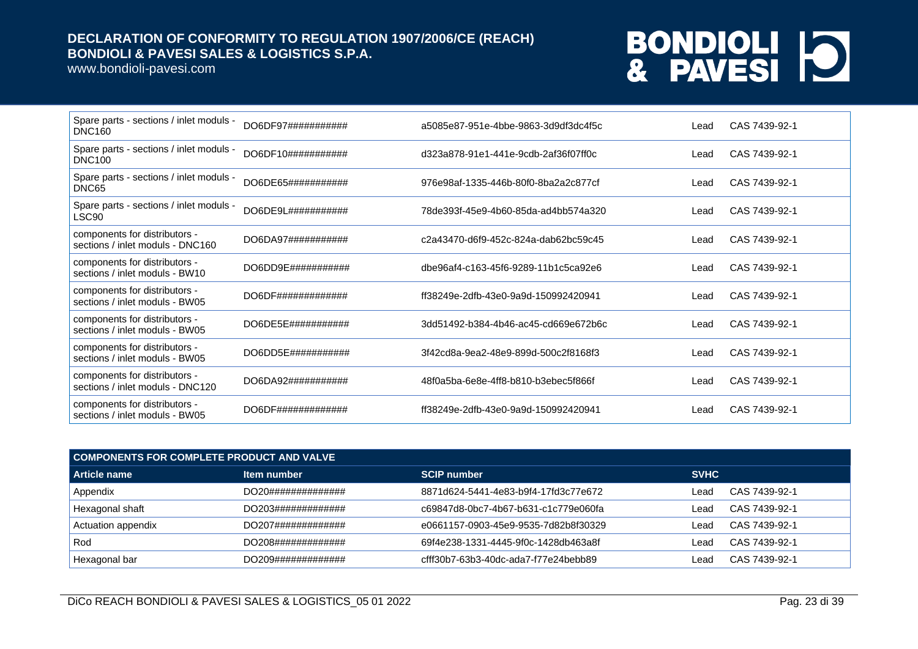www.bondioli-pavesi.com

| Spare parts - sections / inlet moduls -<br><b>DNC160</b>          | DO6DF97########### | a5085e87-951e-4bbe-9863-3d9df3dc4f5c | Lead | CAS 7439-92-1 |
|-------------------------------------------------------------------|--------------------|--------------------------------------|------|---------------|
| Spare parts - sections / inlet moduls -<br><b>DNC100</b>          | DO6DF10########### | d323a878-91e1-441e-9cdb-2af36f07ff0c | Lead | CAS 7439-92-1 |
| Spare parts - sections / inlet moduls -<br>DNC65                  | DO6DE65########### | 976e98af-1335-446b-80f0-8ba2a2c877cf | Lead | CAS 7439-92-1 |
| Spare parts - sections / inlet moduls -<br>LSC90                  | DO6DE9L########### | 78de393f-45e9-4b60-85da-ad4bb574a320 | Lead | CAS 7439-92-1 |
| components for distributors -<br>sections / inlet moduls - DNC160 | DO6DA97########### | c2a43470-d6f9-452c-824a-dab62bc59c45 | Lead | CAS 7439-92-1 |
| components for distributors -<br>sections / inlet moduls - BW10   | DO6DD9E########### | dbe96af4-c163-45f6-9289-11b1c5ca92e6 | Lead | CAS 7439-92-1 |
| components for distributors -<br>sections / inlet moduls - BW05   |                    | ff38249e-2dfb-43e0-9a9d-150992420941 | Lead | CAS 7439-92-1 |
| components for distributors -<br>sections / inlet moduls - BW05   | DO6DE5E########### | 3dd51492-b384-4b46-ac45-cd669e672b6c | Lead | CAS 7439-92-1 |
| components for distributors -<br>sections / inlet moduls - BW05   | DO6DD5E########### | 3f42cd8a-9ea2-48e9-899d-500c2f8168f3 | Lead | CAS 7439-92-1 |
| components for distributors -<br>sections / inlet moduls - DNC120 | DO6DA92########### | 48f0a5ba-6e8e-4ff8-b810-b3ebec5f866f | Lead | CAS 7439-92-1 |
| components for distributors -<br>sections / inlet moduls - BW05   | DO6DF############# | ff38249e-2dfb-43e0-9a9d-150992420941 | Lead | CAS 7439-92-1 |

| COMPONENTS FOR COMPLETE PRODUCT AND VALVE |                    |                                      |             |               |  |
|-------------------------------------------|--------------------|--------------------------------------|-------------|---------------|--|
| Article name                              | Item number        | <b>SCIP number</b>                   | <b>SVHC</b> |               |  |
| Appendix                                  | DO20############## | 8871d624-5441-4e83-b9f4-17fd3c77e672 | _ead        | CAS 7439-92-1 |  |
| Hexagonal shaft                           | DO203############# | c69847d8-0bc7-4b67-b631-c1c779e060fa | _ead        | CAS 7439-92-1 |  |
| Actuation appendix                        | DO207############# | e0661157-0903-45e9-9535-7d82b8f30329 | Lead        | CAS 7439-92-1 |  |
| Rod                                       | DO208############# | 69f4e238-1331-4445-9f0c-1428db463a8f | _ead        | CAS 7439-92-1 |  |
| Hexagonal bar                             | DO209############# | cfff30b7-63b3-40dc-ada7-f77e24bebb89 | _ead        | CAS 7439-92-1 |  |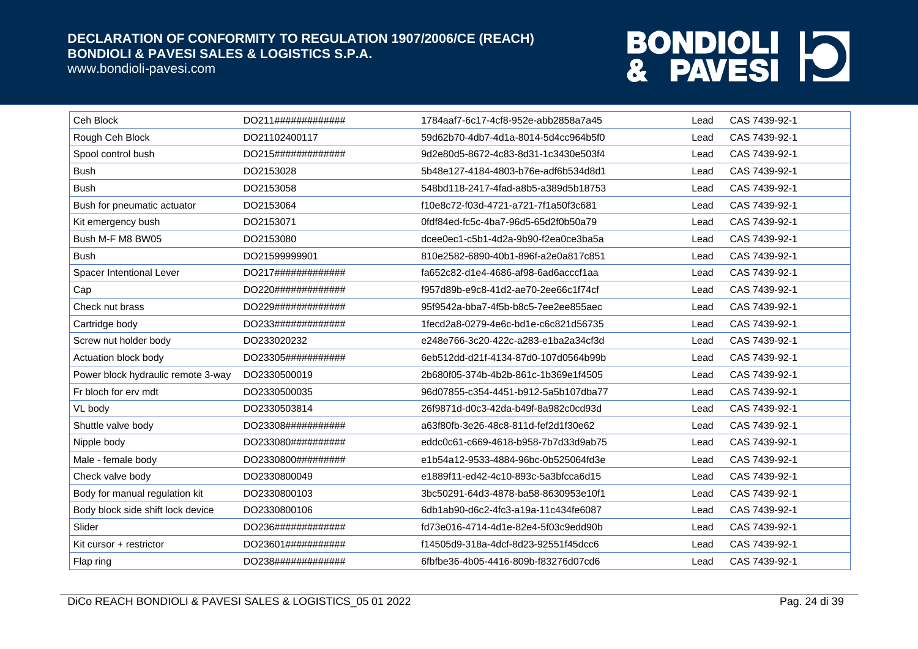www.bondioli-pavesi.com

| Ceh Block                          | DO211############# | 1784aaf7-6c17-4cf8-952e-abb2858a7a45 | Lead | CAS 7439-92-1 |
|------------------------------------|--------------------|--------------------------------------|------|---------------|
| Rough Ceh Block                    | DO21102400117      | 59d62b70-4db7-4d1a-8014-5d4cc964b5f0 | Lead | CAS 7439-92-1 |
| Spool control bush                 | DO215############# | 9d2e80d5-8672-4c83-8d31-1c3430e503f4 | Lead | CAS 7439-92-1 |
| <b>Bush</b>                        | DO2153028          | 5b48e127-4184-4803-b76e-adf6b534d8d1 | Lead | CAS 7439-92-1 |
| <b>Bush</b>                        | DO2153058          | 548bd118-2417-4fad-a8b5-a389d5b18753 | Lead | CAS 7439-92-1 |
| Bush for pneumatic actuator        | DO2153064          | f10e8c72-f03d-4721-a721-7f1a50f3c681 | Lead | CAS 7439-92-1 |
| Kit emergency bush                 | DO2153071          | 0fdf84ed-fc5c-4ba7-96d5-65d2f0b50a79 | Lead | CAS 7439-92-1 |
| Bush M-F M8 BW05                   | DO2153080          | dcee0ec1-c5b1-4d2a-9b90-f2ea0ce3ba5a | Lead | CAS 7439-92-1 |
| <b>Bush</b>                        | DO21599999901      | 810e2582-6890-40b1-896f-a2e0a817c851 | Lead | CAS 7439-92-1 |
| Spacer Intentional Lever           | DO217############# | fa652c82-d1e4-4686-af98-6ad6acccf1aa | Lead | CAS 7439-92-1 |
| Cap                                | DO220############# | f957d89b-e9c8-41d2-ae70-2ee66c1f74cf | Lead | CAS 7439-92-1 |
| Check nut brass                    | DO229############# | 95f9542a-bba7-4f5b-b8c5-7ee2ee855aec | Lead | CAS 7439-92-1 |
| Cartridge body                     | DO233############# | 1fecd2a8-0279-4e6c-bd1e-c6c821d56735 | Lead | CAS 7439-92-1 |
| Screw nut holder body              | DO233020232        | e248e766-3c20-422c-a283-e1ba2a34cf3d | Lead | CAS 7439-92-1 |
| Actuation block body               | DO23305########### | 6eb512dd-d21f-4134-87d0-107d0564b99b | Lead | CAS 7439-92-1 |
| Power block hydraulic remote 3-way | DO2330500019       | 2b680f05-374b-4b2b-861c-1b369e1f4505 | Lead | CAS 7439-92-1 |
| Fr bloch for erv mdt               | DO2330500035       | 96d07855-c354-4451-b912-5a5b107dba77 | Lead | CAS 7439-92-1 |
| VL body                            | DO2330503814       | 26f9871d-d0c3-42da-b49f-8a982c0cd93d | Lead | CAS 7439-92-1 |
| Shuttle valve body                 | DO23308########### | a63f80fb-3e26-48c8-811d-fef2d1f30e62 | Lead | CAS 7439-92-1 |
| Nipple body                        | DO233080########## | eddc0c61-c669-4618-b958-7b7d33d9ab75 | Lead | CAS 7439-92-1 |
| Male - female body                 | DO2330800######### | e1b54a12-9533-4884-96bc-0b525064fd3e | Lead | CAS 7439-92-1 |
| Check valve body                   | DO2330800049       | e1889f11-ed42-4c10-893c-5a3bfcca6d15 | Lead | CAS 7439-92-1 |
| Body for manual regulation kit     | DO2330800103       | 3bc50291-64d3-4878-ba58-8630953e10f1 | Lead | CAS 7439-92-1 |
| Body block side shift lock device  | DO2330800106       | 6db1ab90-d6c2-4fc3-a19a-11c434fe6087 | Lead | CAS 7439-92-1 |
| Slider                             | DO236############# | fd73e016-4714-4d1e-82e4-5f03c9edd90b | Lead | CAS 7439-92-1 |
| Kit cursor + restrictor            | DO23601########### | f14505d9-318a-4dcf-8d23-92551f45dcc6 | Lead | CAS 7439-92-1 |
| Flap ring                          | DO238############# | 6fbfbe36-4b05-4416-809b-f83276d07cd6 | Lead | CAS 7439-92-1 |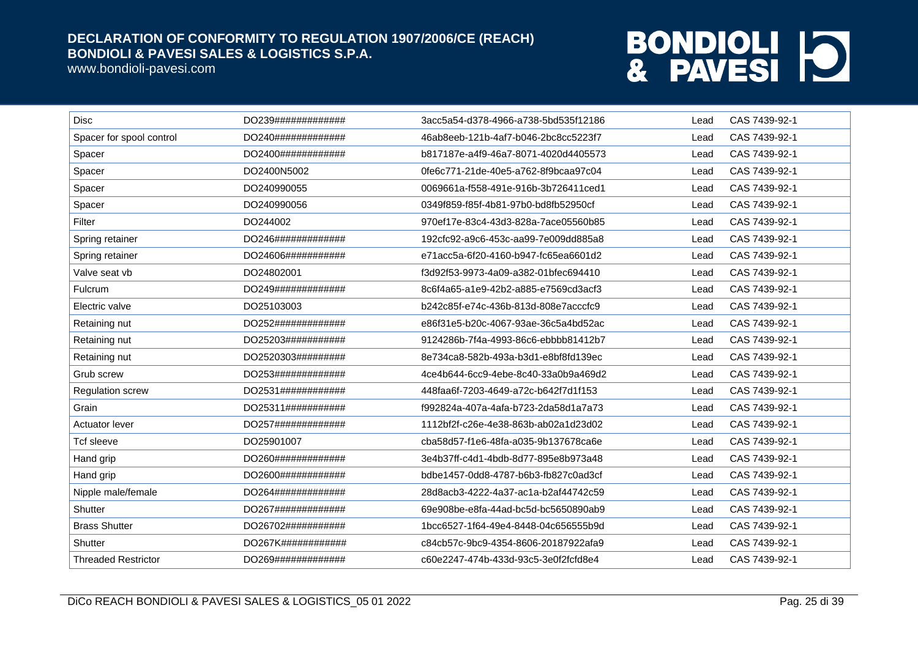www.bondioli-pavesi.com

| <b>Disc</b>                | DO239############# | 3acc5a54-d378-4966-a738-5bd535f12186 | Lead | CAS 7439-92-1 |
|----------------------------|--------------------|--------------------------------------|------|---------------|
| Spacer for spool control   | DO240############# | 46ab8eeb-121b-4af7-b046-2bc8cc5223f7 | Lead | CAS 7439-92-1 |
| Spacer                     | DO2400############ | b817187e-a4f9-46a7-8071-4020d4405573 | Lead | CAS 7439-92-1 |
| Spacer                     | DO2400N5002        | 0fe6c771-21de-40e5-a762-8f9bcaa97c04 | Lead | CAS 7439-92-1 |
| Spacer                     | DO240990055        | 0069661a-f558-491e-916b-3b726411ced1 | Lead | CAS 7439-92-1 |
| Spacer                     | DO240990056        | 0349f859-f85f-4b81-97b0-bd8fb52950cf | Lead | CAS 7439-92-1 |
| Filter                     | DO244002           | 970ef17e-83c4-43d3-828a-7ace05560b85 | Lead | CAS 7439-92-1 |
| Spring retainer            | DO246############# | 192cfc92-a9c6-453c-aa99-7e009dd885a8 | Lead | CAS 7439-92-1 |
| Spring retainer            | DO24606########### | e71acc5a-6f20-4160-b947-fc65ea6601d2 | Lead | CAS 7439-92-1 |
| Valve seat vb              | DO24802001         | f3d92f53-9973-4a09-a382-01bfec694410 | Lead | CAS 7439-92-1 |
| <b>Fulcrum</b>             | DO249############# | 8c6f4a65-a1e9-42b2-a885-e7569cd3acf3 | Lead | CAS 7439-92-1 |
| Electric valve             | DO25103003         | b242c85f-e74c-436b-813d-808e7acccfc9 | Lead | CAS 7439-92-1 |
| Retaining nut              | DO252############# | e86f31e5-b20c-4067-93ae-36c5a4bd52ac | Lead | CAS 7439-92-1 |
| Retaining nut              | DO25203########### | 9124286b-7f4a-4993-86c6-ebbbb81412b7 | Lead | CAS 7439-92-1 |
| Retaining nut              | DO2520303######### | 8e734ca8-582b-493a-b3d1-e8bf8fd139ec | Lead | CAS 7439-92-1 |
| Grub screw                 | DO253############# | 4ce4b644-6cc9-4ebe-8c40-33a0b9a469d2 | Lead | CAS 7439-92-1 |
| Regulation screw           | DO2531############ | 448faa6f-7203-4649-a72c-b642f7d1f153 | Lead | CAS 7439-92-1 |
| Grain                      | DO25311########### | f992824a-407a-4afa-b723-2da58d1a7a73 | Lead | CAS 7439-92-1 |
| Actuator lever             | DO257############# | 1112bf2f-c26e-4e38-863b-ab02a1d23d02 | Lead | CAS 7439-92-1 |
| <b>Tcf sleeve</b>          | DO25901007         | cba58d57-f1e6-48fa-a035-9b137678ca6e | Lead | CAS 7439-92-1 |
| Hand grip                  | DO260############# | 3e4b37ff-c4d1-4bdb-8d77-895e8b973a48 | Lead | CAS 7439-92-1 |
| Hand grip                  | DO2600############ | bdbe1457-0dd8-4787-b6b3-fb827c0ad3cf | Lead | CAS 7439-92-1 |
| Nipple male/female         | DO264############# | 28d8acb3-4222-4a37-ac1a-b2af44742c59 | Lead | CAS 7439-92-1 |
| Shutter                    | DO267############# | 69e908be-e8fa-44ad-bc5d-bc5650890ab9 | Lead | CAS 7439-92-1 |
| <b>Brass Shutter</b>       | DO26702########### | 1bcc6527-1f64-49e4-8448-04c656555b9d | Lead | CAS 7439-92-1 |
| Shutter                    | DO267K############ | c84cb57c-9bc9-4354-8606-20187922afa9 | Lead | CAS 7439-92-1 |
| <b>Threaded Restrictor</b> | DO269############# | c60e2247-474b-433d-93c5-3e0f2fcfd8e4 | Lead | CAS 7439-92-1 |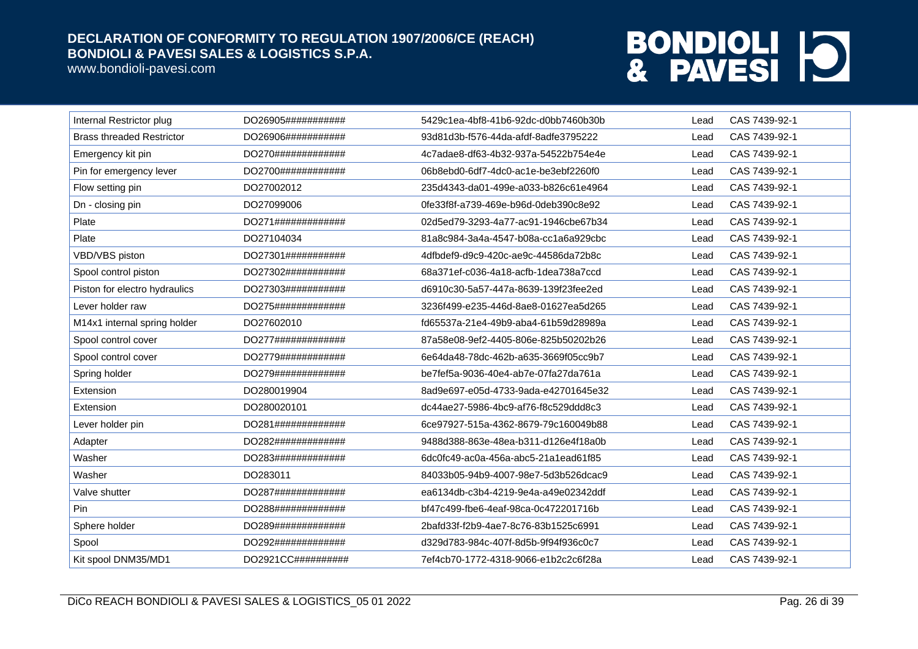www.bondioli-pavesi.com

| Internal Restrictor plug         | DO26905########### | 5429c1ea-4bf8-41b6-92dc-d0bb7460b30b | Lead | CAS 7439-92-1 |
|----------------------------------|--------------------|--------------------------------------|------|---------------|
| <b>Brass threaded Restrictor</b> | DO26906########### | 93d81d3b-f576-44da-afdf-8adfe3795222 | Lead | CAS 7439-92-1 |
| Emergency kit pin                | DO270############# | 4c7adae8-df63-4b32-937a-54522b754e4e | Lead | CAS 7439-92-1 |
| Pin for emergency lever          | DO2700############ | 06b8ebd0-6df7-4dc0-ac1e-be3ebf2260f0 | Lead | CAS 7439-92-1 |
| Flow setting pin                 | DO27002012         | 235d4343-da01-499e-a033-b826c61e4964 | Lead | CAS 7439-92-1 |
| Dn - closing pin                 | DO27099006         | 0fe33f8f-a739-469e-b96d-0deb390c8e92 | Lead | CAS 7439-92-1 |
| Plate                            | DO271############# | 02d5ed79-3293-4a77-ac91-1946cbe67b34 | Lead | CAS 7439-92-1 |
| Plate                            | DO27104034         | 81a8c984-3a4a-4547-b08a-cc1a6a929cbc | Lead | CAS 7439-92-1 |
| VBD/VBS piston                   | DO27301########### | 4dfbdef9-d9c9-420c-ae9c-44586da72b8c | Lead | CAS 7439-92-1 |
| Spool control piston             | DO27302########### | 68a371ef-c036-4a18-acfb-1dea738a7ccd | Lead | CAS 7439-92-1 |
| Piston for electro hydraulics    | DO27303########### | d6910c30-5a57-447a-8639-139f23fee2ed | Lead | CAS 7439-92-1 |
| Lever holder raw                 | DO275############# | 3236f499-e235-446d-8ae8-01627ea5d265 | Lead | CAS 7439-92-1 |
| M14x1 internal spring holder     | DO27602010         | fd65537a-21e4-49b9-aba4-61b59d28989a | Lead | CAS 7439-92-1 |
| Spool control cover              | DO277############# | 87a58e08-9ef2-4405-806e-825b50202b26 | Lead | CAS 7439-92-1 |
| Spool control cover              | DO2779############ | 6e64da48-78dc-462b-a635-3669f05cc9b7 | Lead | CAS 7439-92-1 |
| Spring holder                    | DO279############# | be7fef5a-9036-40e4-ab7e-07fa27da761a | Lead | CAS 7439-92-1 |
| Extension                        | DO280019904        | 8ad9e697-e05d-4733-9ada-e42701645e32 | Lead | CAS 7439-92-1 |
| Extension                        | DO280020101        | dc44ae27-5986-4bc9-af76-f8c529ddd8c3 | Lead | CAS 7439-92-1 |
| Lever holder pin                 | DO281############# | 6ce97927-515a-4362-8679-79c160049b88 | Lead | CAS 7439-92-1 |
| Adapter                          | DO282############# | 9488d388-863e-48ea-b311-d126e4f18a0b | Lead | CAS 7439-92-1 |
| Washer                           | DO283############# | 6dc0fc49-ac0a-456a-abc5-21a1ead61f85 | Lead | CAS 7439-92-1 |
| Washer                           | DO283011           | 84033b05-94b9-4007-98e7-5d3b526dcac9 | Lead | CAS 7439-92-1 |
| Valve shutter                    | DO287############# | ea6134db-c3b4-4219-9e4a-a49e02342ddf | Lead | CAS 7439-92-1 |
| Pin                              | DO288############# | bf47c499-fbe6-4eaf-98ca-0c472201716b | Lead | CAS 7439-92-1 |
| Sphere holder                    | DO289############# | 2bafd33f-f2b9-4ae7-8c76-83b1525c6991 | Lead | CAS 7439-92-1 |
| Spool                            | DO292############# | d329d783-984c-407f-8d5b-9f94f936c0c7 | Lead | CAS 7439-92-1 |
| Kit spool DNM35/MD1              | DO2921CC########## | 7ef4cb70-1772-4318-9066-e1b2c2c6f28a | Lead | CAS 7439-92-1 |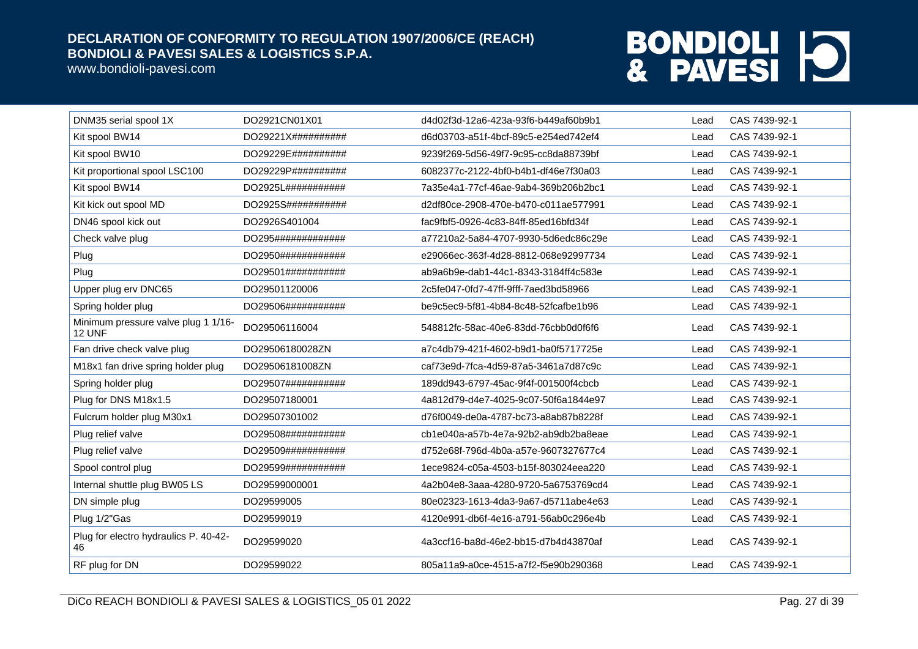www.bondioli-pavesi.com

| DNM35 serial spool 1X                         | DO2921CN01X01      | d4d02f3d-12a6-423a-93f6-b449af60b9b1 | Lead | CAS 7439-92-1 |
|-----------------------------------------------|--------------------|--------------------------------------|------|---------------|
| Kit spool BW14                                | DO29221X########## | d6d03703-a51f-4bcf-89c5-e254ed742ef4 | Lead | CAS 7439-92-1 |
| Kit spool BW10                                | DO29229E########## | 9239f269-5d56-49f7-9c95-cc8da88739bf | Lead | CAS 7439-92-1 |
| Kit proportional spool LSC100                 | DO29229P########## | 6082377c-2122-4bf0-b4b1-df46e7f30a03 | Lead | CAS 7439-92-1 |
| Kit spool BW14                                | DO2925L########### | 7a35e4a1-77cf-46ae-9ab4-369b206b2bc1 | Lead | CAS 7439-92-1 |
| Kit kick out spool MD                         | DO2925S########### | d2df80ce-2908-470e-b470-c011ae577991 | Lead | CAS 7439-92-1 |
| DN46 spool kick out                           | DO2926S401004      | fac9fbf5-0926-4c83-84ff-85ed16bfd34f | Lead | CAS 7439-92-1 |
| Check valve plug                              | DO295############# | a77210a2-5a84-4707-9930-5d6edc86c29e | Lead | CAS 7439-92-1 |
| Plug                                          | DO2950############ | e29066ec-363f-4d28-8812-068e92997734 | Lead | CAS 7439-92-1 |
| Plug                                          | DO29501########### | ab9a6b9e-dab1-44c1-8343-3184ff4c583e | Lead | CAS 7439-92-1 |
| Upper plug erv DNC65                          | DO29501120006      | 2c5fe047-0fd7-47ff-9fff-7aed3bd58966 | Lead | CAS 7439-92-1 |
| Spring holder plug                            | DO29506########### | be9c5ec9-5f81-4b84-8c48-52fcafbe1b96 | Lead | CAS 7439-92-1 |
| Minimum pressure valve plug 1 1/16-<br>12 UNF | DO29506116004      | 548812fc-58ac-40e6-83dd-76cbb0d0f6f6 | Lead | CAS 7439-92-1 |
| Fan drive check valve plug                    | DO29506180028ZN    | a7c4db79-421f-4602-b9d1-ba0f5717725e | Lead | CAS 7439-92-1 |
| M18x1 fan drive spring holder plug            | DO29506181008ZN    | caf73e9d-7fca-4d59-87a5-3461a7d87c9c | Lead | CAS 7439-92-1 |
| Spring holder plug                            | DO29507########### | 189dd943-6797-45ac-9f4f-001500f4cbcb | Lead | CAS 7439-92-1 |
| Plug for DNS M18x1.5                          | DO29507180001      | 4a812d79-d4e7-4025-9c07-50f6a1844e97 | Lead | CAS 7439-92-1 |
| Fulcrum holder plug M30x1                     | DO29507301002      | d76f0049-de0a-4787-bc73-a8ab87b8228f | Lead | CAS 7439-92-1 |
| Plug relief valve                             | DO29508########### | cb1e040a-a57b-4e7a-92b2-ab9db2ba8eae | Lead | CAS 7439-92-1 |
| Plug relief valve                             | DO29509########### | d752e68f-796d-4b0a-a57e-9607327677c4 | Lead | CAS 7439-92-1 |
| Spool control plug                            | DO29599########### | 1ece9824-c05a-4503-b15f-803024eea220 | Lead | CAS 7439-92-1 |
| Internal shuttle plug BW05 LS                 | DO29599000001      | 4a2b04e8-3aaa-4280-9720-5a6753769cd4 | Lead | CAS 7439-92-1 |
| DN simple plug                                | DO29599005         | 80e02323-1613-4da3-9a67-d5711abe4e63 | Lead | CAS 7439-92-1 |
| Plug 1/2"Gas                                  | DO29599019         | 4120e991-db6f-4e16-a791-56ab0c296e4b | Lead | CAS 7439-92-1 |
| Plug for electro hydraulics P. 40-42-<br>46   | DO29599020         | 4a3ccf16-ba8d-46e2-bb15-d7b4d43870af | Lead | CAS 7439-92-1 |
| RF plug for DN                                | DO29599022         | 805a11a9-a0ce-4515-a7f2-f5e90b290368 | Lead | CAS 7439-92-1 |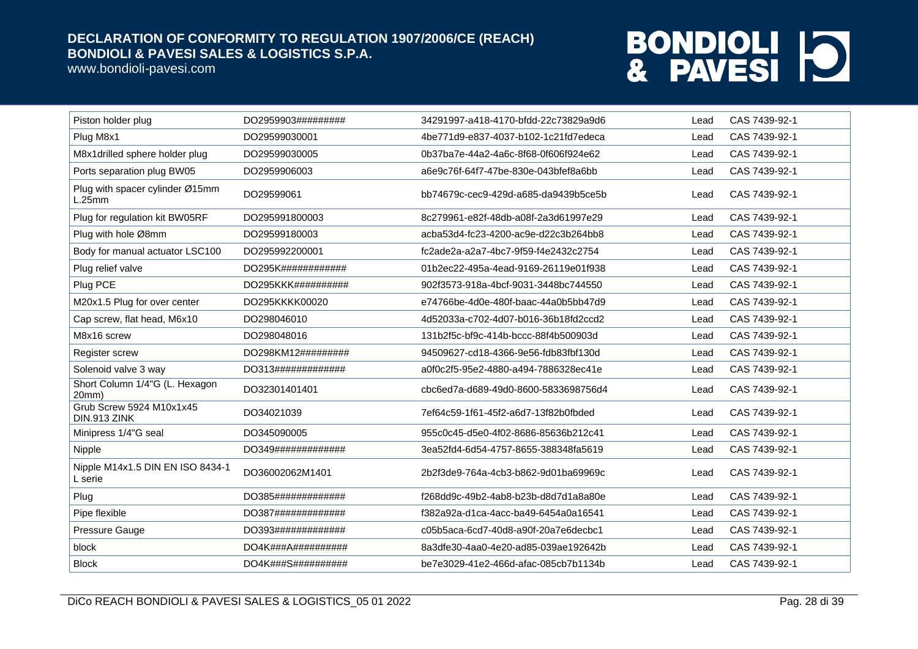www.bondioli-pavesi.com

| Piston holder plug                          | DO2959903######### | 34291997-a418-4170-bfdd-22c73829a9d6 | Lead | CAS 7439-92-1 |
|---------------------------------------------|--------------------|--------------------------------------|------|---------------|
| Plug M8x1                                   | DO29599030001      | 4be771d9-e837-4037-b102-1c21fd7edeca | Lead | CAS 7439-92-1 |
| M8x1drilled sphere holder plug              | DO29599030005      | 0b37ba7e-44a2-4a6c-8f68-0f606f924e62 | Lead | CAS 7439-92-1 |
| Ports separation plug BW05                  | DO2959906003       | a6e9c76f-64f7-47be-830e-043bfef8a6bb | Lead | CAS 7439-92-1 |
| Plug with spacer cylinder Ø15mm<br>L.25mm   | DO29599061         | bb74679c-cec9-429d-a685-da9439b5ce5b | Lead | CAS 7439-92-1 |
| Plug for regulation kit BW05RF              | DO295991800003     | 8c279961-e82f-48db-a08f-2a3d61997e29 | Lead | CAS 7439-92-1 |
| Plug with hole Ø8mm                         | DO29599180003      | acba53d4-fc23-4200-ac9e-d22c3b264bb8 | Lead | CAS 7439-92-1 |
| Body for manual actuator LSC100             | DO295992200001     | fc2ade2a-a2a7-4bc7-9f59-f4e2432c2754 | Lead | CAS 7439-92-1 |
| Plug relief valve                           | DO295K############ | 01b2ec22-495a-4ead-9169-26119e01f938 | Lead | CAS 7439-92-1 |
| Plug PCE                                    | DO295KKK########## | 902f3573-918a-4bcf-9031-3448bc744550 | Lead | CAS 7439-92-1 |
| M20x1.5 Plug for over center                | DO295KKKK00020     | e74766be-4d0e-480f-baac-44a0b5bb47d9 | Lead | CAS 7439-92-1 |
| Cap screw, flat head, M6x10                 | DO298046010        | 4d52033a-c702-4d07-b016-36b18fd2ccd2 | Lead | CAS 7439-92-1 |
| M8x16 screw                                 | DO298048016        | 131b2f5c-bf9c-414b-bccc-88f4b500903d | Lead | CAS 7439-92-1 |
| Register screw                              | DO298KM12######### | 94509627-cd18-4366-9e56-fdb83fbf130d | Lead | CAS 7439-92-1 |
| Solenoid valve 3 way                        | DO313############# | a0f0c2f5-95e2-4880-a494-7886328ec41e | Lead | CAS 7439-92-1 |
| Short Column 1/4"G (L. Hexagon<br>20mm)     | DO32301401401      | cbc6ed7a-d689-49d0-8600-5833698756d4 | Lead | CAS 7439-92-1 |
| Grub Screw 5924 M10x1x45<br>DIN.913 ZINK    | DO34021039         | 7ef64c59-1f61-45f2-a6d7-13f82b0fbded | Lead | CAS 7439-92-1 |
| Minipress 1/4"G seal                        | DO345090005        | 955c0c45-d5e0-4f02-8686-85636b212c41 | Lead | CAS 7439-92-1 |
| Nipple                                      | DO349############# | 3ea52fd4-6d54-4757-8655-388348fa5619 | Lead | CAS 7439-92-1 |
| Nipple M14x1.5 DIN EN ISO 8434-1<br>L serie | DO36002062M1401    | 2b2f3de9-764a-4cb3-b862-9d01ba69969c | Lead | CAS 7439-92-1 |
| Plug                                        | DO385############# | f268dd9c-49b2-4ab8-b23b-d8d7d1a8a80e | Lead | CAS 7439-92-1 |
| Pipe flexible                               | DO387############# | f382a92a-d1ca-4acc-ba49-6454a0a16541 | Lead | CAS 7439-92-1 |
| Pressure Gauge                              | DO393############# | c05b5aca-6cd7-40d8-a90f-20a7e6decbc1 | Lead | CAS 7439-92-1 |
| block                                       | DO4K###A########## | 8a3dfe30-4aa0-4e20-ad85-039ae192642b | Lead | CAS 7439-92-1 |
| <b>Block</b>                                | DO4K###S########## | be7e3029-41e2-466d-afac-085cb7b1134b | Lead | CAS 7439-92-1 |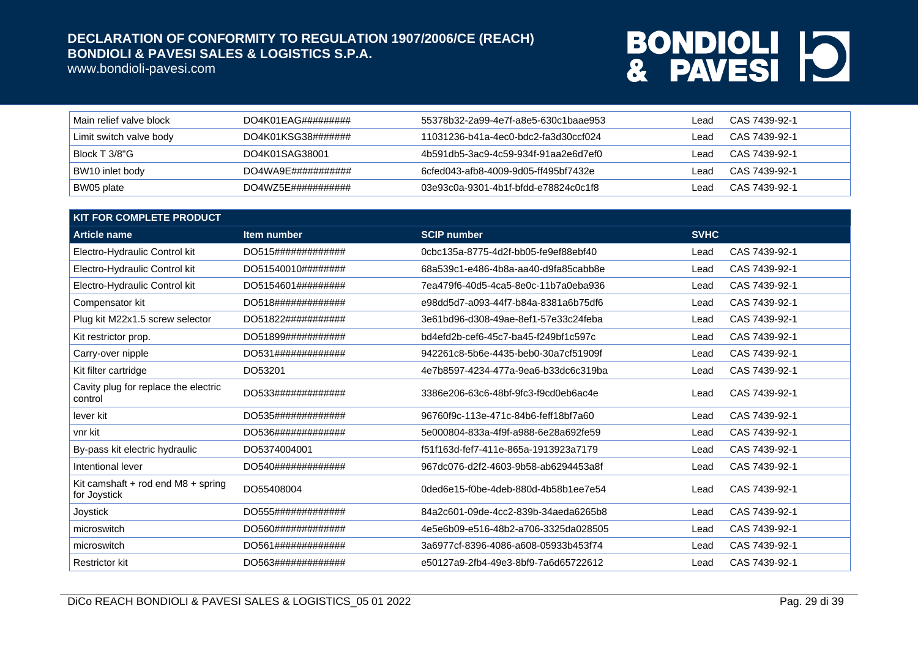www.bondioli-pavesi.com

| Main relief valve block | $DO4K01EAG\#4\#4\#4\#4\#4$    | 55378b32-2a99-4e7f-a8e5-630c1baae953 | Lead | CAS 7439-92-1 |
|-------------------------|-------------------------------|--------------------------------------|------|---------------|
| Limit switch valve body | DO4K01KSG38#######            | 11031236-b41a-4ec0-bdc2-fa3d30ccf024 | _ead | CAS 7439-92-1 |
| Block T 3/8"G           | DO4K01SAG38001                | 4b591db5-3ac9-4c59-934f-91aa2e6d7ef0 | Lead | CAS 7439-92-1 |
| BW10 inlet body         | DO4WA9F#4#4#4#4#4#4           | 6cfed043-afb8-4009-9d05-ff495bf7432e | _ead | CAS 7439-92-1 |
| BW05 plate              | DO4WZ5E## # # # # # # # # # # | 03e93c0a-9301-4b1f-bfdd-e78824c0c1f8 | _ead | CAS 7439-92-1 |

| <b>KIT FOR COMPLETE PRODUCT</b>                        |                    |                                      |             |               |  |
|--------------------------------------------------------|--------------------|--------------------------------------|-------------|---------------|--|
| <b>Article name</b>                                    | Item number        | <b>SCIP number</b>                   | <b>SVHC</b> |               |  |
| Electro-Hydraulic Control kit                          | DO515############# | 0cbc135a-8775-4d2f-bb05-fe9ef88ebf40 | Lead        | CAS 7439-92-1 |  |
| Electro-Hydraulic Control kit                          | DO51540010######## | 68a539c1-e486-4b8a-aa40-d9fa85cabb8e | Lead        | CAS 7439-92-1 |  |
| Electro-Hydraulic Control kit                          | DO5154601######### | 7ea479f6-40d5-4ca5-8e0c-11b7a0eba936 | Lead        | CAS 7439-92-1 |  |
| Compensator kit                                        | DO518############# | e98dd5d7-a093-44f7-b84a-8381a6b75df6 | Lead        | CAS 7439-92-1 |  |
| Plug kit M22x1.5 screw selector                        | DO51822########### | 3e61bd96-d308-49ae-8ef1-57e33c24feba | Lead        | CAS 7439-92-1 |  |
| Kit restrictor prop.                                   | DO51899########### | bd4efd2b-cef6-45c7-ba45-f249bf1c597c | Lead        | CAS 7439-92-1 |  |
| Carry-over nipple                                      | DO531############# | 942261c8-5b6e-4435-beb0-30a7cf51909f | Lead        | CAS 7439-92-1 |  |
| Kit filter cartridge                                   | DO53201            | 4e7b8597-4234-477a-9ea6-b33dc6c319ba | Lead        | CAS 7439-92-1 |  |
| Cavity plug for replace the electric<br>control        | DO533############# | 3386e206-63c6-48bf-9fc3-f9cd0eb6ac4e | Lead        | CAS 7439-92-1 |  |
| lever kit                                              | DO535############# | 96760f9c-113e-471c-84b6-feff18bf7a60 | Lead        | CAS 7439-92-1 |  |
| vnr kit                                                | DO536############# | 5e000804-833a-4f9f-a988-6e28a692fe59 | Lead        | CAS 7439-92-1 |  |
| By-pass kit electric hydraulic                         | DO5374004001       | f51f163d-fef7-411e-865a-1913923a7179 | Lead        | CAS 7439-92-1 |  |
| Intentional lever                                      | DO540############# | 967dc076-d2f2-4603-9b58-ab6294453a8f | Lead        | CAS 7439-92-1 |  |
| Kit camshaft $+$ rod end M8 $+$ spring<br>for Joystick | DO55408004         | 0ded6e15-f0be-4deb-880d-4b58b1ee7e54 | Lead        | CAS 7439-92-1 |  |
| Joystick                                               | DO555############# | 84a2c601-09de-4cc2-839b-34aeda6265b8 | Lead        | CAS 7439-92-1 |  |
| microswitch                                            | DO560############# | 4e5e6b09-e516-48b2-a706-3325da028505 | Lead        | CAS 7439-92-1 |  |
| microswitch                                            | DO561############# | 3a6977cf-8396-4086-a608-05933b453f74 | Lead        | CAS 7439-92-1 |  |
| <b>Restrictor kit</b>                                  | DO563############# | e50127a9-2fb4-49e3-8bf9-7a6d65722612 | Lead        | CAS 7439-92-1 |  |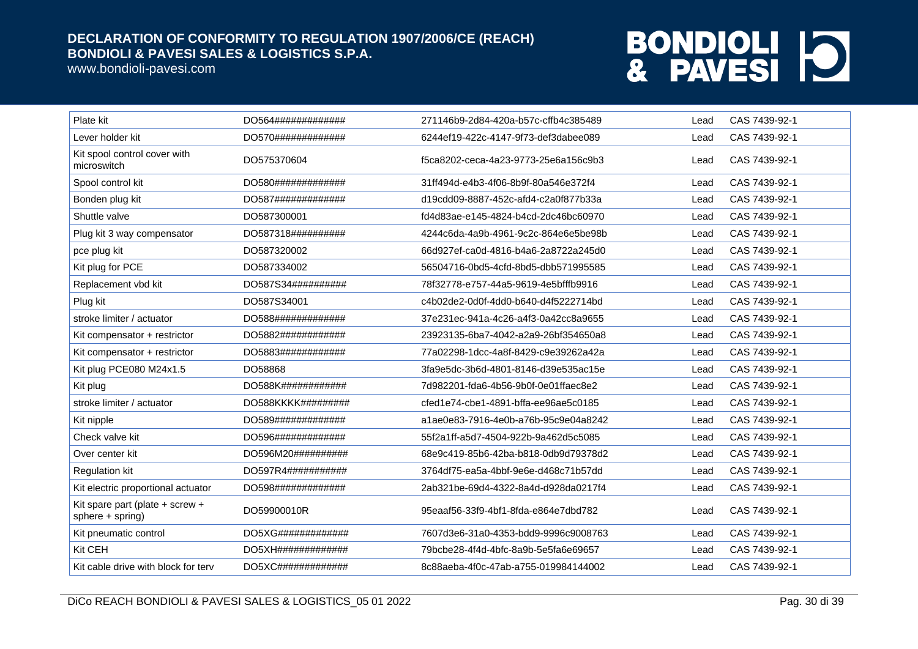www.bondioli-pavesi.com

| Plate kit                                             | DO564############# | 271146b9-2d84-420a-b57c-cffb4c385489 | Lead | CAS 7439-92-1 |
|-------------------------------------------------------|--------------------|--------------------------------------|------|---------------|
| Lever holder kit                                      | DO570############# | 6244ef19-422c-4147-9f73-def3dabee089 | Lead | CAS 7439-92-1 |
| Kit spool control cover with<br>microswitch           | DO575370604        | f5ca8202-ceca-4a23-9773-25e6a156c9b3 | Lead | CAS 7439-92-1 |
| Spool control kit                                     | DO580############# | 31ff494d-e4b3-4f06-8b9f-80a546e372f4 | Lead | CAS 7439-92-1 |
| Bonden plug kit                                       | DO587############# | d19cdd09-8887-452c-afd4-c2a0f877b33a | Lead | CAS 7439-92-1 |
| Shuttle valve                                         | DO587300001        | fd4d83ae-e145-4824-b4cd-2dc46bc60970 | Lead | CAS 7439-92-1 |
| Plug kit 3 way compensator                            | DO587318########## | 4244c6da-4a9b-4961-9c2c-864e6e5be98b | Lead | CAS 7439-92-1 |
| pce plug kit                                          | DO587320002        | 66d927ef-ca0d-4816-b4a6-2a8722a245d0 | Lead | CAS 7439-92-1 |
| Kit plug for PCE                                      | DO587334002        | 56504716-0bd5-4cfd-8bd5-dbb571995585 | Lead | CAS 7439-92-1 |
| Replacement vbd kit                                   | DO587S34########## | 78f32778-e757-44a5-9619-4e5bfffb9916 | Lead | CAS 7439-92-1 |
| Plug kit                                              | DO587S34001        | c4b02de2-0d0f-4dd0-b640-d4f5222714bd | Lead | CAS 7439-92-1 |
| stroke limiter / actuator                             | DO588############# | 37e231ec-941a-4c26-a4f3-0a42cc8a9655 | Lead | CAS 7439-92-1 |
| Kit compensator + restrictor                          | DO5882############ | 23923135-6ba7-4042-a2a9-26bf354650a8 | Lead | CAS 7439-92-1 |
| Kit compensator + restrictor                          | DO5883############ | 77a02298-1dcc-4a8f-8429-c9e39262a42a | Lead | CAS 7439-92-1 |
| Kit plug PCE080 M24x1.5                               | DO58868            | 3fa9e5dc-3b6d-4801-8146-d39e535ac15e | Lead | CAS 7439-92-1 |
| Kit plug                                              | DO588K############ | 7d982201-fda6-4b56-9b0f-0e01ffaec8e2 | Lead | CAS 7439-92-1 |
| stroke limiter / actuator                             | DO588KKKK######### | cfed1e74-cbe1-4891-bffa-ee96ae5c0185 | Lead | CAS 7439-92-1 |
| Kit nipple                                            | DO589############# | a1ae0e83-7916-4e0b-a76b-95c9e04a8242 | Lead | CAS 7439-92-1 |
| Check valve kit                                       | DO596############# | 55f2a1ff-a5d7-4504-922b-9a462d5c5085 | Lead | CAS 7439-92-1 |
| Over center kit                                       | DO596M20########## | 68e9c419-85b6-42ba-b818-0db9d79378d2 | Lead | CAS 7439-92-1 |
| <b>Regulation kit</b>                                 | DO597R4########### | 3764df75-ea5a-4bbf-9e6e-d468c71b57dd | Lead | CAS 7439-92-1 |
| Kit electric proportional actuator                    | DO598############# | 2ab321be-69d4-4322-8a4d-d928da0217f4 | Lead | CAS 7439-92-1 |
| Kit spare part (plate + screw +<br>$sphere + spring)$ | DO59900010R        | 95eaaf56-33f9-4bf1-8fda-e864e7dbd782 | Lead | CAS 7439-92-1 |
| Kit pneumatic control                                 | DO5XG############# | 7607d3e6-31a0-4353-bdd9-9996c9008763 | Lead | CAS 7439-92-1 |
| Kit CEH                                               | DO5XH############# | 79bcbe28-4f4d-4bfc-8a9b-5e5fa6e69657 | Lead | CAS 7439-92-1 |
| Kit cable drive with block for terv                   | DO5XC############# | 8c88aeba-4f0c-47ab-a755-019984144002 | Lead | CAS 7439-92-1 |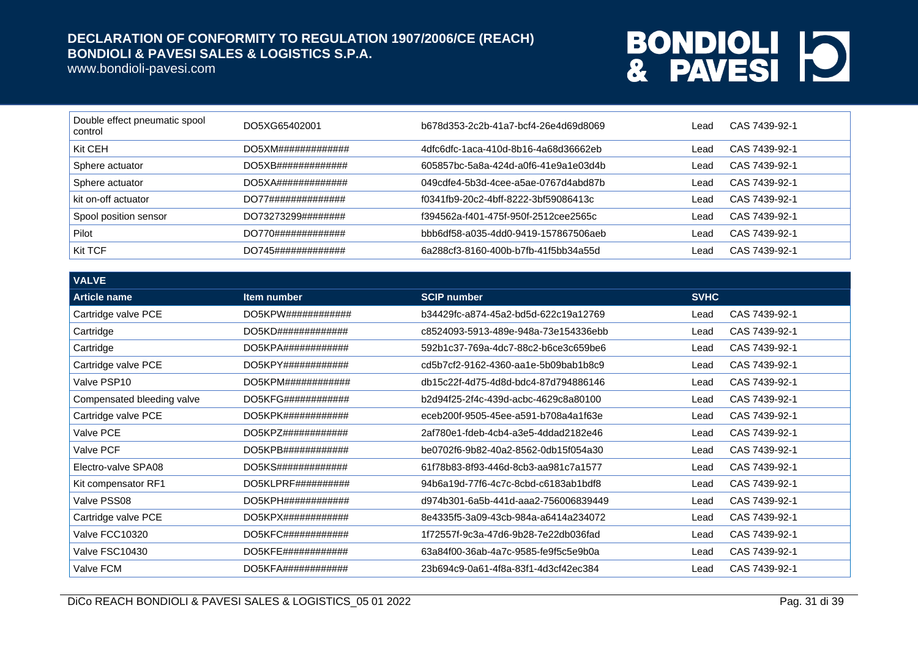www.bondioli-pavesi.com

| Double effect pneumatic spool<br>control | DO5XG65402001      | b678d353-2c2b-41a7-bcf4-26e4d69d8069 | Lead | CAS 7439-92-1 |
|------------------------------------------|--------------------|--------------------------------------|------|---------------|
| Kit CEH                                  | DO5XM############# | 4dfc6dfc-1aca-410d-8b16-4a68d36662eb | Lead | CAS 7439-92-1 |
| Sphere actuator                          | DO5XB############# | 605857bc-5a8a-424d-a0f6-41e9a1e03d4b | Lead | CAS 7439-92-1 |
| Sphere actuator                          | DO5XA############# | 049cdfe4-5b3d-4cee-a5ae-0767d4abd87b | Lead | CAS 7439-92-1 |
| kit on-off actuator                      | DO77############## | f0341fb9-20c2-4bff-8222-3bf59086413c | Lead | CAS 7439-92-1 |
| Spool position sensor                    | DO73273299######## | f394562a-f401-475f-950f-2512cee2565c | Lead | CAS 7439-92-1 |
| Pilot                                    | DO770############# | bbb6df58-a035-4dd0-9419-157867506aeb | Lead | CAS 7439-92-1 |
| Kit TCF                                  | DO745############# | 6a288cf3-8160-400b-b7fb-41f5bb34a55d | Lead | CAS 7439-92-1 |

| <b>VALVE</b>               |                                 |                                      |             |               |
|----------------------------|---------------------------------|--------------------------------------|-------------|---------------|
| <b>Article name</b>        | Item number                     | <b>SCIP number</b>                   | <b>SVHC</b> |               |
| Cartridge valve PCE        | DO5KPW# # # # # # # # # # # #   | b34429fc-a874-45a2-bd5d-622c19a12769 | Lead        | CAS 7439-92-1 |
| Cartridge                  | DO5KD#############              | c8524093-5913-489e-948a-73e154336ebb | Lead        | CAS 7439-92-1 |
| Cartridge                  | $DO5KPA$ #############          | 592b1c37-769a-4dc7-88c2-b6ce3c659be6 | Lead        | CAS 7439-92-1 |
| Cartridge valve PCE        | DO5KPY# # # # # # # # # # # # # | cd5b7cf2-9162-4360-aa1e-5b09bab1b8c9 | Lead        | CAS 7439-92-1 |
| Valve PSP10                | DO5KPM############              | db15c22f-4d75-4d8d-bdc4-87d794886146 | Lead        | CAS 7439-92-1 |
| Compensated bleeding valve | DO5KFG############              | b2d94f25-2f4c-439d-acbc-4629c8a80100 | Lead        | CAS 7439-92-1 |
| Cartridge valve PCE        | DO5KPK#444444444444444          | eceb200f-9505-45ee-a591-b708a4a1f63e | Lead        | CAS 7439-92-1 |
| Valve PCE                  | DO5KPZ############              | 2af780e1-fdeb-4cb4-a3e5-4ddad2182e46 | Lead        | CAS 7439-92-1 |
| Valve PCF                  | DO5KPB############              | be0702f6-9b82-40a2-8562-0db15f054a30 | Lead        | CAS 7439-92-1 |
| Electro-valve SPA08        | DO5KS#############              | 61f78b83-8f93-446d-8cb3-aa981c7a1577 | Lead        | CAS 7439-92-1 |
| Kit compensator RF1        | $DO5KLPRF$ ###########          | 94b6a19d-77f6-4c7c-8cbd-c6183ab1bdf8 | Lead        | CAS 7439-92-1 |
| Valve PSS08                | DO5KPH# # # # # # # # # # # # # | d974b301-6a5b-441d-aaa2-756006839449 | Lead        | CAS 7439-92-1 |
| Cartridge valve PCE        | $DO5KPX$ #####################  | 8e4335f5-3a09-43cb-984a-a6414a234072 | Lead        | CAS 7439-92-1 |
| Valve FCC10320             | $DO5KFC\#4\#4\#4\#4\#4\#4\#4$   | 1f72557f-9c3a-47d6-9b28-7e22db036fad | Lead        | CAS 7439-92-1 |
| Valve FSC10430             | DO5KFE############              | 63a84f00-36ab-4a7c-9585-fe9f5c5e9b0a | Lead        | CAS 7439-92-1 |
| Valve FCM                  | $DO5KFA$ #############          | 23b694c9-0a61-4f8a-83f1-4d3cf42ec384 | Lead        | CAS 7439-92-1 |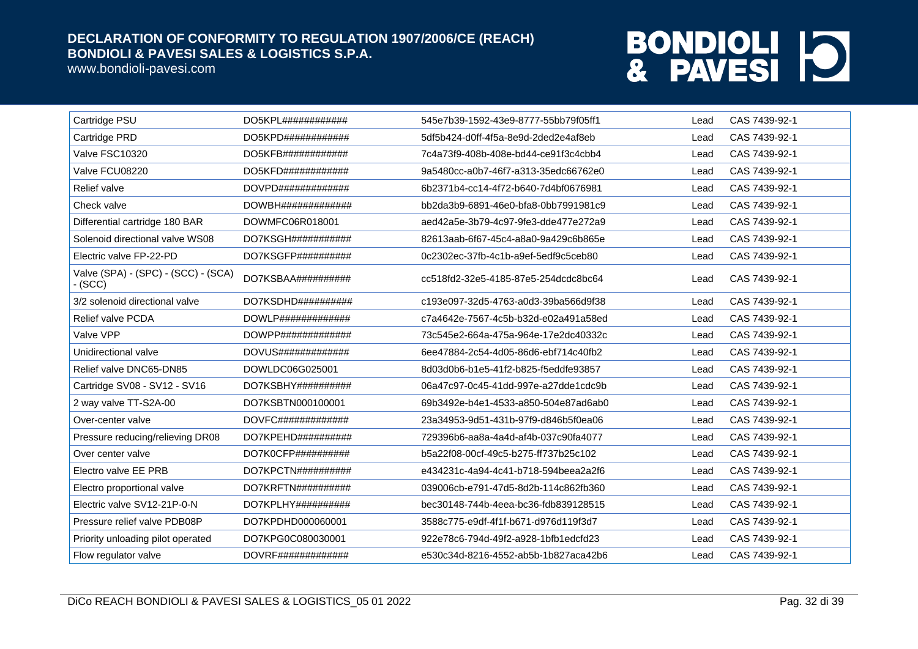www.bondioli-pavesi.com

| Cartridge PSU                                    | DO5KPL############      | 545e7b39-1592-43e9-8777-55bb79f05ff1 | Lead | CAS 7439-92-1 |
|--------------------------------------------------|-------------------------|--------------------------------------|------|---------------|
| Cartridge PRD                                    | $DO5KPD$ #############  | 5df5b424-d0ff-4f5a-8e9d-2ded2e4af8eb | Lead | CAS 7439-92-1 |
| Valve FSC10320                                   | $DO5KFB$ #############  | 7c4a73f9-408b-408e-bd44-ce91f3c4cbb4 | Lead | CAS 7439-92-1 |
| Valve FCU08220                                   | $DO5KFD$ #############  | 9a5480cc-a0b7-46f7-a313-35edc66762e0 | Lead | CAS 7439-92-1 |
| Relief valve                                     | DOVPD##############     | 6b2371b4-cc14-4f72-b640-7d4bf0676981 | Lead | CAS 7439-92-1 |
| Check valve                                      | DOWBH##############     | bb2da3b9-6891-46e0-bfa8-0bb7991981c9 | Lead | CAS 7439-92-1 |
| Differential cartridge 180 BAR                   | DOWMFC06R018001         | aed42a5e-3b79-4c97-9fe3-dde477e272a9 | Lead | CAS 7439-92-1 |
| Solenoid directional valve WS08                  | DO7KSGH###########      | 82613aab-6f67-45c4-a8a0-9a429c6b865e | Lead | CAS 7439-92-1 |
| Electric valve FP-22-PD                          | DO7KSGFP##########      | 0c2302ec-37fb-4c1b-a9ef-5edf9c5ceb80 | Lead | CAS 7439-92-1 |
| Valve (SPA) - (SPC) - (SCC) - (SCA)<br>$-$ (SCC) | DO7KSBAA##########      | cc518fd2-32e5-4185-87e5-254dcdc8bc64 | Lead | CAS 7439-92-1 |
| 3/2 solenoid directional valve                   | DO7KSDHD##########      | c193e097-32d5-4763-a0d3-39ba566d9f38 | Lead | CAS 7439-92-1 |
| Relief valve PCDA                                | $DOWLP$ ##############  | c7a4642e-7567-4c5b-b32d-e02a491a58ed | Lead | CAS 7439-92-1 |
| Valve VPP                                        | $DOWPP$ ##############  | 73c545e2-664a-475a-964e-17e2dc40332c | Lead | CAS 7439-92-1 |
| Unidirectional valve                             | $DOVUS\#$ ############# | 6ee47884-2c54-4d05-86d6-ebf714c40fb2 | Lead | CAS 7439-92-1 |
| Relief valve DNC65-DN85                          | DOWLDC06G025001         | 8d03d0b6-b1e5-41f2-b825-f5eddfe93857 | Lead | CAS 7439-92-1 |
| Cartridge SV08 - SV12 - SV16                     | DO7KSBHY##########      | 06a47c97-0c45-41dd-997e-a27dde1cdc9b | Lead | CAS 7439-92-1 |
| 2 way valve TT-S2A-00                            | DO7KSBTN000100001       | 69b3492e-b4e1-4533-a850-504e87ad6ab0 | Lead | CAS 7439-92-1 |
| Over-center valve                                | $DOVFC$ ##############  | 23a34953-9d51-431b-97f9-d846b5f0ea06 | Lead | CAS 7439-92-1 |
| Pressure reducing/relieving DR08                 | $DO7KPEHD$ ###########  | 729396b6-aa8a-4a4d-af4b-037c90fa4077 | Lead | CAS 7439-92-1 |
| Over center valve                                | DO7K0CFP##########      | b5a22f08-00cf-49c5-b275-ff737b25c102 | Lead | CAS 7439-92-1 |
| Electro valve EE PRB                             | DO7KPCTN##########      | e434231c-4a94-4c41-b718-594beea2a2f6 | Lead | CAS 7439-92-1 |
| Electro proportional valve                       | DO7KRFTN##########      | 039006cb-e791-47d5-8d2b-114c862fb360 | Lead | CAS 7439-92-1 |
| Electric valve SV12-21P-0-N                      | DO7KPLHY##########      | bec30148-744b-4eea-bc36-fdb839128515 | Lead | CAS 7439-92-1 |
| Pressure relief valve PDB08P                     | DO7KPDHD000060001       | 3588c775-e9df-4f1f-b671-d976d119f3d7 | Lead | CAS 7439-92-1 |
| Priority unloading pilot operated                | DO7KPG0C080030001       | 922e78c6-794d-49f2-a928-1bfb1edcfd23 | Lead | CAS 7439-92-1 |
| Flow regulator valve                             | DOVRF###############    | e530c34d-8216-4552-ab5b-1b827aca42b6 | Lead | CAS 7439-92-1 |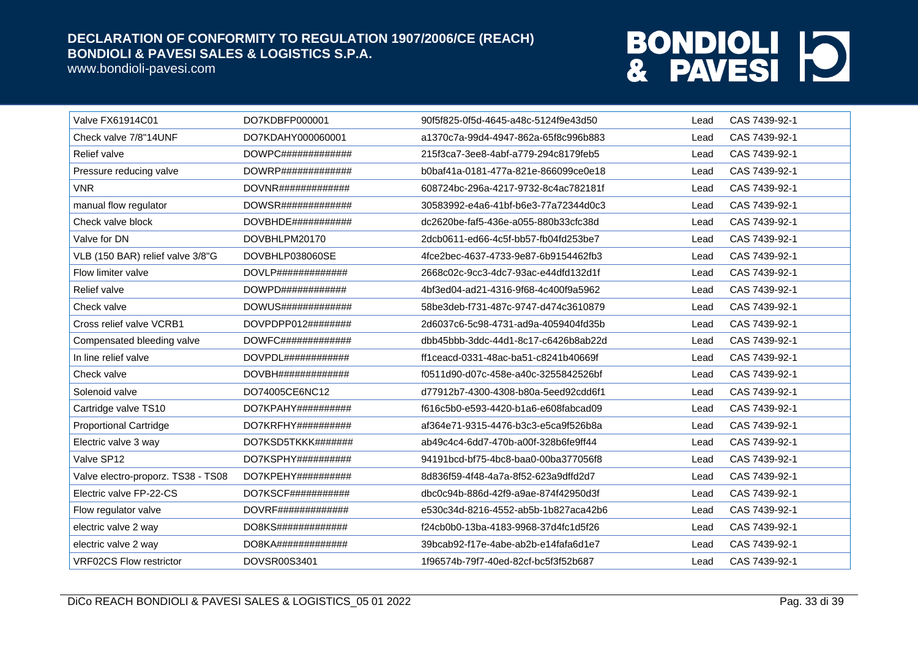www.bondioli-pavesi.com

| Valve FX61914C01                   | DO7KDBFP000001          | 90f5f825-0f5d-4645-a48c-5124f9e43d50 | Lead | CAS 7439-92-1 |
|------------------------------------|-------------------------|--------------------------------------|------|---------------|
| Check valve 7/8"14UNF              | DO7KDAHY000060001       | a1370c7a-99d4-4947-862a-65f8c996b883 | Lead | CAS 7439-92-1 |
| <b>Relief valve</b>                | $DOWPC\#$ ############# | 215f3ca7-3ee8-4abf-a779-294c8179feb5 | Lead | CAS 7439-92-1 |
| Pressure reducing valve            | DOWRP#############      | b0baf41a-0181-477a-821e-866099ce0e18 | Lead | CAS 7439-92-1 |
| <b>VNR</b>                         | DOVNR#############      | 608724bc-296a-4217-9732-8c4ac782181f | Lead | CAS 7439-92-1 |
| manual flow regulator              | DOWSR#############      | 30583992-e4a6-41bf-b6e3-77a72344d0c3 | Lead | CAS 7439-92-1 |
| Check valve block                  | DOVBHDE###########      | dc2620be-faf5-436e-a055-880b33cfc38d | Lead | CAS 7439-92-1 |
| Valve for DN                       | DOVBHLPM20170           | 2dcb0611-ed66-4c5f-bb57-fb04fd253be7 | Lead | CAS 7439-92-1 |
| VLB (150 BAR) relief valve 3/8"G   | DOVBHLP038060SE         | 4fce2bec-4637-4733-9e87-6b9154462fb3 | Lead | CAS 7439-92-1 |
| Flow limiter valve                 | $DOVLP$ ##############  | 2668c02c-9cc3-4dc7-93ac-e44dfd132d1f | Lead | CAS 7439-92-1 |
| Relief valve                       | DOWPD############       | 4bf3ed04-ad21-4316-9f68-4c400f9a5962 | Lead | CAS 7439-92-1 |
| Check valve                        | DOWUS#############      | 58be3deb-f731-487c-9747-d474c3610879 | Lead | CAS 7439-92-1 |
| Cross relief valve VCRB1           | $DOVPDPP012\#$ ######## | 2d6037c6-5c98-4731-ad9a-4059404fd35b | Lead | CAS 7439-92-1 |
| Compensated bleeding valve         | DOWFC#############      | dbb45bbb-3ddc-44d1-8c17-c6426b8ab22d | Lead | CAS 7439-92-1 |
| In line relief valve               |                         | ff1ceacd-0331-48ac-ba51-c8241b40669f | Lead | CAS 7439-92-1 |
| Check valve                        | DOVBH##############     | f0511d90-d07c-458e-a40c-3255842526bf | Lead | CAS 7439-92-1 |
| Solenoid valve                     | DO74005CE6NC12          | d77912b7-4300-4308-b80a-5eed92cdd6f1 | Lead | CAS 7439-92-1 |
| Cartridge valve TS10               | DO7KPAHY##########      | f616c5b0-e593-4420-b1a6-e608fabcad09 | Lead | CAS 7439-92-1 |
| <b>Proportional Cartridge</b>      | DO7KRFHY##########      | af364e71-9315-4476-b3c3-e5ca9f526b8a | Lead | CAS 7439-92-1 |
| Electric valve 3 way               | DO7KSD5TKKK#######      | ab49c4c4-6dd7-470b-a00f-328b6fe9ff44 | Lead | CAS 7439-92-1 |
| Valve SP12                         | $DO7KSPHY$ ##########   | 94191bcd-bf75-4bc8-baa0-00ba377056f8 | Lead | CAS 7439-92-1 |
| Valve electro-proporz. TS38 - TS08 | DO7KPEHY##########      | 8d836f59-4f48-4a7a-8f52-623a9dffd2d7 | Lead | CAS 7439-92-1 |
| Electric valve FP-22-CS            | DO7KSCF###########      | dbc0c94b-886d-42f9-a9ae-874f42950d3f | Lead | CAS 7439-92-1 |
| Flow regulator valve               | DOVRF##############     | e530c34d-8216-4552-ab5b-1b827aca42b6 | Lead | CAS 7439-92-1 |
| electric valve 2 way               | DO8KS#############      | f24cb0b0-13ba-4183-9968-37d4fc1d5f26 | Lead | CAS 7439-92-1 |
| electric valve 2 way               | DO8KA#############      | 39bcab92-f17e-4abe-ab2b-e14fafa6d1e7 | Lead | CAS 7439-92-1 |
| <b>VRF02CS Flow restrictor</b>     | DOVSR00S3401            | 1f96574b-79f7-40ed-82cf-bc5f3f52b687 | Lead | CAS 7439-92-1 |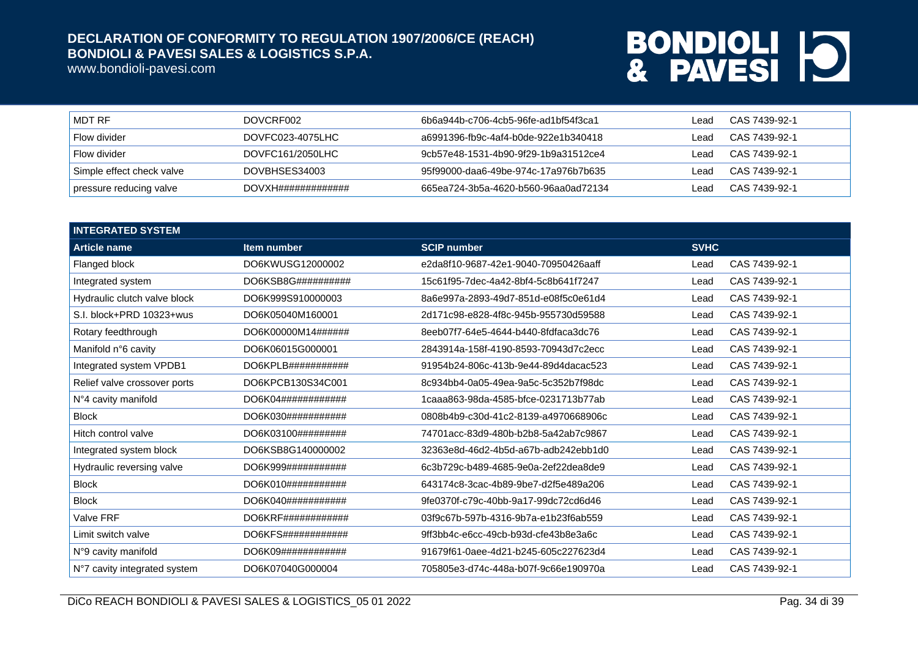www.bondioli-pavesi.com

| I MDT RF                  | DOVCRF002           | 6b6a944b-c706-4cb5-96fe-ad1bf54f3ca1 | Lead   | CAS 7439-92-1 |
|---------------------------|---------------------|--------------------------------------|--------|---------------|
| Flow divider              | DOVFC023-4075LHC    | a6991396-fb9c-4af4-b0de-922e1b340418 | Lead   | CAS 7439-92-1 |
| Flow divider              | DOVFC161/2050LHC    | 9cb57e48-1531-4b90-9f29-1b9a31512ce4 | l ead. | CAS 7439-92-1 |
| Simple effect check valve | DOVBHSES34003       | 95f99000-daa6-49be-974c-17a976b7b635 | Lead.  | CAS 7439-92-1 |
| pressure reducing valve   | DOVXH############## | 665ea724-3b5a-4620-b560-96aa0ad72134 | Lead   | CAS 7439-92-1 |

| <b>INTEGRATED SYSTEM</b>     |                                |                                      |             |               |
|------------------------------|--------------------------------|--------------------------------------|-------------|---------------|
| <b>Article name</b>          | Item number                    | <b>SCIP number</b>                   | <b>SVHC</b> |               |
| Flanged block                | DO6KWUSG12000002               | e2da8f10-9687-42e1-9040-70950426aaff | Lead        | CAS 7439-92-1 |
| Integrated system            | DO6KSB8G##########             | 15c61f95-7dec-4a42-8bf4-5c8b641f7247 | Lead        | CAS 7439-92-1 |
| Hydraulic clutch valve block | DO6K999S910000003              | 8a6e997a-2893-49d7-851d-e08f5c0e61d4 | Lead        | CAS 7439-92-1 |
| S.I. block+PRD 10323+wus     | DO6K05040M160001               | 2d171c98-e828-4f8c-945b-955730d59588 | Lead        | CAS 7439-92-1 |
| Rotary feedthrough           | DO6K00000M14######             | 8eeb07f7-64e5-4644-b440-8fdfaca3dc76 | Lead        | CAS 7439-92-1 |
| Manifold n°6 cavity          | DO6K06015G000001               | 2843914a-158f-4190-8593-70943d7c2ecc | Lead        | CAS 7439-92-1 |
| Integrated system VPDB1      | DO6KPLB# # # # # # # # # # # # | 91954b24-806c-413b-9e44-89d4dacac523 | Lead        | CAS 7439-92-1 |
| Relief valve crossover ports | DO6KPCB130S34C001              | 8c934bb4-0a05-49ea-9a5c-5c352b7f98dc | Lead        | CAS 7439-92-1 |
| N°4 cavity manifold          | DO6K04############             | 1caaa863-98da-4585-bfce-0231713b77ab | Lead        | CAS 7439-92-1 |
| <b>Block</b>                 | DO6K030############            | 0808b4b9-c30d-41c2-8139-a4970668906c | Lead        | CAS 7439-92-1 |
| Hitch control valve          | DO6K03100#########             | 74701acc-83d9-480b-b2b8-5a42ab7c9867 | Lead        | CAS 7439-92-1 |
| Integrated system block      | DO6KSB8G140000002              | 32363e8d-46d2-4b5d-a67b-adb242ebb1d0 | Lead        | CAS 7439-92-1 |
| Hydraulic reversing valve    | DO6K999###########             | 6c3b729c-b489-4685-9e0a-2ef22dea8de9 | Lead        | CAS 7439-92-1 |
| <b>Block</b>                 | DO6K010###########             | 643174c8-3cac-4b89-9be7-d2f5e489a206 | Lead        | CAS 7439-92-1 |
| <b>Block</b>                 | DO6K040###########             | 9fe0370f-c79c-40bb-9a17-99dc72cd6d46 | Lead        | CAS 7439-92-1 |
| Valve FRF                    | DO6KRF############             | 03f9c67b-597b-4316-9b7a-e1b23f6ab559 | Lead        | CAS 7439-92-1 |
| Limit switch valve           | DO6KFS############             | 9ff3bb4c-e6cc-49cb-b93d-cfe43b8e3a6c | Lead        | CAS 7439-92-1 |
| N°9 cavity manifold          | DO6K09############             | 91679f61-0aee-4d21-b245-605c227623d4 | Lead        | CAS 7439-92-1 |
| N°7 cavity integrated system | DO6K07040G000004               | 705805e3-d74c-448a-b07f-9c66e190970a | Lead        | CAS 7439-92-1 |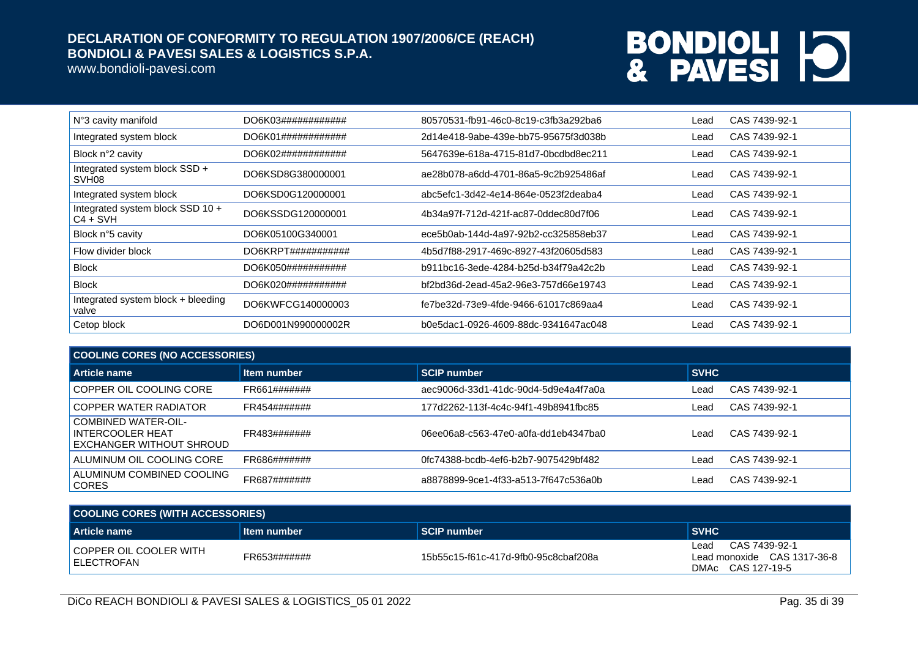www.bondioli-pavesi.com

| N°3 cavity manifold                                | DO6K03#############            | 80570531-fb91-46c0-8c19-c3fb3a292ba6 | Lead | CAS 7439-92-1 |
|----------------------------------------------------|--------------------------------|--------------------------------------|------|---------------|
| Integrated system block                            | DO6K01#############            | 2d14e418-9abe-439e-bb75-95675f3d038b | Lead | CAS 7439-92-1 |
| Block n°2 cavity                                   | DO6K02############             | 5647639e-618a-4715-81d7-0bcdbd8ec211 | Lead | CAS 7439-92-1 |
| Integrated system block SSD +<br>SVH <sub>08</sub> | DO6KSD8G380000001              | ae28b078-a6dd-4701-86a5-9c2b925486af | Lead | CAS 7439-92-1 |
| Integrated system block                            | DO6KSD0G120000001              | abc5efc1-3d42-4e14-864e-0523f2deaba4 | Lead | CAS 7439-92-1 |
| Integrated system block SSD 10 +<br>I C4 + SVH     | DO6KSSDG120000001              | 4b34a97f-712d-421f-ac87-0ddec80d7f06 | Lead | CAS 7439-92-1 |
| Block n°5 cavity                                   | DO6K05100G340001               | ece5b0ab-144d-4a97-92b2-cc325858eb37 | Lead | CAS 7439-92-1 |
| Flow divider block                                 | DO6KRPT# # # # # # # # # # # # | 4b5d7f88-2917-469c-8927-43f20605d583 | Lead | CAS 7439-92-1 |
| <b>Block</b>                                       | DO6K050###########             | b911bc16-3ede-4284-b25d-b34f79a42c2b | Lead | CAS 7439-92-1 |
| <b>Block</b>                                       | DO6K020###########             | bf2bd36d-2ead-45a2-96e3-757d66e19743 | Lead | CAS 7439-92-1 |
| Integrated system block + bleeding<br>valve        | DO6KWFCG140000003              | fe7be32d-73e9-4fde-9466-61017c869aa4 | Lead | CAS 7439-92-1 |
| Cetop block                                        | DO6D001N990000002R             | b0e5dac1-0926-4609-88dc-9341647ac048 | Lead | CAS 7439-92-1 |
|                                                    |                                |                                      |      |               |

| <b>COOLING CORES (NO ACCESSORIES)</b>                                      |              |                                      |             |               |
|----------------------------------------------------------------------------|--------------|--------------------------------------|-------------|---------------|
| Article name                                                               | Item number  | <b>SCIP number</b>                   | <b>SVHC</b> |               |
| COPPER OIL COOLING CORE                                                    | FR661####### | aec9006d-33d1-41dc-90d4-5d9e4a4f7a0a | Lead        | CAS 7439-92-1 |
| COPPER WATER RADIATOR                                                      | FR454####### | 177d2262-113f-4c4c-94f1-49b8941fbc85 | Lead        | CAS 7439-92-1 |
| <b>COMBINED WATER-OIL-</b><br>INTERCOOLER HEAT<br>EXCHANGER WITHOUT SHROUD | FR483####### | 06ee06a8-c563-47e0-a0fa-dd1eb4347ba0 | Lead        | CAS 7439-92-1 |
| ALUMINUM OIL COOLING CORE                                                  | FR686####### | 0fc74388-bcdb-4ef6-b2b7-9075429bf482 | Lead        | CAS 7439-92-1 |
| ALUMINUM COMBINED COOLING<br><b>CORES</b>                                  | FR687####### | a8878899-9ce1-4f33-a513-7f647c536a0b | Lead        | CAS 7439-92-1 |

| COOLING CORES (WITH ACCESSORIES)         |              |                                      |                                                                           |  |
|------------------------------------------|--------------|--------------------------------------|---------------------------------------------------------------------------|--|
| Article name                             | Item number  | l SCIP number                        | <b>SVHC</b>                                                               |  |
| I COPPER OIL COOLER WITH<br>I ELECTROFAN | FR653####### | 15b55c15-f61c-417d-9fb0-95c8cbaf208a | CAS 7439-92-1<br>Lead<br>Lead monoxide CAS 1317-36-8<br>DMAc CAS 127-19-5 |  |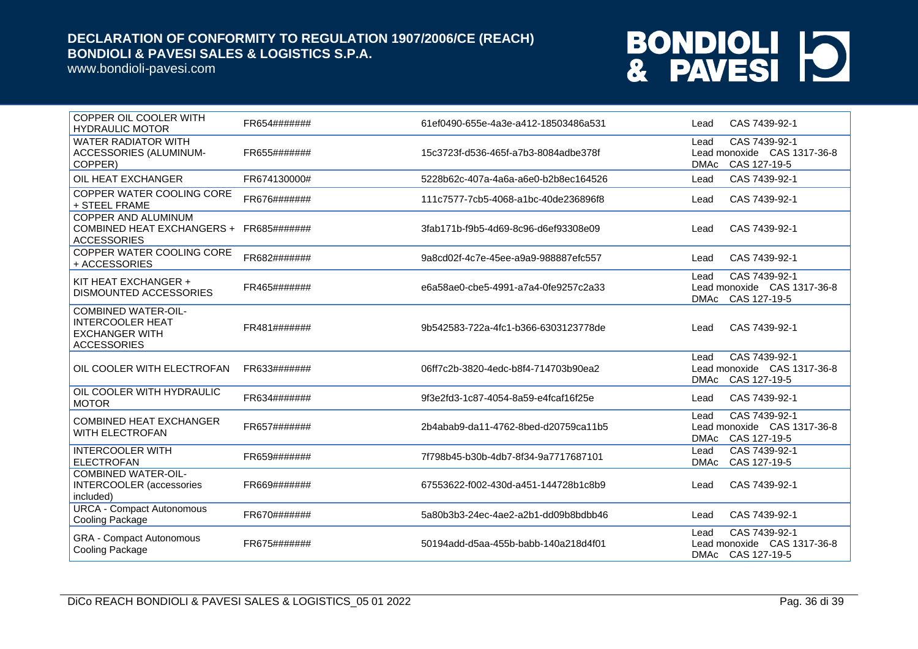www.bondioli-pavesi.com

| COPPER OIL COOLER WITH<br><b>HYDRAULIC MOTOR</b>                                                     | FR654####### | 61ef0490-655e-4a3e-a412-18503486a531 | CAS 7439-92-1<br>Lead                                                               |
|------------------------------------------------------------------------------------------------------|--------------|--------------------------------------|-------------------------------------------------------------------------------------|
| <b>WATER RADIATOR WITH</b><br>ACCESSORIES (ALUMINUM-<br>COPPER)                                      | FR655####### | 15c3723f-d536-465f-a7b3-8084adbe378f | CAS 7439-92-1<br>Lead<br>Lead monoxide CAS 1317-36-8<br>CAS 127-19-5<br><b>DMAc</b> |
| OIL HEAT EXCHANGER                                                                                   | FR674130000# | 5228b62c-407a-4a6a-a6e0-b2b8ec164526 | CAS 7439-92-1<br>Lead                                                               |
| COPPER WATER COOLING CORE<br>+ STEEL FRAME                                                           | FR676####### | 111c7577-7cb5-4068-a1bc-40de236896f8 | CAS 7439-92-1<br>Lead                                                               |
| <b>COPPER AND ALUMINUM</b><br>COMBINED HEAT EXCHANGERS + FR685#######<br><b>ACCESSORIES</b>          |              | 3fab171b-f9b5-4d69-8c96-d6ef93308e09 | CAS 7439-92-1<br>Lead                                                               |
| COPPER WATER COOLING CORE<br>+ ACCESSORIES                                                           | FR682####### | 9a8cd02f-4c7e-45ee-a9a9-988887efc557 | CAS 7439-92-1<br>Lead                                                               |
| KIT HEAT EXCHANGER +<br><b>DISMOUNTED ACCESSORIES</b>                                                | FR465####### | e6a58ae0-cbe5-4991-a7a4-0fe9257c2a33 | CAS 7439-92-1<br>Lead<br>Lead monoxide CAS 1317-36-8<br>DMAc CAS 127-19-5           |
| <b>COMBINED WATER-OIL-</b><br><b>INTERCOOLER HEAT</b><br><b>EXCHANGER WITH</b><br><b>ACCESSORIES</b> | FR481####### | 9b542583-722a-4fc1-b366-6303123778de | CAS 7439-92-1<br>Lead                                                               |
| OIL COOLER WITH ELECTROFAN                                                                           | FR633####### | 06ff7c2b-3820-4edc-b8f4-714703b90ea2 | CAS 7439-92-1<br>Lead<br>Lead monoxide CAS 1317-36-8<br>CAS 127-19-5<br><b>DMAc</b> |
| OIL COOLER WITH HYDRAULIC<br><b>MOTOR</b>                                                            | FR634####### | 9f3e2fd3-1c87-4054-8a59-e4fcaf16f25e | CAS 7439-92-1<br>Lead                                                               |
| <b>COMBINED HEAT EXCHANGER</b><br><b>WITH ELECTROFAN</b>                                             | FR657####### | 2b4abab9-da11-4762-8bed-d20759ca11b5 | CAS 7439-92-1<br>Lead<br>Lead monoxide CAS 1317-36-8<br>CAS 127-19-5<br>DMAc        |
| <b>INTERCOOLER WITH</b><br><b>ELECTROFAN</b>                                                         | FR659####### | 7f798b45-b30b-4db7-8f34-9a7717687101 | CAS 7439-92-1<br>Lead<br><b>DMAc</b><br>CAS 127-19-5                                |
| <b>COMBINED WATER-OIL-</b><br><b>INTERCOOLER</b> (accessories<br>included)                           | FR669####### | 67553622-f002-430d-a451-144728b1c8b9 | CAS 7439-92-1<br>Lead                                                               |
| <b>URCA - Compact Autonomous</b><br><b>Cooling Package</b>                                           | FR670####### | 5a80b3b3-24ec-4ae2-a2b1-dd09b8bdbb46 | CAS 7439-92-1<br>Lead                                                               |
| <b>GRA - Compact Autonomous</b><br><b>Cooling Package</b>                                            | FR675####### | 50194add-d5aa-455b-babb-140a218d4f01 | CAS 7439-92-1<br>Lead<br>Lead monoxide CAS 1317-36-8<br>DMAc CAS 127-19-5           |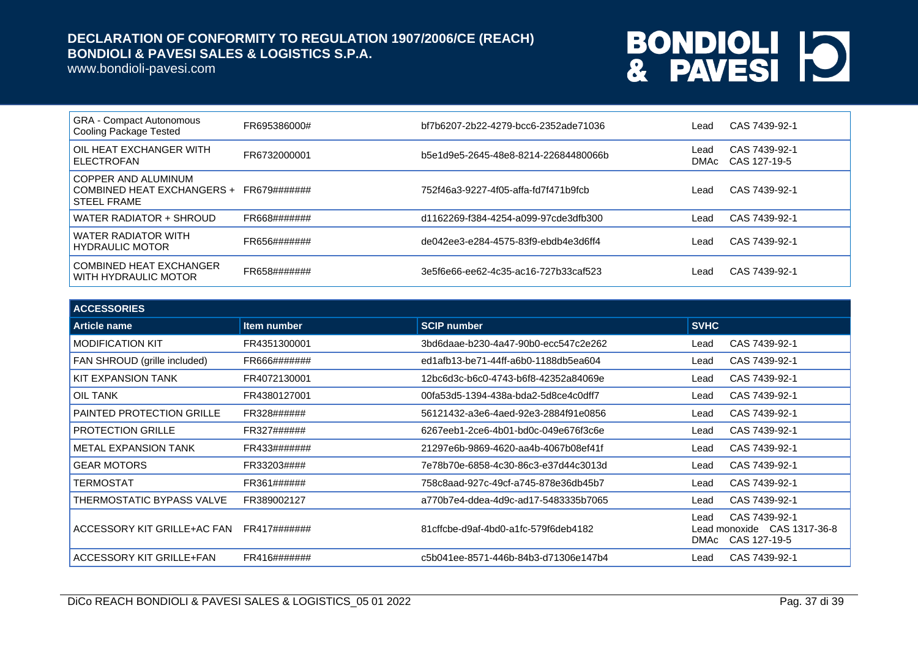www.bondioli-pavesi.com

| <b>GRA</b> - Compact Autonomous<br>Cooling Package Tested               | FR695386000# | bf7b6207-2b22-4279-bcc6-2352ade71036 | ∟ead         | CAS 7439-92-1                 |
|-------------------------------------------------------------------------|--------------|--------------------------------------|--------------|-------------------------------|
| OIL HEAT EXCHANGER WITH<br><b>ELECTROFAN</b>                            | FR6732000001 | b5e1d9e5-2645-48e8-8214-22684480066b | Lead<br>DMAc | CAS 7439-92-1<br>CAS 127-19-5 |
| COPPER AND ALUMINUM<br>COMBINED HEAT EXCHANGERS +<br><b>STEEL FRAME</b> | FR679####### | 752f46a3-9227-4f05-affa-fd7f471b9fcb | Lead         | CAS 7439-92-1                 |
| WATER RADIATOR + SHROUD                                                 | FR668####### | d1162269-f384-4254-a099-97cde3dfb300 | Lead         | CAS 7439-92-1                 |
| WATER RADIATOR WITH<br><b>HYDRAULIC MOTOR</b>                           | FR656####### | de042ee3-e284-4575-83f9-ebdb4e3d6ff4 | Lead         | CAS 7439-92-1                 |
| COMBINED HEAT EXCHANGER<br>WITH HYDRAULIC MOTOR                         | FR658####### | 3e5f6e66-ee62-4c35-ac16-727b33caf523 | Lead         | CAS 7439-92-1                 |

| <b>ACCESSORIES</b>               |              |                                      |              |                                                              |
|----------------------------------|--------------|--------------------------------------|--------------|--------------------------------------------------------------|
| Article name                     | Item number  | <b>SCIP number</b>                   | <b>SVHC</b>  |                                                              |
| <b>MODIFICATION KIT</b>          | FR4351300001 | 3bd6daae-b230-4a47-90b0-ecc547c2e262 | Lead         | CAS 7439-92-1                                                |
| FAN SHROUD (grille included)     | FR666####### | ed1afb13-be71-44ff-a6b0-1188db5ea604 | Lead         | CAS 7439-92-1                                                |
| KIT EXPANSION TANK               | FR4072130001 | 12bc6d3c-b6c0-4743-b6f8-42352a84069e | Lead         | CAS 7439-92-1                                                |
| <b>OIL TANK</b>                  | FR4380127001 | 00fa53d5-1394-438a-bda2-5d8ce4c0dff7 | Lead         | CAS 7439-92-1                                                |
| <b>PAINTED PROTECTION GRILLE</b> | FR328######  | 56121432-a3e6-4aed-92e3-2884f91e0856 | Lead         | CAS 7439-92-1                                                |
| <b>PROTECTION GRILLE</b>         | FR327######  | 6267eeb1-2ce6-4b01-bd0c-049e676f3c6e | Lead         | CAS 7439-92-1                                                |
| <b>METAL EXPANSION TANK</b>      | FR433####### | 21297e6b-9869-4620-aa4b-4067b08ef41f | Lead         | CAS 7439-92-1                                                |
| <b>GEAR MOTORS</b>               | FR33203####  | 7e78b70e-6858-4c30-86c3-e37d44c3013d | Lead         | CAS 7439-92-1                                                |
| TERMOSTAT                        | FR361######  | 758c8aad-927c-49cf-a745-878e36db45b7 | Lead         | CAS 7439-92-1                                                |
| THERMOSTATIC BYPASS VALVE        | FR389002127  | a770b7e4-ddea-4d9c-ad17-5483335b7065 | Lead         | CAS 7439-92-1                                                |
| ACCESSORY KIT GRILLE+AC FAN      | FR417####### | 81cffcbe-d9af-4bd0-a1fc-579f6deb4182 | Lead<br>DMAc | CAS 7439-92-1<br>Lead monoxide CAS 1317-36-8<br>CAS 127-19-5 |
| ACCESSORY KIT GRILLE+FAN         | FR416####### | c5b041ee-8571-446b-84b3-d71306e147b4 | Lead         | CAS 7439-92-1                                                |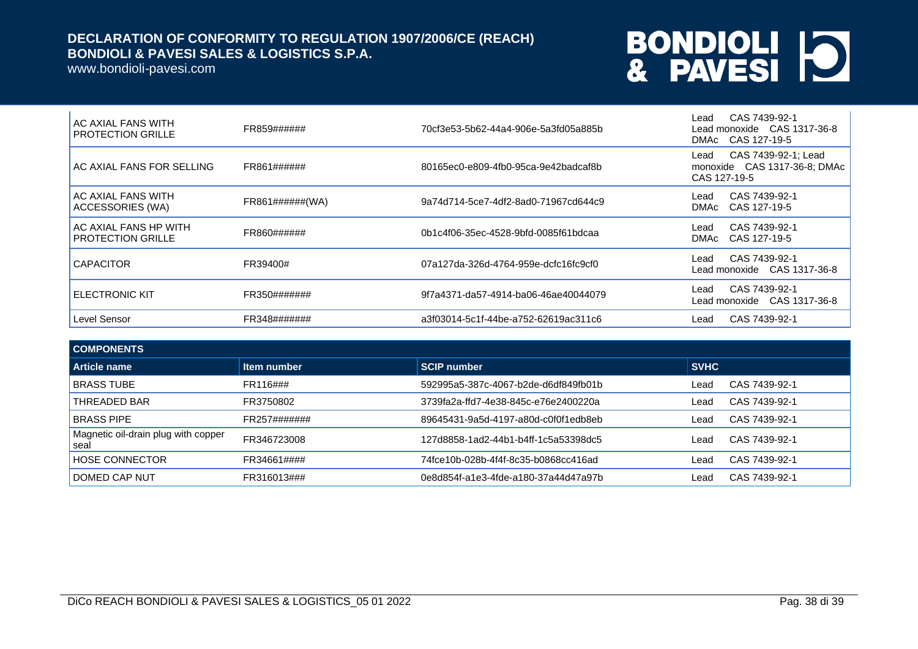www.bondioli-pavesi.com

| AC AXIAL FANS WITH<br><b>PROTECTION GRILLE</b>    | FR859######      | 70cf3e53-5b62-44a4-906e-5a3fd05a885b | CAS 7439-92-1<br>∟ead<br>Lead monoxide CAS 1317-36-8<br>DMAc CAS 127-19-5   |
|---------------------------------------------------|------------------|--------------------------------------|-----------------------------------------------------------------------------|
| AC AXIAL FANS FOR SELLING                         | FR861######      | 80165ec0-e809-4fb0-95ca-9e42badcaf8b | CAS 7439-92-1; Lead<br>Lead<br>monoxide CAS 1317-36-8; DMAc<br>CAS 127-19-5 |
| AC AXIAL FANS WITH<br>ACCESSORIES (WA)            | FR861#######(WA) | 9a74d714-5ce7-4df2-8ad0-71967cd644c9 | CAS 7439-92-1<br>∟ead<br>CAS 127-19-5<br>DMAc                               |
| AC AXIAL FANS HP WITH<br><b>PROTECTION GRILLE</b> | FR860######      | 0b1c4f06-35ec-4528-9bfd-0085f61bdcaa | CAS 7439-92-1<br>∟ead<br>CAS 127-19-5<br>DMAc                               |
| <b>CAPACITOR</b>                                  | FR39400#         | 07a127da-326d-4764-959e-dcfc16fc9cf0 | CAS 7439-92-1<br>Lead<br>Lead monoxide CAS 1317-36-8                        |
| <b>ELECTRONIC KIT</b>                             | FR350#######     | 9f7a4371-da57-4914-ba06-46ae40044079 | CAS 7439-92-1<br>Lead<br>Lead monoxide CAS 1317-36-8                        |
| Level Sensor                                      | FR348#######     | a3f03014-5c1f-44be-a752-62619ac311c6 | CAS 7439-92-1<br>Lead                                                       |

| <b>COMPONENTS</b>                           |              |                                      |             |               |
|---------------------------------------------|--------------|--------------------------------------|-------------|---------------|
| <b>Article name</b>                         | Item number  | <b>SCIP number</b>                   | <b>SVHC</b> |               |
| <b>BRASS TUBE</b>                           | FR116###     | 592995a5-387c-4067-b2de-d6df849fb01b | Lead        | CAS 7439-92-1 |
| THREADED BAR                                | FR3750802    | 3739fa2a-ffd7-4e38-845c-e76e2400220a | Lead        | CAS 7439-92-1 |
| <b>BRASS PIPE</b>                           | FR257####### | 89645431-9a5d-4197-a80d-c0f0f1edb8eb | Lead        | CAS 7439-92-1 |
| Magnetic oil-drain plug with copper<br>seal | FR346723008  | 127d8858-1ad2-44b1-b4ff-1c5a53398dc5 | Lead        | CAS 7439-92-1 |
| <b>HOSE CONNECTOR</b>                       | FR34661####  | 74fce10b-028b-4f4f-8c35-b0868cc416ad | Lead        | CAS 7439-92-1 |
| DOMED CAP NUT                               | FR316013###  | 0e8d854f-a1e3-4fde-a180-37a44d47a97b | ∟ead        | CAS 7439-92-1 |